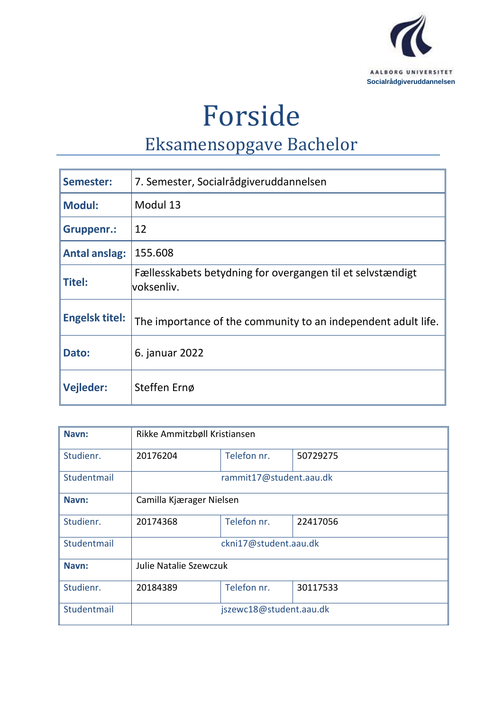

Forside

# Eksamensopgave Bachelor

| Semester:             | 7. Semester, Socialrådgiveruddannelsen                                   |
|-----------------------|--------------------------------------------------------------------------|
| <b>Modul:</b>         | Modul 13                                                                 |
| Gruppenr.:            | 12                                                                       |
| <b>Antal anslag:</b>  | 155.608                                                                  |
| Titel:                | Fællesskabets betydning for overgangen til et selvstændigt<br>voksenliv. |
| <b>Engelsk titel:</b> | The importance of the community to an independent adult life.            |
| Dato:                 | 6. januar 2022                                                           |
| <b>Vejleder:</b>      | Steffen Ernø                                                             |

| Navn:       | Rikke Ammitzbøll Kristiansen |             |          |  |
|-------------|------------------------------|-------------|----------|--|
| Studienr.   | 20176204                     | Telefon nr. | 50729275 |  |
| Studentmail | rammit17@student.aau.dk      |             |          |  |
| Navn:       | Camilla Kjærager Nielsen     |             |          |  |
| Studienr.   | 20174368                     | Telefon nr. | 22417056 |  |
| Studentmail | ckni17@student.aau.dk        |             |          |  |
| Navn:       | Julie Natalie Szewczuk       |             |          |  |
| Studienr.   | 20184389                     | Telefon nr. | 30117533 |  |
| Studentmail | jszewc18@student.aau.dk      |             |          |  |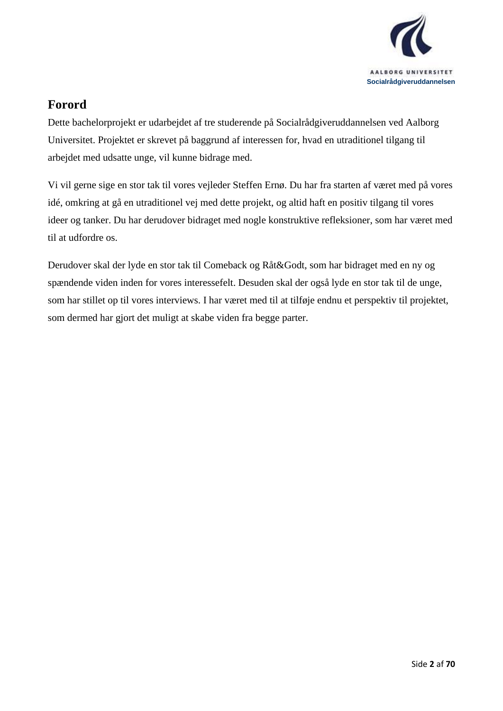

## <span id="page-1-0"></span>**Forord**

Dette bachelorprojekt er udarbejdet af tre studerende på Socialrådgiveruddannelsen ved Aalborg Universitet. Projektet er skrevet på baggrund af interessen for, hvad en utraditionel tilgang til arbejdet med udsatte unge, vil kunne bidrage med.

Vi vil gerne sige en stor tak til vores vejleder Steffen Ernø. Du har fra starten af været med på vores idé, omkring at gå en utraditionel vej med dette projekt, og altid haft en positiv tilgang til vores ideer og tanker. Du har derudover bidraget med nogle konstruktive refleksioner, som har været med til at udfordre os.

Derudover skal der lyde en stor tak til Comeback og Råt&Godt, som har bidraget med en ny og spændende viden inden for vores interessefelt. Desuden skal der også lyde en stor tak til de unge, som har stillet op til vores interviews. I har været med til at tilføje endnu et perspektiv til projektet, som dermed har gjort det muligt at skabe viden fra begge parter.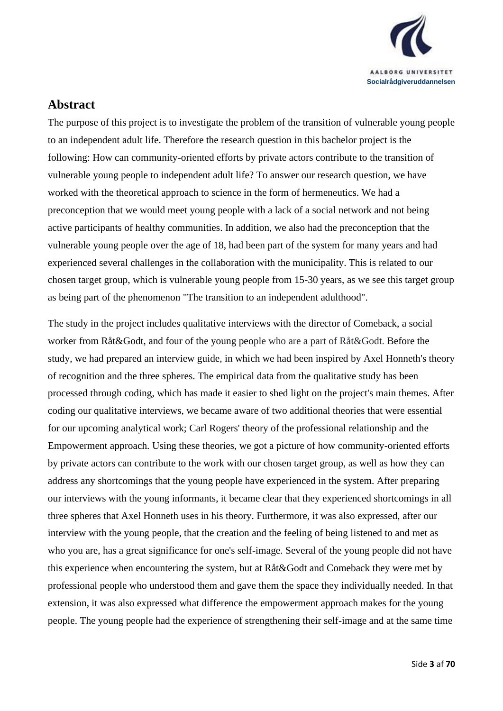

## <span id="page-2-0"></span>**Abstract**

The purpose of this project is to investigate the problem of the transition of vulnerable young people to an independent adult life. Therefore the research question in this bachelor project is the following: How can community-oriented efforts by private actors contribute to the transition of vulnerable young people to independent adult life? To answer our research question, we have worked with the theoretical approach to science in the form of hermeneutics. We had a preconception that we would meet young people with a lack of a social network and not being active participants of healthy communities. In addition, we also had the preconception that the vulnerable young people over the age of 18, had been part of the system for many years and had experienced several challenges in the collaboration with the municipality. This is related to our chosen target group, which is vulnerable young people from 15-30 years, as we see this target group as being part of the phenomenon "The transition to an independent adulthood".

The study in the project includes qualitative interviews with the director of Comeback, a social worker from Råt&Godt, and four of the young people who are a part of Råt&Godt. Before the study, we had prepared an interview guide, in which we had been inspired by Axel Honneth's theory of recognition and the three spheres. The empirical data from the qualitative study has been processed through coding, which has made it easier to shed light on the project's main themes. After coding our qualitative interviews, we became aware of two additional theories that were essential for our upcoming analytical work; Carl Rogers' theory of the professional relationship and the Empowerment approach. Using these theories, we got a picture of how community-oriented efforts by private actors can contribute to the work with our chosen target group, as well as how they can address any shortcomings that the young people have experienced in the system. After preparing our interviews with the young informants, it became clear that they experienced shortcomings in all three spheres that Axel Honneth uses in his theory. Furthermore, it was also expressed, after our interview with the young people, that the creation and the feeling of being listened to and met as who you are, has a great significance for one's self-image. Several of the young people did not have this experience when encountering the system, but at Råt&Godt and Comeback they were met by professional people who understood them and gave them the space they individually needed. In that extension, it was also expressed what difference the empowerment approach makes for the young people. The young people had the experience of strengthening their self-image and at the same time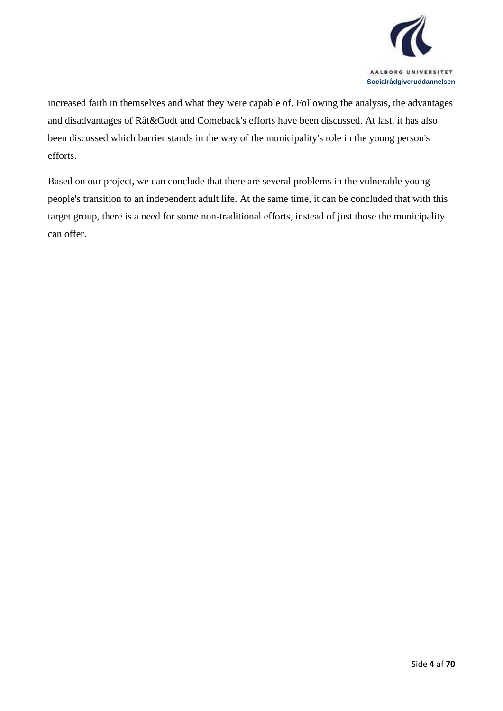

increased faith in themselves and what they were capable of. Following the analysis, the advantages and disadvantages of Råt&Godt and Comeback's efforts have been discussed. At last, it has also been discussed which barrier stands in the way of the municipality's role in the young person's efforts.

Based on our project, we can conclude that there are several problems in the vulnerable young people's transition to an independent adult life. At the same time, it can be concluded that with this target group, there is a need for some non-traditional efforts, instead of just those the municipality can offer.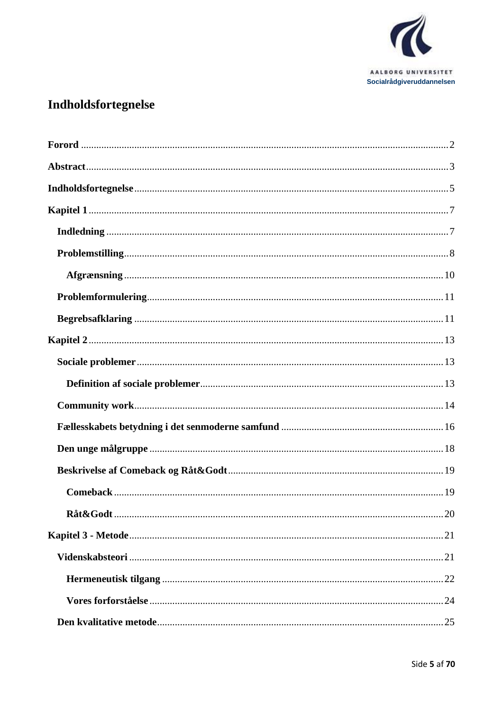

## <span id="page-4-0"></span>Indholdsfortegnelse

| Råt&Godt. | $\dots 20$ |
|-----------|------------|
|           |            |
|           |            |
|           |            |
|           |            |
|           |            |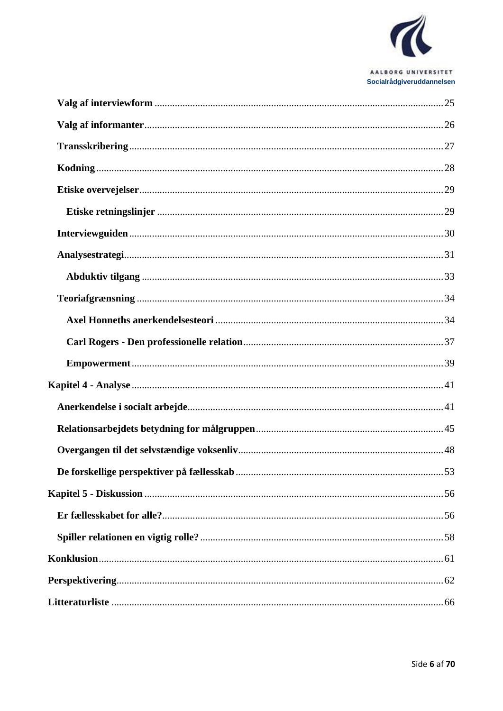

#### AALBORG UNIVERSITET Socialrådgiveruddannelsen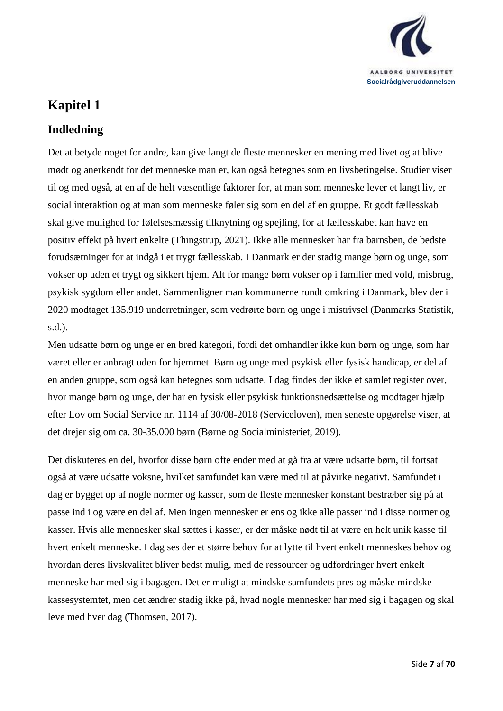

## <span id="page-6-0"></span>**Kapitel 1**

## <span id="page-6-1"></span>**Indledning**

Det at betyde noget for andre, kan give langt de fleste mennesker en mening med livet og at blive mødt og anerkendt for det menneske man er, kan også betegnes som en livsbetingelse. Studier viser til og med også, at en af de helt væsentlige faktorer for, at man som menneske lever et langt liv, er social interaktion og at man som menneske føler sig som en del af en gruppe. Et godt fællesskab skal give mulighed for følelsesmæssig tilknytning og spejling, for at fællesskabet kan have en positiv effekt på hvert enkelte (Thingstrup, 2021). Ikke alle mennesker har fra barnsben, de bedste forudsætninger for at indgå i et trygt fællesskab. I Danmark er der stadig mange børn og unge, som vokser op uden et trygt og sikkert hjem. Alt for mange børn vokser op i familier med vold, misbrug, psykisk sygdom eller andet. Sammenligner man kommunerne rundt omkring i Danmark, blev der i 2020 modtaget 135.919 underretninger, som vedrørte børn og unge i mistrivsel (Danmarks Statistik, s.d.).

Men udsatte børn og unge er en bred kategori, fordi det omhandler ikke kun børn og unge, som har været eller er anbragt uden for hjemmet. Børn og unge med psykisk eller fysisk handicap, er del af en anden gruppe, som også kan betegnes som udsatte. I dag findes der ikke et samlet register over, hvor mange børn og unge, der har en fysisk eller psykisk funktionsnedsættelse og modtager hjælp efter Lov om Social Service nr. 1114 af 30/08-2018 (Serviceloven), men seneste opgørelse viser, at det drejer sig om ca. 30-35.000 børn (Børne og Socialministeriet, 2019).

Det diskuteres en del, hvorfor disse børn ofte ender med at gå fra at være udsatte børn, til fortsat også at være udsatte voksne, hvilket samfundet kan være med til at påvirke negativt. Samfundet i dag er bygget op af nogle normer og kasser, som de fleste mennesker konstant bestræber sig på at passe ind i og være en del af. Men ingen mennesker er ens og ikke alle passer ind i disse normer og kasser. Hvis alle mennesker skal sættes i kasser, er der måske nødt til at være en helt unik kasse til hvert enkelt menneske. I dag ses der et større behov for at lytte til hvert enkelt menneskes behov og hvordan deres livskvalitet bliver bedst mulig, med de ressourcer og udfordringer hvert enkelt menneske har med sig i bagagen. Det er muligt at mindske samfundets pres og måske mindske kassesystemtet, men det ændrer stadig ikke på, hvad nogle mennesker har med sig i bagagen og skal leve med hver dag (Thomsen, 2017).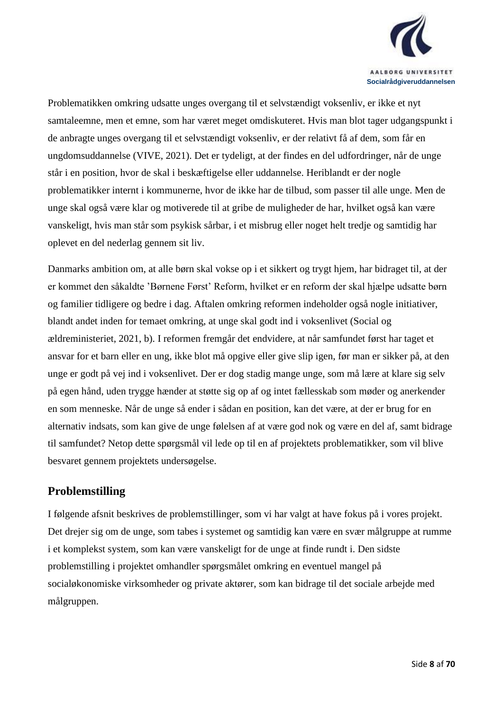

Problematikken omkring udsatte unges overgang til et selvstændigt voksenliv, er ikke et nyt samtaleemne, men et emne, som har været meget omdiskuteret. Hvis man blot tager udgangspunkt i de anbragte unges overgang til et selvstændigt voksenliv, er der relativt få af dem, som får en ungdomsuddannelse (VIVE, 2021). Det er tydeligt, at der findes en del udfordringer, når de unge står i en position, hvor de skal i beskæftigelse eller uddannelse. Heriblandt er der nogle problematikker internt i kommunerne, hvor de ikke har de tilbud, som passer til alle unge. Men de unge skal også være klar og motiverede til at gribe de muligheder de har, hvilket også kan være vanskeligt, hvis man står som psykisk sårbar, i et misbrug eller noget helt tredje og samtidig har oplevet en del nederlag gennem sit liv.

Danmarks ambition om, at alle børn skal vokse op i et sikkert og trygt hjem, har bidraget til, at der er kommet den såkaldte 'Børnene Først' Reform, hvilket er en reform der skal hjælpe udsatte børn og familier tidligere og bedre i dag. Aftalen omkring reformen indeholder også nogle initiativer, blandt andet inden for temaet omkring, at unge skal godt ind i voksenlivet (Social og ældreministeriet, 2021, b). I reformen fremgår det endvidere, at når samfundet først har taget et ansvar for et barn eller en ung, ikke blot må opgive eller give slip igen, før man er sikker på, at den unge er godt på vej ind i voksenlivet. Der er dog stadig mange unge, som må lære at klare sig selv på egen hånd, uden trygge hænder at støtte sig op af og intet fællesskab som møder og anerkender en som menneske. Når de unge så ender i sådan en position, kan det være, at der er brug for en alternativ indsats, som kan give de unge følelsen af at være god nok og være en del af, samt bidrage til samfundet? Netop dette spørgsmål vil lede op til en af projektets problematikker, som vil blive besvaret gennem projektets undersøgelse.

### <span id="page-7-0"></span>**Problemstilling**

I følgende afsnit beskrives de problemstillinger, som vi har valgt at have fokus på i vores projekt. Det drejer sig om de unge, som tabes i systemet og samtidig kan være en svær målgruppe at rumme i et komplekst system, som kan være vanskeligt for de unge at finde rundt i. Den sidste problemstilling i projektet omhandler spørgsmålet omkring en eventuel mangel på socialøkonomiske virksomheder og private aktører, som kan bidrage til det sociale arbejde med målgruppen.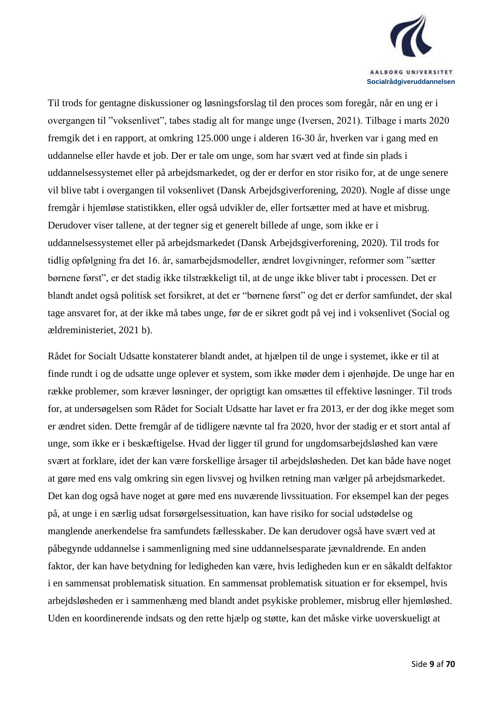

Til trods for gentagne diskussioner og løsningsforslag til den proces som foregår, når en ung er i overgangen til "voksenlivet", tabes stadig alt for mange unge (Iversen, 2021). Tilbage i marts 2020 fremgik det i en rapport, at omkring 125.000 unge i alderen 16-30 år, hverken var i gang med en uddannelse eller havde et job. Der er tale om unge, som har svært ved at finde sin plads i uddannelsessystemet eller på arbejdsmarkedet, og der er derfor en stor risiko for, at de unge senere vil blive tabt i overgangen til voksenlivet (Dansk Arbejdsgiverforening, 2020). Nogle af disse unge fremgår i hjemløse statistikken, eller også udvikler de, eller fortsætter med at have et misbrug. Derudover viser tallene, at der tegner sig et generelt billede af unge, som ikke er i uddannelsessystemet eller på arbejdsmarkedet (Dansk Arbejdsgiverforening, 2020). Til trods for tidlig opfølgning fra det 16. år, samarbejdsmodeller, ændret lovgivninger, reformer som "sætter børnene først", er det stadig ikke tilstrækkeligt til, at de unge ikke bliver tabt i processen. Det er blandt andet også politisk set forsikret, at det er "børnene først" og det er derfor samfundet, der skal tage ansvaret for, at der ikke må tabes unge, før de er sikret godt på vej ind i voksenlivet (Social og ældreministeriet, 2021 b).

Rådet for Socialt Udsatte konstaterer blandt andet, at hjælpen til de unge i systemet, ikke er til at finde rundt i og de udsatte unge oplever et system, som ikke møder dem i øjenhøjde. De unge har en række problemer, som kræver løsninger, der oprigtigt kan omsættes til effektive løsninger. Til trods for, at undersøgelsen som Rådet for Socialt Udsatte har lavet er fra 2013, er der dog ikke meget som er ændret siden. Dette fremgår af de tidligere nævnte tal fra 2020, hvor der stadig er et stort antal af unge, som ikke er i beskæftigelse. Hvad der ligger til grund for ungdomsarbejdsløshed kan være svært at forklare, idet der kan være forskellige årsager til arbejdsløsheden. Det kan både have noget at gøre med ens valg omkring sin egen livsvej og hvilken retning man vælger på arbejdsmarkedet. Det kan dog også have noget at gøre med ens nuværende livssituation. For eksempel kan der peges på, at unge i en særlig udsat forsørgelsessituation, kan have risiko for social udstødelse og manglende anerkendelse fra samfundets fællesskaber. De kan derudover også have svært ved at påbegynde uddannelse i sammenligning med sine uddannelsesparate jævnaldrende. En anden faktor, der kan have betydning for ledigheden kan være, hvis ledigheden kun er en såkaldt delfaktor i en sammensat problematisk situation. En sammensat problematisk situation er for eksempel, hvis arbejdsløsheden er i sammenhæng med blandt andet psykiske problemer, misbrug eller hjemløshed. Uden en koordinerende indsats og den rette hjælp og støtte, kan det måske virke uoverskueligt at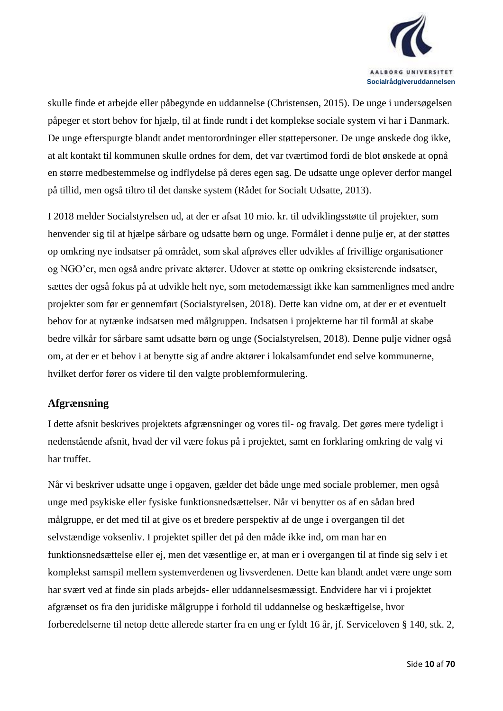

skulle finde et arbejde eller påbegynde en uddannelse (Christensen, 2015). De unge i undersøgelsen påpeger et stort behov for hjælp, til at finde rundt i det komplekse sociale system vi har i Danmark. De unge efterspurgte blandt andet mentorordninger eller støttepersoner. De unge ønskede dog ikke, at alt kontakt til kommunen skulle ordnes for dem, det var tværtimod fordi de blot ønskede at opnå en større medbestemmelse og indflydelse på deres egen sag. De udsatte unge oplever derfor mangel på tillid, men også tiltro til det danske system (Rådet for Socialt Udsatte, 2013).

I 2018 melder Socialstyrelsen ud, at der er afsat 10 mio. kr. til udviklingsstøtte til projekter, som henvender sig til at hjælpe sårbare og udsatte børn og unge. Formålet i denne pulje er, at der støttes op omkring nye indsatser på området, som skal afprøves eller udvikles af frivillige organisationer og NGO'er, men også andre private aktører. Udover at støtte op omkring eksisterende indsatser, sættes der også fokus på at udvikle helt nye, som metodemæssigt ikke kan sammenlignes med andre projekter som før er gennemført (Socialstyrelsen, 2018). Dette kan vidne om, at der er et eventuelt behov for at nytænke indsatsen med målgruppen. Indsatsen i projekterne har til formål at skabe bedre vilkår for sårbare samt udsatte børn og unge (Socialstyrelsen, 2018). Denne pulje vidner også om, at der er et behov i at benytte sig af andre aktører i lokalsamfundet end selve kommunerne, hvilket derfor fører os videre til den valgte problemformulering.

#### <span id="page-9-0"></span>**Afgrænsning**

I dette afsnit beskrives projektets afgrænsninger og vores til- og fravalg. Det gøres mere tydeligt i nedenstående afsnit, hvad der vil være fokus på i projektet, samt en forklaring omkring de valg vi har truffet.

Når vi beskriver udsatte unge i opgaven, gælder det både unge med sociale problemer, men også unge med psykiske eller fysiske funktionsnedsættelser. Når vi benytter os af en sådan bred målgruppe, er det med til at give os et bredere perspektiv af de unge i overgangen til det selvstændige voksenliv. I projektet spiller det på den måde ikke ind, om man har en funktionsnedsættelse eller ej, men det væsentlige er, at man er i overgangen til at finde sig selv i et komplekst samspil mellem systemverdenen og livsverdenen. Dette kan blandt andet være unge som har svært ved at finde sin plads arbejds- eller uddannelsesmæssigt. Endvidere har vi i projektet afgrænset os fra den juridiske målgruppe i forhold til uddannelse og beskæftigelse, hvor forberedelserne til netop dette allerede starter fra en ung er fyldt 16 år, jf. Serviceloven § 140, stk. 2,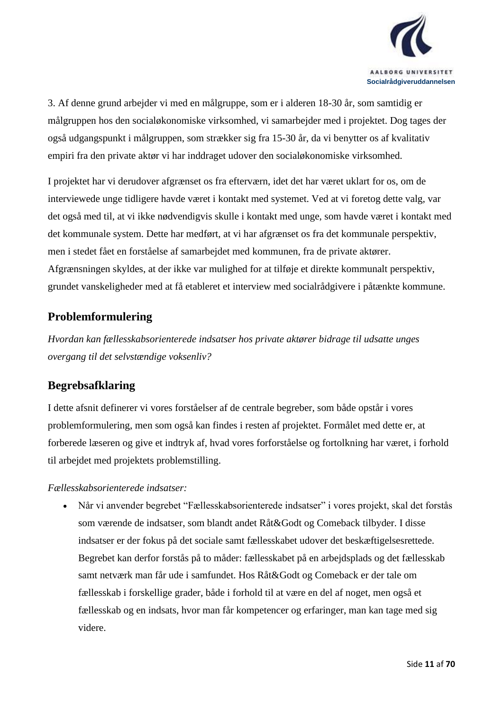

3. Af denne grund arbejder vi med en målgruppe, som er i alderen 18-30 år, som samtidig er målgruppen hos den socialøkonomiske virksomhed, vi samarbejder med i projektet. Dog tages der også udgangspunkt i målgruppen, som strækker sig fra 15-30 år, da vi benytter os af kvalitativ empiri fra den private aktør vi har inddraget udover den socialøkonomiske virksomhed.

I projektet har vi derudover afgrænset os fra efterværn, idet det har været uklart for os, om de interviewede unge tidligere havde været i kontakt med systemet. Ved at vi foretog dette valg, var det også med til, at vi ikke nødvendigvis skulle i kontakt med unge, som havde været i kontakt med det kommunale system. Dette har medført, at vi har afgrænset os fra det kommunale perspektiv, men i stedet fået en forståelse af samarbejdet med kommunen, fra de private aktører. Afgrænsningen skyldes, at der ikke var mulighed for at tilføje et direkte kommunalt perspektiv, grundet vanskeligheder med at få etableret et interview med socialrådgivere i påtænkte kommune.

## <span id="page-10-0"></span>**Problemformulering**

*Hvordan kan fællesskabsorienterede indsatser hos private aktører bidrage til udsatte unges overgang til det selvstændige voksenliv?*

## <span id="page-10-1"></span>**Begrebsafklaring**

I dette afsnit definerer vi vores forståelser af de centrale begreber, som både opstår i vores problemformulering, men som også kan findes i resten af projektet. Formålet med dette er, at forberede læseren og give et indtryk af, hvad vores forforståelse og fortolkning har været, i forhold til arbejdet med projektets problemstilling.

#### *Fællesskabsorienterede indsatser:*

• Når vi anvender begrebet "Fællesskabsorienterede indsatser" i vores projekt, skal det forstås som værende de indsatser, som blandt andet Råt&Godt og Comeback tilbyder. I disse indsatser er der fokus på det sociale samt fællesskabet udover det beskæftigelsesrettede. Begrebet kan derfor forstås på to måder: fællesskabet på en arbejdsplads og det fællesskab samt netværk man får ude i samfundet. Hos Råt&Godt og Comeback er der tale om fællesskab i forskellige grader, både i forhold til at være en del af noget, men også et fællesskab og en indsats, hvor man får kompetencer og erfaringer, man kan tage med sig videre.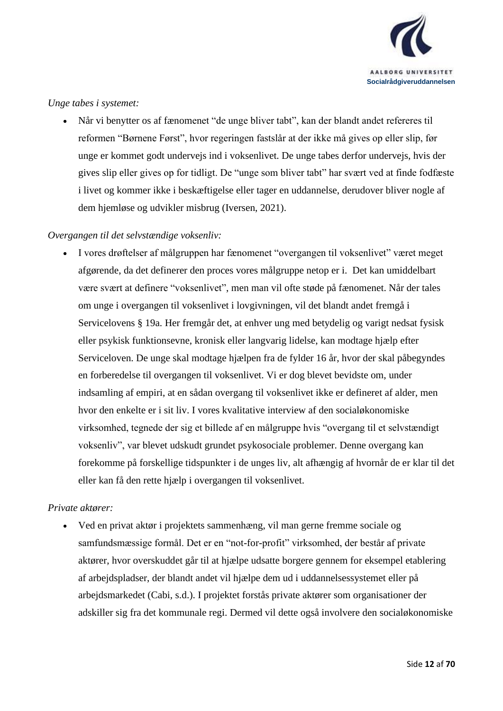

#### *Unge tabes i systemet:*

• Når vi benytter os af fænomenet "de unge bliver tabt", kan der blandt andet refereres til reformen "Børnene Først", hvor regeringen fastslår at der ikke må gives op eller slip, før unge er kommet godt undervejs ind i voksenlivet. De unge tabes derfor undervejs, hvis der gives slip eller gives op for tidligt. De "unge som bliver tabt" har svært ved at finde fodfæste i livet og kommer ikke i beskæftigelse eller tager en uddannelse, derudover bliver nogle af dem hjemløse og udvikler misbrug (Iversen, 2021).

#### *Overgangen til det selvstændige voksenliv:*

• I vores drøftelser af målgruppen har fænomenet "overgangen til voksenlivet" været meget afgørende, da det definerer den proces vores målgruppe netop er i. Det kan umiddelbart være svært at definere "voksenlivet", men man vil ofte støde på fænomenet. Når der tales om unge i overgangen til voksenlivet i lovgivningen, vil det blandt andet fremgå i Servicelovens § 19a. Her fremgår det, at enhver ung med betydelig og varigt nedsat fysisk eller psykisk funktionsevne, kronisk eller langvarig lidelse, kan modtage hjælp efter Serviceloven. De unge skal modtage hjælpen fra de fylder 16 år, hvor der skal påbegyndes en forberedelse til overgangen til voksenlivet. Vi er dog blevet bevidste om, under indsamling af empiri, at en sådan overgang til voksenlivet ikke er defineret af alder, men hvor den enkelte er i sit liv. I vores kvalitative interview af den socialøkonomiske virksomhed, tegnede der sig et billede af en målgruppe hvis "overgang til et selvstændigt voksenliv", var blevet udskudt grundet psykosociale problemer. Denne overgang kan forekomme på forskellige tidspunkter i de unges liv, alt afhængig af hvornår de er klar til det eller kan få den rette hjælp i overgangen til voksenlivet.

#### *Private aktører:*

• Ved en privat aktør i projektets sammenhæng, vil man gerne fremme sociale og samfundsmæssige formål. Det er en "not-for-profit" virksomhed, der består af private aktører, hvor overskuddet går til at hjælpe udsatte borgere gennem for eksempel etablering af arbejdspladser, der blandt andet vil hjælpe dem ud i uddannelsessystemet eller på arbejdsmarkedet (Cabi, s.d.). I projektet forstås private aktører som organisationer der adskiller sig fra det kommunale regi. Dermed vil dette også involvere den socialøkonomiske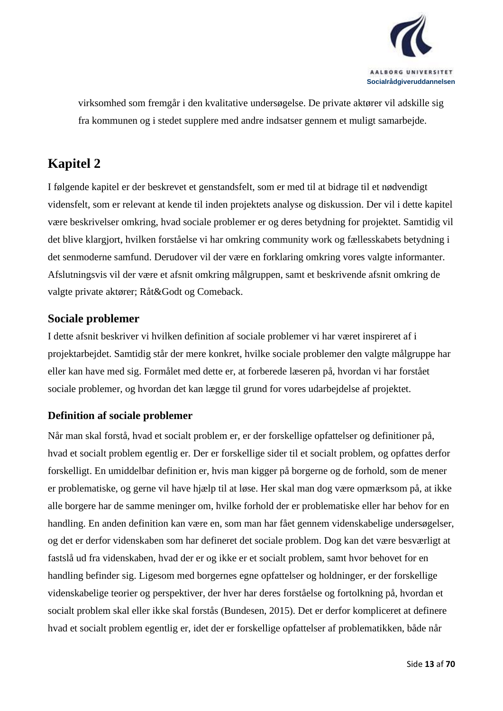

virksomhed som fremgår i den kvalitative undersøgelse. De private aktører vil adskille sig fra kommunen og i stedet supplere med andre indsatser gennem et muligt samarbejde.

## <span id="page-12-0"></span>**Kapitel 2**

I følgende kapitel er der beskrevet et genstandsfelt, som er med til at bidrage til et nødvendigt vidensfelt, som er relevant at kende til inden projektets analyse og diskussion. Der vil i dette kapitel være beskrivelser omkring, hvad sociale problemer er og deres betydning for projektet. Samtidig vil det blive klargjort, hvilken forståelse vi har omkring community work og fællesskabets betydning i det senmoderne samfund. Derudover vil der være en forklaring omkring vores valgte informanter. Afslutningsvis vil der være et afsnit omkring målgruppen, samt et beskrivende afsnit omkring de valgte private aktører; Råt&Godt og Comeback.

### <span id="page-12-1"></span>**Sociale problemer**

I dette afsnit beskriver vi hvilken definition af sociale problemer vi har været inspireret af i projektarbejdet. Samtidig står der mere konkret, hvilke sociale problemer den valgte målgruppe har eller kan have med sig. Formålet med dette er, at forberede læseren på, hvordan vi har forstået sociale problemer, og hvordan det kan lægge til grund for vores udarbejdelse af projektet.

#### <span id="page-12-2"></span>**Definition af sociale problemer**

Når man skal forstå, hvad et socialt problem er, er der forskellige opfattelser og definitioner på, hvad et socialt problem egentlig er. Der er forskellige sider til et socialt problem, og opfattes derfor forskelligt. En umiddelbar definition er, hvis man kigger på borgerne og de forhold, som de mener er problematiske, og gerne vil have hjælp til at løse. Her skal man dog være opmærksom på, at ikke alle borgere har de samme meninger om, hvilke forhold der er problematiske eller har behov for en handling. En anden definition kan være en, som man har fået gennem videnskabelige undersøgelser, og det er derfor videnskaben som har defineret det sociale problem. Dog kan det være besværligt at fastslå ud fra videnskaben, hvad der er og ikke er et socialt problem, samt hvor behovet for en handling befinder sig. Ligesom med borgernes egne opfattelser og holdninger, er der forskellige videnskabelige teorier og perspektiver, der hver har deres forståelse og fortolkning på, hvordan et socialt problem skal eller ikke skal forstås (Bundesen, 2015). Det er derfor kompliceret at definere hvad et socialt problem egentlig er, idet der er forskellige opfattelser af problematikken, både når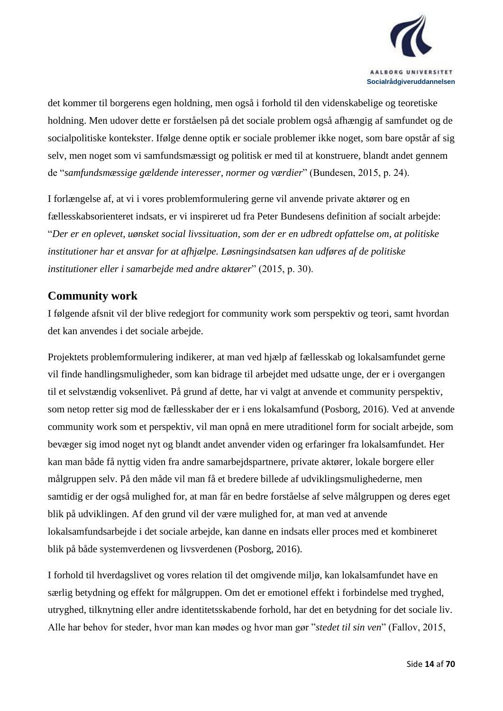

det kommer til borgerens egen holdning, men også i forhold til den videnskabelige og teoretiske holdning. Men udover dette er forståelsen på det sociale problem også afhængig af samfundet og de socialpolitiske kontekster. Ifølge denne optik er sociale problemer ikke noget, som bare opstår af sig selv, men noget som vi samfundsmæssigt og politisk er med til at konstruere, blandt andet gennem de "*samfundsmæssige gældende interesser, normer og værdier*" (Bundesen, 2015, p. 24).

I forlængelse af, at vi i vores problemformulering gerne vil anvende private aktører og en fællesskabsorienteret indsats, er vi inspireret ud fra Peter Bundesens definition af socialt arbejde: "*Der er en oplevet, uønsket social livssituation, som der er en udbredt opfattelse om, at politiske institutioner har et ansvar for at afhjælpe. Løsningsindsatsen kan udføres af de politiske institutioner eller i samarbejde med andre aktører*" (2015, p. 30).

#### <span id="page-13-0"></span>**Community work**

I følgende afsnit vil der blive redegjort for community work som perspektiv og teori, samt hvordan det kan anvendes i det sociale arbejde.

Projektets problemformulering indikerer, at man ved hjælp af fællesskab og lokalsamfundet gerne vil finde handlingsmuligheder, som kan bidrage til arbejdet med udsatte unge, der er i overgangen til et selvstændig voksenlivet. På grund af dette, har vi valgt at anvende et community perspektiv, som netop retter sig mod de fællesskaber der er i ens lokalsamfund (Posborg, 2016). Ved at anvende community work som et perspektiv, vil man opnå en mere utraditionel form for socialt arbejde, som bevæger sig imod noget nyt og blandt andet anvender viden og erfaringer fra lokalsamfundet. Her kan man både få nyttig viden fra andre samarbejdspartnere, private aktører, lokale borgere eller målgruppen selv. På den måde vil man få et bredere billede af udviklingsmulighederne, men samtidig er der også mulighed for, at man får en bedre forståelse af selve målgruppen og deres eget blik på udviklingen. Af den grund vil der være mulighed for, at man ved at anvende lokalsamfundsarbejde i det sociale arbejde, kan danne en indsats eller proces med et kombineret blik på både systemverdenen og livsverdenen (Posborg, 2016).

I forhold til hverdagslivet og vores relation til det omgivende miljø, kan lokalsamfundet have en særlig betydning og effekt for målgruppen. Om det er emotionel effekt i forbindelse med tryghed, utryghed, tilknytning eller andre identitetsskabende forhold, har det en betydning for det sociale liv. Alle har behov for steder, hvor man kan mødes og hvor man gør "*stedet til sin ven*" (Fallov, 2015,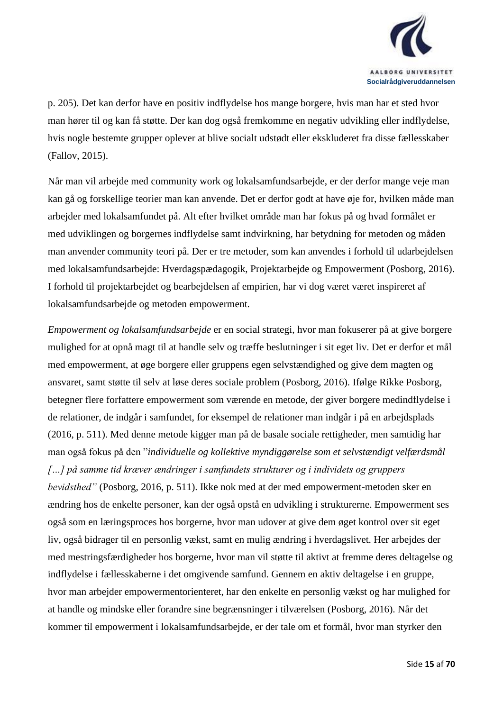

p. 205). Det kan derfor have en positiv indflydelse hos mange borgere, hvis man har et sted hvor man hører til og kan få støtte. Der kan dog også fremkomme en negativ udvikling eller indflydelse, hvis nogle bestemte grupper oplever at blive socialt udstødt eller ekskluderet fra disse fællesskaber (Fallov, 2015).

Når man vil arbejde med community work og lokalsamfundsarbejde, er der derfor mange veje man kan gå og forskellige teorier man kan anvende. Det er derfor godt at have øje for, hvilken måde man arbejder med lokalsamfundet på. Alt efter hvilket område man har fokus på og hvad formålet er med udviklingen og borgernes indflydelse samt indvirkning, har betydning for metoden og måden man anvender community teori på. Der er tre metoder, som kan anvendes i forhold til udarbejdelsen med lokalsamfundsarbejde: Hverdagspædagogik, Projektarbejde og Empowerment (Posborg, 2016). I forhold til projektarbejdet og bearbejdelsen af empirien, har vi dog været været inspireret af lokalsamfundsarbejde og metoden empowerment.

*Empowerment og lokalsamfundsarbejde* er en social strategi, hvor man fokuserer på at give borgere mulighed for at opnå magt til at handle selv og træffe beslutninger i sit eget liv. Det er derfor et mål med empowerment, at øge borgere eller gruppens egen selvstændighed og give dem magten og ansvaret, samt støtte til selv at løse deres sociale problem (Posborg, 2016). Ifølge Rikke Posborg, betegner flere forfattere empowerment som værende en metode, der giver borgere medindflydelse i de relationer, de indgår i samfundet, for eksempel de relationer man indgår i på en arbejdsplads (2016, p. 511). Med denne metode kigger man på de basale sociale rettigheder, men samtidig har man også fokus på den "*individuelle og kollektive myndiggørelse som et selvstændigt velfærdsmål […] på samme tid kræver ændringer i samfundets strukturer og i individets og gruppers bevidsthed"* (Posborg, 2016, p. 511). Ikke nok med at der med empowerment-metoden sker en ændring hos de enkelte personer, kan der også opstå en udvikling i strukturerne. Empowerment ses også som en læringsproces hos borgerne, hvor man udover at give dem øget kontrol over sit eget liv, også bidrager til en personlig vækst, samt en mulig ændring i hverdagslivet. Her arbejdes der med mestringsfærdigheder hos borgerne, hvor man vil støtte til aktivt at fremme deres deltagelse og indflydelse i fællesskaberne i det omgivende samfund. Gennem en aktiv deltagelse i en gruppe, hvor man arbejder empowermentorienteret, har den enkelte en personlig vækst og har mulighed for at handle og mindske eller forandre sine begrænsninger i tilværelsen (Posborg, 2016). Når det kommer til empowerment i lokalsamfundsarbejde, er der tale om et formål, hvor man styrker den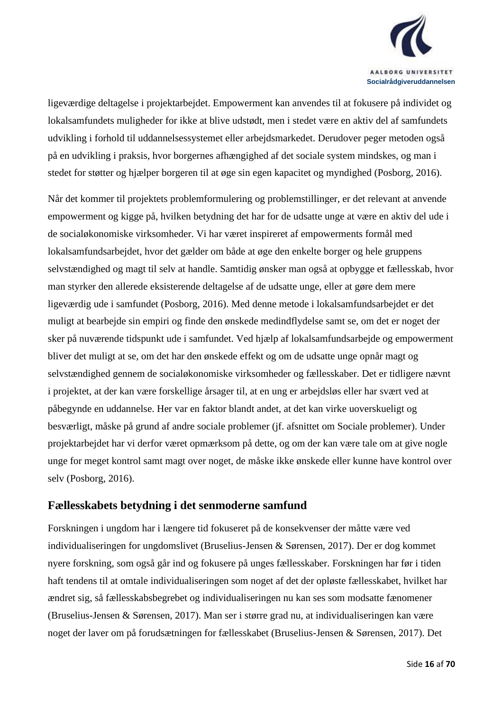

ligeværdige deltagelse i projektarbejdet. Empowerment kan anvendes til at fokusere på individet og lokalsamfundets muligheder for ikke at blive udstødt, men i stedet være en aktiv del af samfundets udvikling i forhold til uddannelsessystemet eller arbejdsmarkedet. Derudover peger metoden også på en udvikling i praksis, hvor borgernes afhængighed af det sociale system mindskes, og man i stedet for støtter og hjælper borgeren til at øge sin egen kapacitet og myndighed (Posborg, 2016).

Når det kommer til projektets problemformulering og problemstillinger, er det relevant at anvende empowerment og kigge på, hvilken betydning det har for de udsatte unge at være en aktiv del ude i de socialøkonomiske virksomheder. Vi har været inspireret af empowerments formål med lokalsamfundsarbejdet, hvor det gælder om både at øge den enkelte borger og hele gruppens selvstændighed og magt til selv at handle. Samtidig ønsker man også at opbygge et fællesskab, hvor man styrker den allerede eksisterende deltagelse af de udsatte unge, eller at gøre dem mere ligeværdig ude i samfundet (Posborg, 2016). Med denne metode i lokalsamfundsarbejdet er det muligt at bearbejde sin empiri og finde den ønskede medindflydelse samt se, om det er noget der sker på nuværende tidspunkt ude i samfundet. Ved hjælp af lokalsamfundsarbejde og empowerment bliver det muligt at se, om det har den ønskede effekt og om de udsatte unge opnår magt og selvstændighed gennem de socialøkonomiske virksomheder og fællesskaber. Det er tidligere nævnt i projektet, at der kan være forskellige årsager til, at en ung er arbejdsløs eller har svært ved at påbegynde en uddannelse. Her var en faktor blandt andet, at det kan virke uoverskueligt og besværligt, måske på grund af andre sociale problemer (jf. afsnittet om Sociale problemer). Under projektarbejdet har vi derfor været opmærksom på dette, og om der kan være tale om at give nogle unge for meget kontrol samt magt over noget, de måske ikke ønskede eller kunne have kontrol over selv (Posborg, 2016).

#### <span id="page-15-0"></span>**Fællesskabets betydning i det senmoderne samfund**

Forskningen i ungdom har i længere tid fokuseret på de konsekvenser der måtte være ved individualiseringen for ungdomslivet (Bruselius-Jensen & Sørensen, 2017). Der er dog kommet nyere forskning, som også går ind og fokusere på unges fællesskaber. Forskningen har før i tiden haft tendens til at omtale individualiseringen som noget af det der opløste fællesskabet, hvilket har ændret sig, så fællesskabsbegrebet og individualiseringen nu kan ses som modsatte fænomener (Bruselius-Jensen & Sørensen, 2017). Man ser i større grad nu, at individualiseringen kan være noget der laver om på forudsætningen for fællesskabet (Bruselius-Jensen & Sørensen, 2017). Det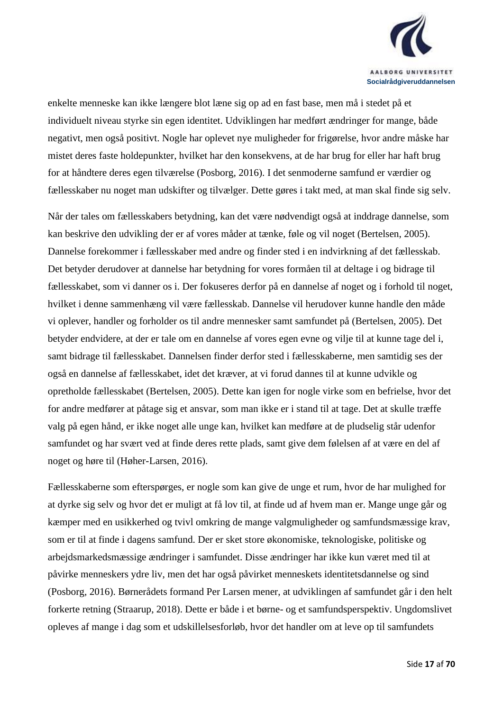

enkelte menneske kan ikke længere blot læne sig op ad en fast base, men må i stedet på et individuelt niveau styrke sin egen identitet. Udviklingen har medført ændringer for mange, både negativt, men også positivt. Nogle har oplevet nye muligheder for frigørelse, hvor andre måske har mistet deres faste holdepunkter, hvilket har den konsekvens, at de har brug for eller har haft brug for at håndtere deres egen tilværelse (Posborg, 2016). I det senmoderne samfund er værdier og fællesskaber nu noget man udskifter og tilvælger. Dette gøres i takt med, at man skal finde sig selv.

Når der tales om fællesskabers betydning, kan det være nødvendigt også at inddrage dannelse, som kan beskrive den udvikling der er af vores måder at tænke, føle og vil noget (Bertelsen, 2005). Dannelse forekommer i fællesskaber med andre og finder sted i en indvirkning af det fællesskab. Det betyder derudover at dannelse har betydning for vores formåen til at deltage i og bidrage til fællesskabet, som vi danner os i. Der fokuseres derfor på en dannelse af noget og i forhold til noget, hvilket i denne sammenhæng vil være fællesskab. Dannelse vil herudover kunne handle den måde vi oplever, handler og forholder os til andre mennesker samt samfundet på (Bertelsen, 2005). Det betyder endvidere, at der er tale om en dannelse af vores egen evne og vilje til at kunne tage del i, samt bidrage til fællesskabet. Dannelsen finder derfor sted i fællesskaberne, men samtidig ses der også en dannelse af fællesskabet, idet det kræver, at vi forud dannes til at kunne udvikle og opretholde fællesskabet (Bertelsen, 2005). Dette kan igen for nogle virke som en befrielse, hvor det for andre medfører at påtage sig et ansvar, som man ikke er i stand til at tage. Det at skulle træffe valg på egen hånd, er ikke noget alle unge kan, hvilket kan medføre at de pludselig står udenfor samfundet og har svært ved at finde deres rette plads, samt give dem følelsen af at være en del af noget og høre til (Høher-Larsen, 2016).

Fællesskaberne som efterspørges, er nogle som kan give de unge et rum, hvor de har mulighed for at dyrke sig selv og hvor det er muligt at få lov til, at finde ud af hvem man er. Mange unge går og kæmper med en usikkerhed og tvivl omkring de mange valgmuligheder og samfundsmæssige krav, som er til at finde i dagens samfund. Der er sket store økonomiske, teknologiske, politiske og arbejdsmarkedsmæssige ændringer i samfundet. Disse ændringer har ikke kun været med til at påvirke menneskers ydre liv, men det har også påvirket menneskets identitetsdannelse og sind (Posborg, 2016). Børnerådets formand Per Larsen mener, at udviklingen af samfundet går i den helt forkerte retning (Straarup, 2018). Dette er både i et børne- og et samfundsperspektiv. Ungdomslivet opleves af mange i dag som et udskillelsesforløb, hvor det handler om at leve op til samfundets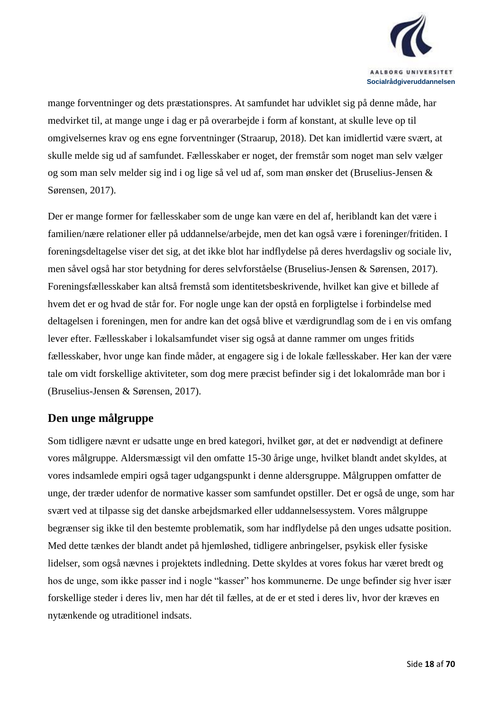

mange forventninger og dets præstationspres. At samfundet har udviklet sig på denne måde, har medvirket til, at mange unge i dag er på overarbejde i form af konstant, at skulle leve op til omgivelsernes krav og ens egne forventninger (Straarup, 2018). Det kan imidlertid være svært, at skulle melde sig ud af samfundet. Fællesskaber er noget, der fremstår som noget man selv vælger og som man selv melder sig ind i og lige så vel ud af, som man ønsker det (Bruselius-Jensen & Sørensen, 2017).

Der er mange former for fællesskaber som de unge kan være en del af, heriblandt kan det være i familien/nære relationer eller på uddannelse/arbejde, men det kan også være i foreninger/fritiden. I foreningsdeltagelse viser det sig, at det ikke blot har indflydelse på deres hverdagsliv og sociale liv, men såvel også har stor betydning for deres selvforståelse (Bruselius-Jensen & Sørensen, 2017). Foreningsfællesskaber kan altså fremstå som identitetsbeskrivende, hvilket kan give et billede af hvem det er og hvad de står for. For nogle unge kan der opstå en forpligtelse i forbindelse med deltagelsen i foreningen, men for andre kan det også blive et værdigrundlag som de i en vis omfang lever efter. Fællesskaber i lokalsamfundet viser sig også at danne rammer om unges fritids fællesskaber, hvor unge kan finde måder, at engagere sig i de lokale fællesskaber. Her kan der være tale om vidt forskellige aktiviteter, som dog mere præcist befinder sig i det lokalområde man bor i (Bruselius-Jensen & Sørensen, 2017).

### <span id="page-17-0"></span>**Den unge målgruppe**

Som tidligere nævnt er udsatte unge en bred kategori, hvilket gør, at det er nødvendigt at definere vores målgruppe. Aldersmæssigt vil den omfatte 15-30 årige unge, hvilket blandt andet skyldes, at vores indsamlede empiri også tager udgangspunkt i denne aldersgruppe. Målgruppen omfatter de unge, der træder udenfor de normative kasser som samfundet opstiller. Det er også de unge, som har svært ved at tilpasse sig det danske arbejdsmarked eller uddannelsessystem. Vores målgruppe begrænser sig ikke til den bestemte problematik, som har indflydelse på den unges udsatte position. Med dette tænkes der blandt andet på hjemløshed, tidligere anbringelser, psykisk eller fysiske lidelser, som også nævnes i projektets indledning. Dette skyldes at vores fokus har været bredt og hos de unge, som ikke passer ind i nogle "kasser" hos kommunerne. De unge befinder sig hver især forskellige steder i deres liv, men har dét til fælles, at de er et sted i deres liv, hvor der kræves en nytænkende og utraditionel indsats.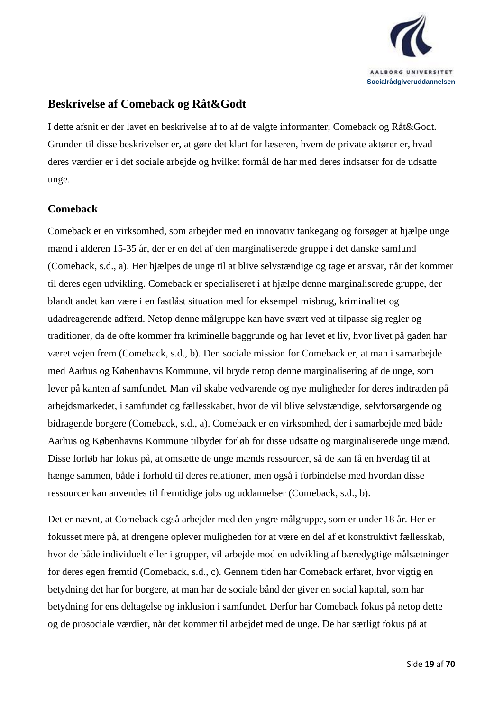

#### <span id="page-18-0"></span>**Beskrivelse af Comeback og Råt&Godt**

I dette afsnit er der lavet en beskrivelse af to af de valgte informanter; Comeback og Råt&Godt. Grunden til disse beskrivelser er, at gøre det klart for læseren, hvem de private aktører er, hvad deres værdier er i det sociale arbejde og hvilket formål de har med deres indsatser for de udsatte unge.

#### <span id="page-18-1"></span>**Comeback**

Comeback er en virksomhed, som arbejder med en innovativ tankegang og forsøger at hjælpe unge mænd i alderen 15-35 år, der er en del af den marginaliserede gruppe i det danske samfund (Comeback, s.d., a). Her hjælpes de unge til at blive selvstændige og tage et ansvar, når det kommer til deres egen udvikling. Comeback er specialiseret i at hjælpe denne marginaliserede gruppe, der blandt andet kan være i en fastlåst situation med for eksempel misbrug, kriminalitet og udadreagerende adfærd. Netop denne målgruppe kan have svært ved at tilpasse sig regler og traditioner, da de ofte kommer fra kriminelle baggrunde og har levet et liv, hvor livet på gaden har været vejen frem (Comeback, s.d., b). Den sociale mission for Comeback er, at man i samarbejde med Aarhus og Københavns Kommune, vil bryde netop denne marginalisering af de unge, som lever på kanten af samfundet. Man vil skabe vedvarende og nye muligheder for deres indtræden på arbejdsmarkedet, i samfundet og fællesskabet, hvor de vil blive selvstændige, selvforsørgende og bidragende borgere (Comeback, s.d., a). Comeback er en virksomhed, der i samarbejde med både Aarhus og Københavns Kommune tilbyder forløb for disse udsatte og marginaliserede unge mænd. Disse forløb har fokus på, at omsætte de unge mænds ressourcer, så de kan få en hverdag til at hænge sammen, både i forhold til deres relationer, men også i forbindelse med hvordan disse ressourcer kan anvendes til fremtidige jobs og uddannelser (Comeback, s.d., b).

Det er nævnt, at Comeback også arbejder med den yngre målgruppe, som er under 18 år. Her er fokusset mere på, at drengene oplever muligheden for at være en del af et konstruktivt fællesskab, hvor de både individuelt eller i grupper, vil arbejde mod en udvikling af bæredygtige målsætninger for deres egen fremtid (Comeback, s.d., c). Gennem tiden har Comeback erfaret, hvor vigtig en betydning det har for borgere, at man har de sociale bånd der giver en social kapital, som har betydning for ens deltagelse og inklusion i samfundet. Derfor har Comeback fokus på netop dette og de prosociale værdier, når det kommer til arbejdet med de unge. De har særligt fokus på at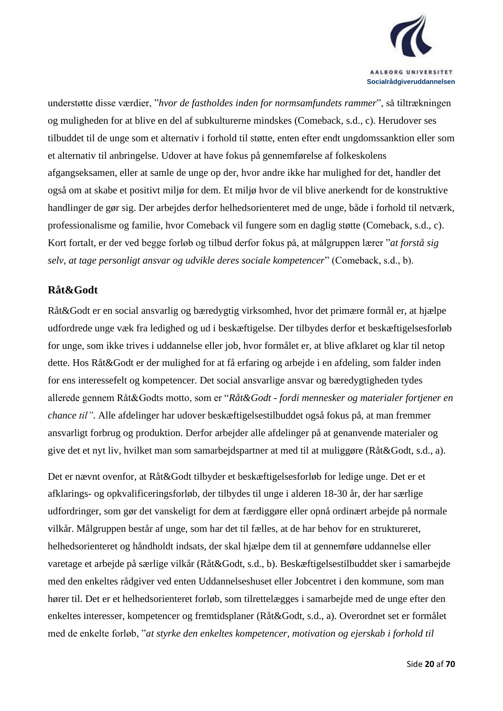

understøtte disse værdier, "*hvor de fastholdes inden for normsamfundets rammer*", så tiltrækningen og muligheden for at blive en del af subkulturerne mindskes (Comeback, s.d., c). Herudover ses tilbuddet til de unge som et alternativ i forhold til støtte, enten efter endt ungdomssanktion eller som et alternativ til anbringelse. Udover at have fokus på gennemførelse af folkeskolens afgangseksamen, eller at samle de unge op der, hvor andre ikke har mulighed for det, handler det også om at skabe et positivt miljø for dem. Et miljø hvor de vil blive anerkendt for de konstruktive handlinger de gør sig. Der arbejdes derfor helhedsorienteret med de unge, både i forhold til netværk, professionalisme og familie, hvor Comeback vil fungere som en daglig støtte (Comeback, s.d., c). Kort fortalt, er der ved begge forløb og tilbud derfor fokus på, at målgruppen lærer "*at forstå sig selv, at tage personligt ansvar og udvikle deres sociale kompetencer*" (Comeback, s.d., b).

#### <span id="page-19-0"></span>**Råt&Godt**

Råt&Godt er en social ansvarlig og bæredygtig virksomhed, hvor det primære formål er, at hjælpe udfordrede unge væk fra ledighed og ud i beskæftigelse. Der tilbydes derfor et beskæftigelsesforløb for unge, som ikke trives i uddannelse eller job, hvor formålet er, at blive afklaret og klar til netop dette. Hos Råt&Godt er der mulighed for at få erfaring og arbejde i en afdeling, som falder inden for ens interessefelt og kompetencer. Det social ansvarlige ansvar og bæredygtigheden tydes allerede gennem Råt&Godts motto, som er "*Råt&Godt - fordi mennesker og materialer fortjener en chance til"*. Alle afdelinger har udover beskæftigelsestilbuddet også fokus på, at man fremmer ansvarligt forbrug og produktion. Derfor arbejder alle afdelinger på at genanvende materialer og give det et nyt liv, hvilket man som samarbejdspartner at med til at muliggøre (Råt&Godt, s.d., a).

Det er nævnt ovenfor, at Råt&Godt tilbyder et beskæftigelsesforløb for ledige unge. Det er et afklarings- og opkvalificeringsforløb, der tilbydes til unge i alderen 18-30 år, der har særlige udfordringer, som gør det vanskeligt for dem at færdiggøre eller opnå ordinært arbejde på normale vilkår. Målgruppen består af unge, som har det til fælles, at de har behov for en struktureret, helhedsorienteret og håndholdt indsats, der skal hjælpe dem til at gennemføre uddannelse eller varetage et arbejde på særlige vilkår (Råt&Godt, s.d., b). Beskæftigelsestilbuddet sker i samarbejde med den enkeltes rådgiver ved enten Uddannelseshuset eller Jobcentret i den kommune, som man hører til. Det er et helhedsorienteret forløb, som tilrettelægges i samarbejde med de unge efter den enkeltes interesser, kompetencer og fremtidsplaner (Råt&Godt, s.d., a). Overordnet set er formålet med de enkelte forløb, "*at styrke den enkeltes kompetencer, motivation og ejerskab i forhold til*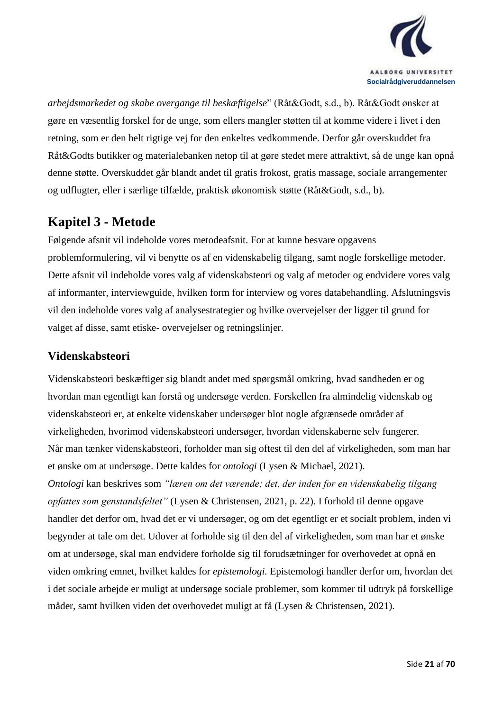

*arbejdsmarkedet og skabe overgange til beskæftigelse*" (Råt&Godt, s.d., b). Råt&Godt ønsker at gøre en væsentlig forskel for de unge, som ellers mangler støtten til at komme videre i livet i den retning, som er den helt rigtige vej for den enkeltes vedkommende. Derfor går overskuddet fra Råt&Godts butikker og materialebanken netop til at gøre stedet mere attraktivt, så de unge kan opnå denne støtte. Overskuddet går blandt andet til gratis frokost, gratis massage, sociale arrangementer og udflugter, eller i særlige tilfælde, praktisk økonomisk støtte (Råt&Godt, s.d., b).

## <span id="page-20-0"></span>**Kapitel 3 - Metode**

Følgende afsnit vil indeholde vores metodeafsnit. For at kunne besvare opgavens problemformulering, vil vi benytte os af en videnskabelig tilgang, samt nogle forskellige metoder. Dette afsnit vil indeholde vores valg af videnskabsteori og valg af metoder og endvidere vores valg af informanter, interviewguide, hvilken form for interview og vores databehandling. Afslutningsvis vil den indeholde vores valg af analysestrategier og hvilke overvejelser der ligger til grund for valget af disse, samt etiske- overvejelser og retningslinjer.

#### <span id="page-20-1"></span>**Videnskabsteori**

Videnskabsteori beskæftiger sig blandt andet med spørgsmål omkring, hvad sandheden er og hvordan man egentligt kan forstå og undersøge verden. Forskellen fra almindelig videnskab og videnskabsteori er, at enkelte videnskaber undersøger blot nogle afgrænsede områder af virkeligheden, hvorimod videnskabsteori undersøger, hvordan videnskaberne selv fungerer. Når man tænker videnskabsteori, forholder man sig oftest til den del af virkeligheden, som man har et ønske om at undersøge. Dette kaldes for *ontologi* (Lysen & Michael, 2021). *Ontologi* kan beskrives som *"læren om det værende; det, der inden for en videnskabelig tilgang opfattes som genstandsfeltet"* (Lysen & Christensen, 2021, p. 22). I forhold til denne opgave handler det derfor om, hvad det er vi undersøger, og om det egentligt er et socialt problem, inden vi begynder at tale om det. Udover at forholde sig til den del af virkeligheden, som man har et ønske om at undersøge, skal man endvidere forholde sig til forudsætninger for overhovedet at opnå en viden omkring emnet, hvilket kaldes for *epistemologi.* Epistemologi handler derfor om, hvordan det i det sociale arbejde er muligt at undersøge sociale problemer, som kommer til udtryk på forskellige måder, samt hvilken viden det overhovedet muligt at få (Lysen & Christensen, 2021).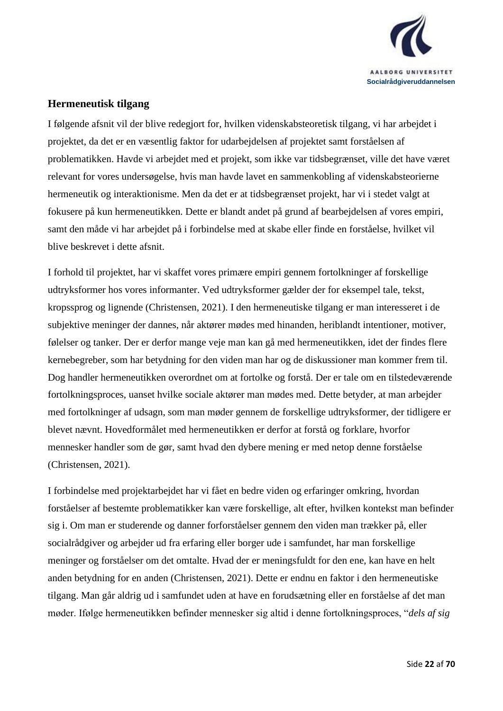

#### <span id="page-21-0"></span>**Hermeneutisk tilgang**

I følgende afsnit vil der blive redegjort for, hvilken videnskabsteoretisk tilgang, vi har arbejdet i projektet, da det er en væsentlig faktor for udarbejdelsen af projektet samt forståelsen af problematikken. Havde vi arbejdet med et projekt, som ikke var tidsbegrænset, ville det have været relevant for vores undersøgelse, hvis man havde lavet en sammenkobling af videnskabsteorierne hermeneutik og interaktionisme. Men da det er at tidsbegrænset projekt, har vi i stedet valgt at fokusere på kun hermeneutikken. Dette er blandt andet på grund af bearbejdelsen af vores empiri, samt den måde vi har arbejdet på i forbindelse med at skabe eller finde en forståelse, hvilket vil blive beskrevet i dette afsnit.

I forhold til projektet, har vi skaffet vores primære empiri gennem fortolkninger af forskellige udtryksformer hos vores informanter. Ved udtryksformer gælder der for eksempel tale, tekst, kropssprog og lignende (Christensen, 2021). I den hermeneutiske tilgang er man interesseret i de subjektive meninger der dannes, når aktører mødes med hinanden, heriblandt intentioner, motiver, følelser og tanker. Der er derfor mange veje man kan gå med hermeneutikken, idet der findes flere kernebegreber, som har betydning for den viden man har og de diskussioner man kommer frem til. Dog handler hermeneutikken overordnet om at fortolke og forstå. Der er tale om en tilstedeværende fortolkningsproces, uanset hvilke sociale aktører man mødes med. Dette betyder, at man arbejder med fortolkninger af udsagn, som man møder gennem de forskellige udtryksformer, der tidligere er blevet nævnt. Hovedformålet med hermeneutikken er derfor at forstå og forklare, hvorfor mennesker handler som de gør, samt hvad den dybere mening er med netop denne forståelse (Christensen, 2021).

I forbindelse med projektarbejdet har vi fået en bedre viden og erfaringer omkring, hvordan forståelser af bestemte problematikker kan være forskellige, alt efter, hvilken kontekst man befinder sig i. Om man er studerende og danner forforståelser gennem den viden man trækker på, eller socialrådgiver og arbejder ud fra erfaring eller borger ude i samfundet, har man forskellige meninger og forståelser om det omtalte. Hvad der er meningsfuldt for den ene, kan have en helt anden betydning for en anden (Christensen, 2021). Dette er endnu en faktor i den hermeneutiske tilgang. Man går aldrig ud i samfundet uden at have en forudsætning eller en forståelse af det man møder. Ifølge hermeneutikken befinder mennesker sig altid i denne fortolkningsproces, "*dels af sig*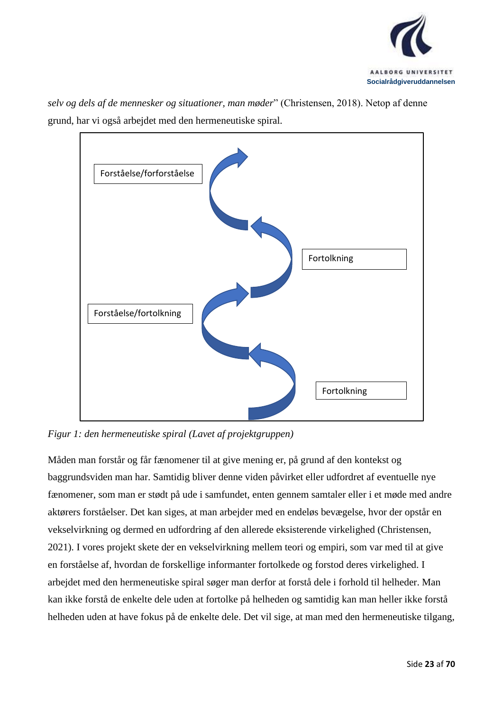

*selv og dels af de mennesker og situationer, man møder*" (Christensen, 2018). Netop af denne grund, har vi også arbejdet med den hermeneutiske spiral.



*Figur 1: den hermeneutiske spiral (Lavet af projektgruppen)*

Måden man forstår og får fænomener til at give mening er, på grund af den kontekst og baggrundsviden man har. Samtidig bliver denne viden påvirket eller udfordret af eventuelle nye fænomener, som man er stødt på ude i samfundet, enten gennem samtaler eller i et møde med andre aktørers forståelser. Det kan siges, at man arbejder med en endeløs bevægelse, hvor der opstår en vekselvirkning og dermed en udfordring af den allerede eksisterende virkelighed (Christensen, 2021). I vores projekt skete der en vekselvirkning mellem teori og empiri, som var med til at give en forståelse af, hvordan de forskellige informanter fortolkede og forstod deres virkelighed. I arbejdet med den hermeneutiske spiral søger man derfor at forstå dele i forhold til helheder. Man kan ikke forstå de enkelte dele uden at fortolke på helheden og samtidig kan man heller ikke forstå helheden uden at have fokus på de enkelte dele. Det vil sige, at man med den hermeneutiske tilgang,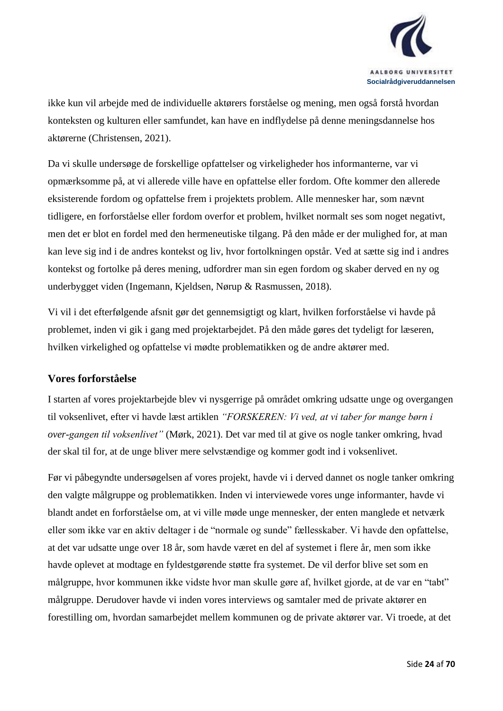

ikke kun vil arbejde med de individuelle aktørers forståelse og mening, men også forstå hvordan konteksten og kulturen eller samfundet, kan have en indflydelse på denne meningsdannelse hos aktørerne (Christensen, 2021).

Da vi skulle undersøge de forskellige opfattelser og virkeligheder hos informanterne, var vi opmærksomme på, at vi allerede ville have en opfattelse eller fordom. Ofte kommer den allerede eksisterende fordom og opfattelse frem i projektets problem. Alle mennesker har, som nævnt tidligere, en forforståelse eller fordom overfor et problem, hvilket normalt ses som noget negativt, men det er blot en fordel med den hermeneutiske tilgang. På den måde er der mulighed for, at man kan leve sig ind i de andres kontekst og liv, hvor fortolkningen opstår. Ved at sætte sig ind i andres kontekst og fortolke på deres mening, udfordrer man sin egen fordom og skaber derved en ny og underbygget viden (Ingemann, Kjeldsen, Nørup & Rasmussen, 2018).

Vi vil i det efterfølgende afsnit gør det gennemsigtigt og klart, hvilken forforståelse vi havde på problemet, inden vi gik i gang med projektarbejdet. På den måde gøres det tydeligt for læseren, hvilken virkelighed og opfattelse vi mødte problematikken og de andre aktører med.

#### <span id="page-23-0"></span>**Vores forforståelse**

I starten af vores projektarbejde blev vi nysgerrige på området omkring udsatte unge og overgangen til voksenlivet, efter vi havde læst artiklen *"FORSKEREN: Vi ved, at vi taber for mange børn i over-gangen til voksenlivet"* (Mørk, 2021). Det var med til at give os nogle tanker omkring, hvad der skal til for, at de unge bliver mere selvstændige og kommer godt ind i voksenlivet.

Før vi påbegyndte undersøgelsen af vores projekt, havde vi i derved dannet os nogle tanker omkring den valgte målgruppe og problematikken. Inden vi interviewede vores unge informanter, havde vi blandt andet en forforståelse om, at vi ville møde unge mennesker, der enten manglede et netværk eller som ikke var en aktiv deltager i de "normale og sunde" fællesskaber. Vi havde den opfattelse, at det var udsatte unge over 18 år, som havde været en del af systemet i flere år, men som ikke havde oplevet at modtage en fyldestgørende støtte fra systemet. De vil derfor blive set som en målgruppe, hvor kommunen ikke vidste hvor man skulle gøre af, hvilket gjorde, at de var en "tabt" målgruppe. Derudover havde vi inden vores interviews og samtaler med de private aktører en forestilling om, hvordan samarbejdet mellem kommunen og de private aktører var. Vi troede, at det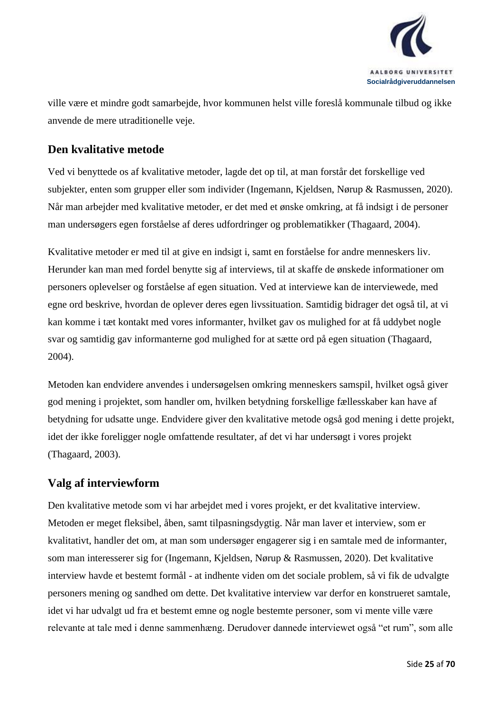

ville være et mindre godt samarbejde, hvor kommunen helst ville foreslå kommunale tilbud og ikke anvende de mere utraditionelle veje.

### <span id="page-24-0"></span>**Den kvalitative metode**

Ved vi benyttede os af kvalitative metoder, lagde det op til, at man forstår det forskellige ved subjekter, enten som grupper eller som individer (Ingemann, Kjeldsen, Nørup & Rasmussen, 2020). Når man arbejder med kvalitative metoder, er det med et ønske omkring, at få indsigt i de personer man undersøgers egen forståelse af deres udfordringer og problematikker (Thagaard, 2004).

Kvalitative metoder er med til at give en indsigt i, samt en forståelse for andre menneskers liv. Herunder kan man med fordel benytte sig af interviews, til at skaffe de ønskede informationer om personers oplevelser og forståelse af egen situation. Ved at interviewe kan de interviewede, med egne ord beskrive, hvordan de oplever deres egen livssituation. Samtidig bidrager det også til, at vi kan komme i tæt kontakt med vores informanter, hvilket gav os mulighed for at få uddybet nogle svar og samtidig gav informanterne god mulighed for at sætte ord på egen situation (Thagaard, 2004).

Metoden kan endvidere anvendes i undersøgelsen omkring menneskers samspil, hvilket også giver god mening i projektet, som handler om, hvilken betydning forskellige fællesskaber kan have af betydning for udsatte unge. Endvidere giver den kvalitative metode også god mening i dette projekt, idet der ikke foreligger nogle omfattende resultater, af det vi har undersøgt i vores projekt (Thagaard, 2003).

#### <span id="page-24-1"></span>**Valg af interviewform**

Den kvalitative metode som vi har arbejdet med i vores projekt, er det kvalitative interview. Metoden er meget fleksibel, åben, samt tilpasningsdygtig. Når man laver et interview, som er kvalitativt, handler det om, at man som undersøger engagerer sig i en samtale med de informanter, som man interesserer sig for (Ingemann, Kjeldsen, Nørup & Rasmussen, 2020). Det kvalitative interview havde et bestemt formål - at indhente viden om det sociale problem, så vi fik de udvalgte personers mening og sandhed om dette. Det kvalitative interview var derfor en konstrueret samtale, idet vi har udvalgt ud fra et bestemt emne og nogle bestemte personer, som vi mente ville være relevante at tale med i denne sammenhæng. Derudover dannede interviewet også "et rum", som alle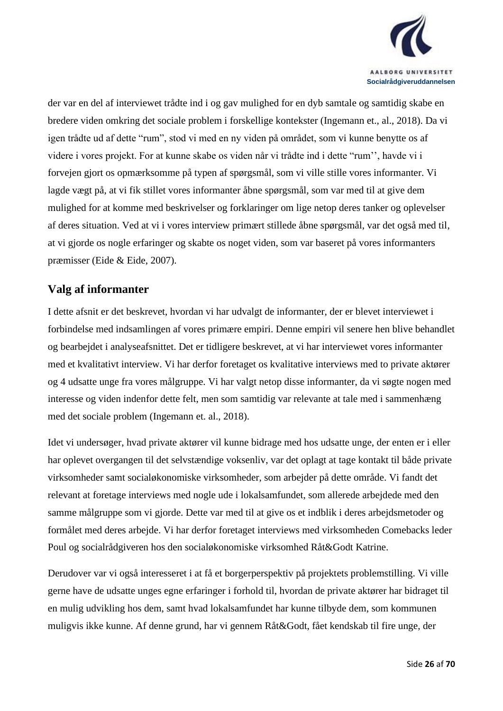

der var en del af interviewet trådte ind i og gav mulighed for en dyb samtale og samtidig skabe en bredere viden omkring det sociale problem i forskellige kontekster (Ingemann et., al., 2018). Da vi igen trådte ud af dette "rum", stod vi med en ny viden på området, som vi kunne benytte os af videre i vores projekt. For at kunne skabe os viden når vi trådte ind i dette "rum'', havde vi i forvejen gjort os opmærksomme på typen af spørgsmål, som vi ville stille vores informanter. Vi lagde vægt på, at vi fik stillet vores informanter åbne spørgsmål, som var med til at give dem mulighed for at komme med beskrivelser og forklaringer om lige netop deres tanker og oplevelser af deres situation. Ved at vi i vores interview primært stillede åbne spørgsmål, var det også med til, at vi gjorde os nogle erfaringer og skabte os noget viden, som var baseret på vores informanters præmisser (Eide & Eide, 2007).

#### <span id="page-25-0"></span>**Valg af informanter**

I dette afsnit er det beskrevet, hvordan vi har udvalgt de informanter, der er blevet interviewet i forbindelse med indsamlingen af vores primære empiri. Denne empiri vil senere hen blive behandlet og bearbejdet i analyseafsnittet. Det er tidligere beskrevet, at vi har interviewet vores informanter med et kvalitativt interview. Vi har derfor foretaget os kvalitative interviews med to private aktører og 4 udsatte unge fra vores målgruppe. Vi har valgt netop disse informanter, da vi søgte nogen med interesse og viden indenfor dette felt, men som samtidig var relevante at tale med i sammenhæng med det sociale problem (Ingemann et. al., 2018).

Idet vi undersøger, hvad private aktører vil kunne bidrage med hos udsatte unge, der enten er i eller har oplevet overgangen til det selvstændige voksenliv, var det oplagt at tage kontakt til både private virksomheder samt socialøkonomiske virksomheder, som arbejder på dette område. Vi fandt det relevant at foretage interviews med nogle ude i lokalsamfundet, som allerede arbejdede med den samme målgruppe som vi gjorde. Dette var med til at give os et indblik i deres arbejdsmetoder og formålet med deres arbejde. Vi har derfor foretaget interviews med virksomheden Comebacks leder Poul og socialrådgiveren hos den socialøkonomiske virksomhed Råt&Godt Katrine.

Derudover var vi også interesseret i at få et borgerperspektiv på projektets problemstilling. Vi ville gerne have de udsatte unges egne erfaringer i forhold til, hvordan de private aktører har bidraget til en mulig udvikling hos dem, samt hvad lokalsamfundet har kunne tilbyde dem, som kommunen muligvis ikke kunne. Af denne grund, har vi gennem Råt&Godt, fået kendskab til fire unge, der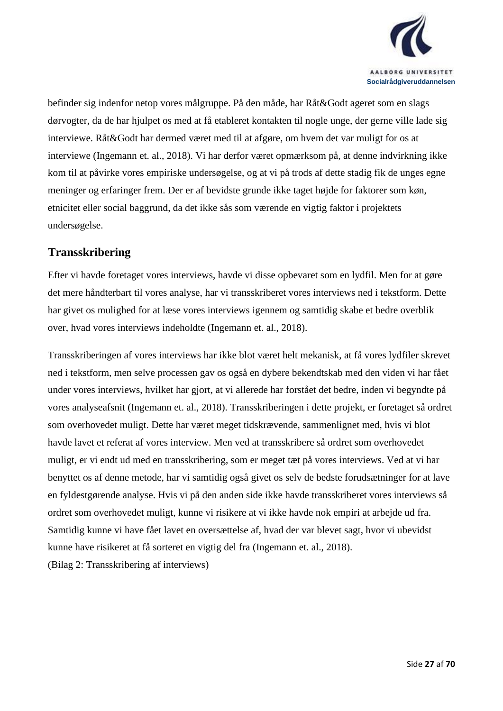

befinder sig indenfor netop vores målgruppe. På den måde, har Råt&Godt ageret som en slags dørvogter, da de har hjulpet os med at få etableret kontakten til nogle unge, der gerne ville lade sig interviewe. Råt&Godt har dermed været med til at afgøre, om hvem det var muligt for os at interviewe (Ingemann et. al., 2018). Vi har derfor været opmærksom på, at denne indvirkning ikke kom til at påvirke vores empiriske undersøgelse, og at vi på trods af dette stadig fik de unges egne meninger og erfaringer frem. Der er af bevidste grunde ikke taget højde for faktorer som køn, etnicitet eller social baggrund, da det ikke sås som værende en vigtig faktor i projektets undersøgelse.

#### <span id="page-26-0"></span>**Transskribering**

Efter vi havde foretaget vores interviews, havde vi disse opbevaret som en lydfil. Men for at gøre det mere håndterbart til vores analyse, har vi transskriberet vores interviews ned i tekstform. Dette har givet os mulighed for at læse vores interviews igennem og samtidig skabe et bedre overblik over, hvad vores interviews indeholdte (Ingemann et. al., 2018).

Transskriberingen af vores interviews har ikke blot været helt mekanisk, at få vores lydfiler skrevet ned i tekstform, men selve processen gav os også en dybere bekendtskab med den viden vi har fået under vores interviews, hvilket har gjort, at vi allerede har forstået det bedre, inden vi begyndte på vores analyseafsnit (Ingemann et. al., 2018). Transskriberingen i dette projekt, er foretaget så ordret som overhovedet muligt. Dette har været meget tidskrævende, sammenlignet med, hvis vi blot havde lavet et referat af vores interview. Men ved at transskribere så ordret som overhovedet muligt, er vi endt ud med en transskribering, som er meget tæt på vores interviews. Ved at vi har benyttet os af denne metode, har vi samtidig også givet os selv de bedste forudsætninger for at lave en fyldestgørende analyse. Hvis vi på den anden side ikke havde transskriberet vores interviews så ordret som overhovedet muligt, kunne vi risikere at vi ikke havde nok empiri at arbejde ud fra. Samtidig kunne vi have fået lavet en oversættelse af, hvad der var blevet sagt, hvor vi ubevidst kunne have risikeret at få sorteret en vigtig del fra (Ingemann et. al., 2018). (Bilag 2: Transskribering af interviews)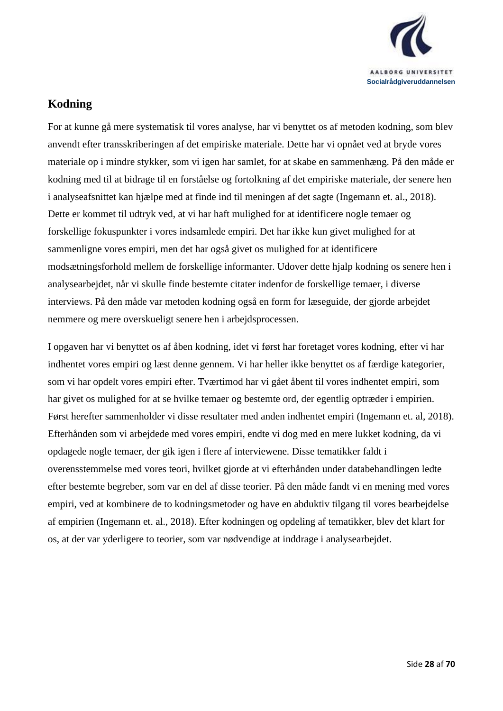

### <span id="page-27-0"></span>**Kodning**

For at kunne gå mere systematisk til vores analyse, har vi benyttet os af metoden kodning, som blev anvendt efter transskriberingen af det empiriske materiale. Dette har vi opnået ved at bryde vores materiale op i mindre stykker, som vi igen har samlet, for at skabe en sammenhæng. På den måde er kodning med til at bidrage til en forståelse og fortolkning af det empiriske materiale, der senere hen i analyseafsnittet kan hjælpe med at finde ind til meningen af det sagte (Ingemann et. al., 2018). Dette er kommet til udtryk ved, at vi har haft mulighed for at identificere nogle temaer og forskellige fokuspunkter i vores indsamlede empiri. Det har ikke kun givet mulighed for at sammenligne vores empiri, men det har også givet os mulighed for at identificere modsætningsforhold mellem de forskellige informanter. Udover dette hjalp kodning os senere hen i analysearbejdet, når vi skulle finde bestemte citater indenfor de forskellige temaer, i diverse interviews. På den måde var metoden kodning også en form for læseguide, der gjorde arbejdet nemmere og mere overskueligt senere hen i arbejdsprocessen.

I opgaven har vi benyttet os af åben kodning, idet vi først har foretaget vores kodning, efter vi har indhentet vores empiri og læst denne gennem. Vi har heller ikke benyttet os af færdige kategorier, som vi har opdelt vores empiri efter. Tværtimod har vi gået åbent til vores indhentet empiri, som har givet os mulighed for at se hvilke temaer og bestemte ord, der egentlig optræder i empirien. Først herefter sammenholder vi disse resultater med anden indhentet empiri (Ingemann et. al, 2018). Efterhånden som vi arbejdede med vores empiri, endte vi dog med en mere lukket kodning, da vi opdagede nogle temaer, der gik igen i flere af interviewene. Disse tematikker faldt i overensstemmelse med vores teori, hvilket gjorde at vi efterhånden under databehandlingen ledte efter bestemte begreber, som var en del af disse teorier. På den måde fandt vi en mening med vores empiri, ved at kombinere de to kodningsmetoder og have en abduktiv tilgang til vores bearbejdelse af empirien (Ingemann et. al., 2018). Efter kodningen og opdeling af tematikker, blev det klart for os, at der var yderligere to teorier, som var nødvendige at inddrage i analysearbejdet.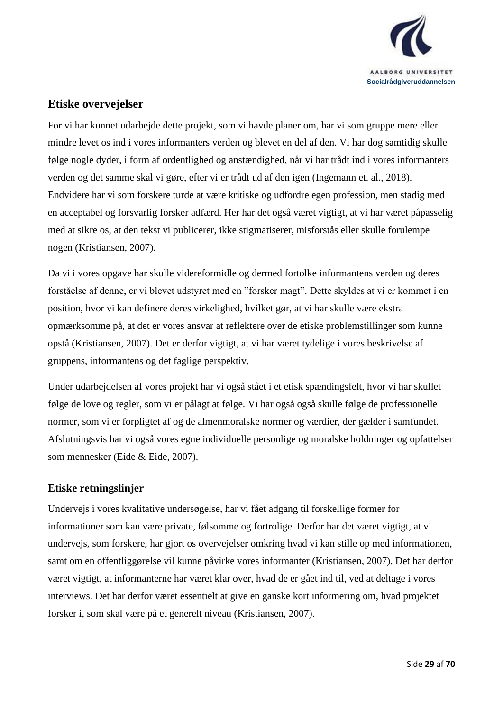

#### <span id="page-28-0"></span>**Etiske overvejelser**

For vi har kunnet udarbejde dette projekt, som vi havde planer om, har vi som gruppe mere eller mindre levet os ind i vores informanters verden og blevet en del af den. Vi har dog samtidig skulle følge nogle dyder, i form af ordentlighed og anstændighed, når vi har trådt ind i vores informanters verden og det samme skal vi gøre, efter vi er trådt ud af den igen (Ingemann et. al., 2018). Endvidere har vi som forskere turde at være kritiske og udfordre egen profession, men stadig med en acceptabel og forsvarlig forsker adfærd. Her har det også været vigtigt, at vi har været påpasselig med at sikre os, at den tekst vi publicerer, ikke stigmatiserer, misforstås eller skulle forulempe nogen (Kristiansen, 2007).

Da vi i vores opgave har skulle videreformidle og dermed fortolke informantens verden og deres forståelse af denne, er vi blevet udstyret med en "forsker magt". Dette skyldes at vi er kommet i en position, hvor vi kan definere deres virkelighed, hvilket gør, at vi har skulle være ekstra opmærksomme på, at det er vores ansvar at reflektere over de etiske problemstillinger som kunne opstå (Kristiansen, 2007). Det er derfor vigtigt, at vi har været tydelige i vores beskrivelse af gruppens, informantens og det faglige perspektiv.

Under udarbejdelsen af vores projekt har vi også stået i et etisk spændingsfelt, hvor vi har skullet følge de love og regler, som vi er pålagt at følge. Vi har også også skulle følge de professionelle normer, som vi er forpligtet af og de almenmoralske normer og værdier, der gælder i samfundet. Afslutningsvis har vi også vores egne individuelle personlige og moralske holdninger og opfattelser som mennesker (Eide & Eide, 2007).

#### <span id="page-28-1"></span>**Etiske retningslinjer**

Undervejs i vores kvalitative undersøgelse, har vi fået adgang til forskellige former for informationer som kan være private, følsomme og fortrolige. Derfor har det været vigtigt, at vi undervejs, som forskere, har gjort os overvejelser omkring hvad vi kan stille op med informationen, samt om en offentliggørelse vil kunne påvirke vores informanter (Kristiansen, 2007). Det har derfor været vigtigt, at informanterne har været klar over, hvad de er gået ind til, ved at deltage i vores interviews. Det har derfor været essentielt at give en ganske kort informering om, hvad projektet forsker i, som skal være på et generelt niveau (Kristiansen, 2007).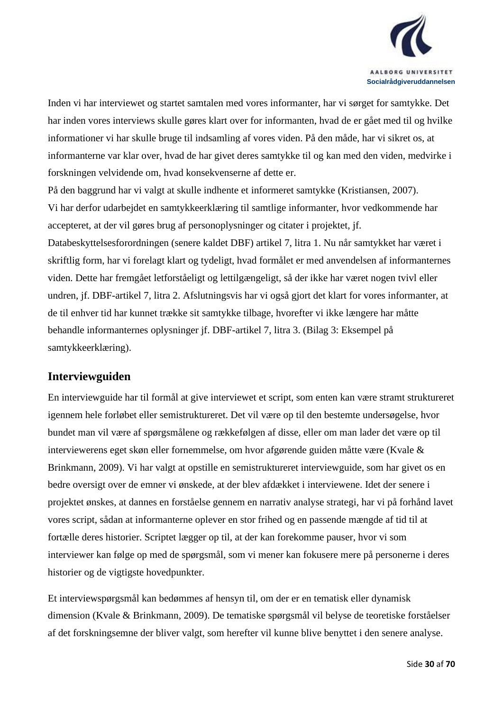

Inden vi har interviewet og startet samtalen med vores informanter, har vi sørget for samtykke. Det har inden vores interviews skulle gøres klart over for informanten, hvad de er gået med til og hvilke informationer vi har skulle bruge til indsamling af vores viden. På den måde, har vi sikret os, at informanterne var klar over, hvad de har givet deres samtykke til og kan med den viden, medvirke i forskningen velvidende om, hvad konsekvenserne af dette er.

På den baggrund har vi valgt at skulle indhente et informeret samtykke (Kristiansen, 2007). Vi har derfor udarbejdet en samtykkeerklæring til samtlige informanter, hvor vedkommende har accepteret, at der vil gøres brug af personoplysninger og citater i projektet, jf. Databeskyttelsesforordningen (senere kaldet DBF) artikel 7, litra 1. Nu når samtykket har været i skriftlig form, har vi forelagt klart og tydeligt, hvad formålet er med anvendelsen af informanternes viden. Dette har fremgået letforståeligt og lettilgængeligt, så der ikke har været nogen tvivl eller undren, jf. DBF-artikel 7, litra 2. Afslutningsvis har vi også gjort det klart for vores informanter, at de til enhver tid har kunnet trække sit samtykke tilbage, hvorefter vi ikke længere har måtte behandle informanternes oplysninger jf. DBF-artikel 7, litra 3. (Bilag 3: Eksempel på samtykkeerklæring).

#### <span id="page-29-0"></span>**Interviewguiden**

En interviewguide har til formål at give interviewet et script, som enten kan være stramt struktureret igennem hele forløbet eller semistruktureret. Det vil være op til den bestemte undersøgelse, hvor bundet man vil være af spørgsmålene og rækkefølgen af disse, eller om man lader det være op til interviewerens eget skøn eller fornemmelse, om hvor afgørende guiden måtte være (Kvale & Brinkmann, 2009). Vi har valgt at opstille en semistruktureret interviewguide, som har givet os en bedre oversigt over de emner vi ønskede, at der blev afdækket i interviewene. Idet der senere i projektet ønskes, at dannes en forståelse gennem en narrativ analyse strategi, har vi på forhånd lavet vores script, sådan at informanterne oplever en stor frihed og en passende mængde af tid til at fortælle deres historier. Scriptet lægger op til, at der kan forekomme pauser, hvor vi som interviewer kan følge op med de spørgsmål, som vi mener kan fokusere mere på personerne i deres historier og de vigtigste hovedpunkter.

Et interviewspørgsmål kan bedømmes af hensyn til, om der er en tematisk eller dynamisk dimension (Kvale & Brinkmann, 2009). De tematiske spørgsmål vil belyse de teoretiske forståelser af det forskningsemne der bliver valgt, som herefter vil kunne blive benyttet i den senere analyse.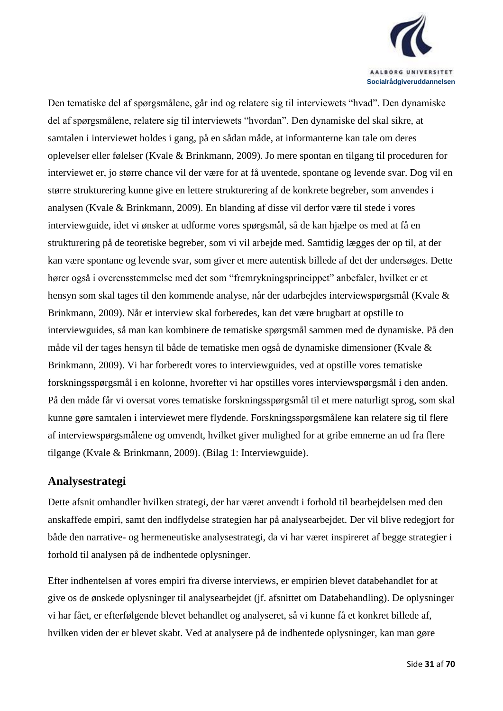

Den tematiske del af spørgsmålene, går ind og relatere sig til interviewets "hvad". Den dynamiske del af spørgsmålene, relatere sig til interviewets "hvordan". Den dynamiske del skal sikre, at samtalen i interviewet holdes i gang, på en sådan måde, at informanterne kan tale om deres oplevelser eller følelser (Kvale & Brinkmann, 2009). Jo mere spontan en tilgang til proceduren for interviewet er, jo større chance vil der være for at få uventede, spontane og levende svar. Dog vil en større strukturering kunne give en lettere strukturering af de konkrete begreber, som anvendes i analysen (Kvale & Brinkmann, 2009). En blanding af disse vil derfor være til stede i vores interviewguide, idet vi ønsker at udforme vores spørgsmål, så de kan hjælpe os med at få en strukturering på de teoretiske begreber, som vi vil arbejde med. Samtidig lægges der op til, at der kan være spontane og levende svar, som giver et mere autentisk billede af det der undersøges. Dette hører også i overensstemmelse med det som "fremrykningsprincippet" anbefaler, hvilket er et hensyn som skal tages til den kommende analyse, når der udarbejdes interviewspørgsmål (Kvale & Brinkmann, 2009). Når et interview skal forberedes, kan det være brugbart at opstille to interviewguides, så man kan kombinere de tematiske spørgsmål sammen med de dynamiske. På den måde vil der tages hensyn til både de tematiske men også de dynamiske dimensioner (Kvale & Brinkmann, 2009). Vi har forberedt vores to interviewguides, ved at opstille vores tematiske forskningsspørgsmål i en kolonne, hvorefter vi har opstilles vores interviewspørgsmål i den anden. På den måde får vi oversat vores tematiske forskningsspørgsmål til et mere naturligt sprog, som skal kunne gøre samtalen i interviewet mere flydende. Forskningsspørgsmålene kan relatere sig til flere af interviewspørgsmålene og omvendt, hvilket giver mulighed for at gribe emnerne an ud fra flere tilgange (Kvale & Brinkmann, 2009). (Bilag 1: Interviewguide).

### <span id="page-30-0"></span>**Analysestrategi**

Dette afsnit omhandler hvilken strategi, der har været anvendt i forhold til bearbejdelsen med den anskaffede empiri, samt den indflydelse strategien har på analysearbejdet. Der vil blive redegjort for både den narrative- og hermeneutiske analysestrategi, da vi har været inspireret af begge strategier i forhold til analysen på de indhentede oplysninger.

Efter indhentelsen af vores empiri fra diverse interviews, er empirien blevet databehandlet for at give os de ønskede oplysninger til analysearbejdet (jf. afsnittet om Databehandling). De oplysninger vi har fået, er efterfølgende blevet behandlet og analyseret, så vi kunne få et konkret billede af, hvilken viden der er blevet skabt. Ved at analysere på de indhentede oplysninger, kan man gøre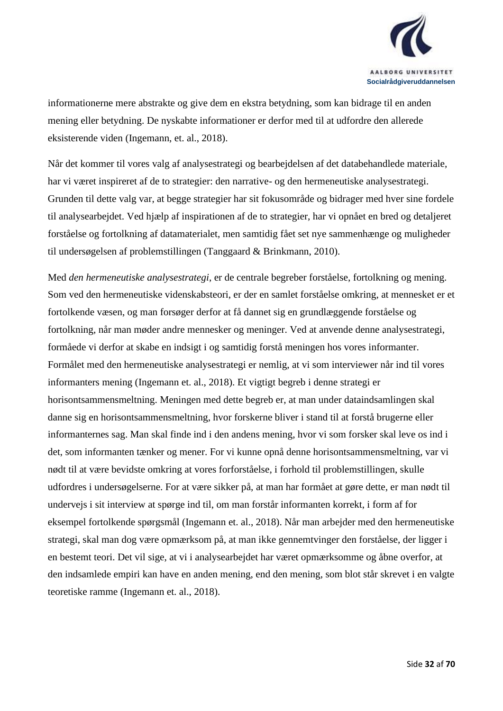

informationerne mere abstrakte og give dem en ekstra betydning, som kan bidrage til en anden mening eller betydning. De nyskabte informationer er derfor med til at udfordre den allerede eksisterende viden (Ingemann, et. al., 2018).

Når det kommer til vores valg af analysestrategi og bearbejdelsen af det databehandlede materiale, har vi været inspireret af de to strategier: den narrative- og den hermeneutiske analysestrategi. Grunden til dette valg var, at begge strategier har sit fokusområde og bidrager med hver sine fordele til analysearbejdet. Ved hjælp af inspirationen af de to strategier, har vi opnået en bred og detaljeret forståelse og fortolkning af datamaterialet, men samtidig fået set nye sammenhænge og muligheder til undersøgelsen af problemstillingen (Tanggaard & Brinkmann, 2010).

Med *den hermeneutiske analysestrategi*, er de centrale begreber forståelse, fortolkning og mening. Som ved den hermeneutiske videnskabsteori, er der en samlet forståelse omkring, at mennesket er et fortolkende væsen, og man forsøger derfor at få dannet sig en grundlæggende forståelse og fortolkning, når man møder andre mennesker og meninger. Ved at anvende denne analysestrategi, formåede vi derfor at skabe en indsigt i og samtidig forstå meningen hos vores informanter. Formålet med den hermeneutiske analysestrategi er nemlig, at vi som interviewer når ind til vores informanters mening (Ingemann et. al., 2018). Et vigtigt begreb i denne strategi er horisontsammensmeltning. Meningen med dette begreb er, at man under dataindsamlingen skal danne sig en horisontsammensmeltning, hvor forskerne bliver i stand til at forstå brugerne eller informanternes sag. Man skal finde ind i den andens mening, hvor vi som forsker skal leve os ind i det, som informanten tænker og mener. For vi kunne opnå denne horisontsammensmeltning, var vi nødt til at være bevidste omkring at vores forforståelse, i forhold til problemstillingen, skulle udfordres i undersøgelserne. For at være sikker på, at man har formået at gøre dette, er man nødt til undervejs i sit interview at spørge ind til, om man forstår informanten korrekt, i form af for eksempel fortolkende spørgsmål (Ingemann et. al., 2018). Når man arbejder med den hermeneutiske strategi, skal man dog være opmærksom på, at man ikke gennemtvinger den forståelse, der ligger i en bestemt teori. Det vil sige, at vi i analysearbejdet har været opmærksomme og åbne overfor, at den indsamlede empiri kan have en anden mening, end den mening, som blot står skrevet i en valgte teoretiske ramme (Ingemann et. al., 2018).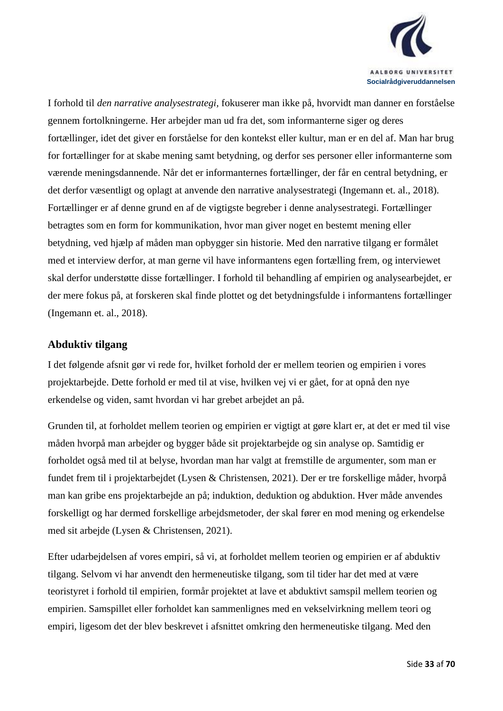

I forhold til *den narrative analysestrategi,* fokuserer man ikke på, hvorvidt man danner en forståelse gennem fortolkningerne. Her arbejder man ud fra det, som informanterne siger og deres fortællinger, idet det giver en forståelse for den kontekst eller kultur, man er en del af. Man har brug for fortællinger for at skabe mening samt betydning, og derfor ses personer eller informanterne som værende meningsdannende. Når det er informanternes fortællinger, der får en central betydning, er det derfor væsentligt og oplagt at anvende den narrative analysestrategi (Ingemann et. al., 2018). Fortællinger er af denne grund en af de vigtigste begreber i denne analysestrategi. Fortællinger betragtes som en form for kommunikation, hvor man giver noget en bestemt mening eller betydning, ved hjælp af måden man opbygger sin historie. Med den narrative tilgang er formålet med et interview derfor, at man gerne vil have informantens egen fortælling frem, og interviewet skal derfor understøtte disse fortællinger. I forhold til behandling af empirien og analysearbejdet, er der mere fokus på, at forskeren skal finde plottet og det betydningsfulde i informantens fortællinger (Ingemann et. al., 2018).

#### <span id="page-32-0"></span>**Abduktiv tilgang**

I det følgende afsnit gør vi rede for, hvilket forhold der er mellem teorien og empirien i vores projektarbejde. Dette forhold er med til at vise, hvilken vej vi er gået, for at opnå den nye erkendelse og viden, samt hvordan vi har grebet arbejdet an på.

Grunden til, at forholdet mellem teorien og empirien er vigtigt at gøre klart er, at det er med til vise måden hvorpå man arbejder og bygger både sit projektarbejde og sin analyse op. Samtidig er forholdet også med til at belyse, hvordan man har valgt at fremstille de argumenter, som man er fundet frem til i projektarbejdet (Lysen & Christensen, 2021). Der er tre forskellige måder, hvorpå man kan gribe ens projektarbejde an på; induktion, deduktion og abduktion. Hver måde anvendes forskelligt og har dermed forskellige arbejdsmetoder, der skal fører en mod mening og erkendelse med sit arbejde (Lysen & Christensen, 2021).

Efter udarbejdelsen af vores empiri, så vi, at forholdet mellem teorien og empirien er af abduktiv tilgang. Selvom vi har anvendt den hermeneutiske tilgang, som til tider har det med at være teoristyret i forhold til empirien, formår projektet at lave et abduktivt samspil mellem teorien og empirien. Samspillet eller forholdet kan sammenlignes med en vekselvirkning mellem teori og empiri, ligesom det der blev beskrevet i afsnittet omkring den hermeneutiske tilgang. Med den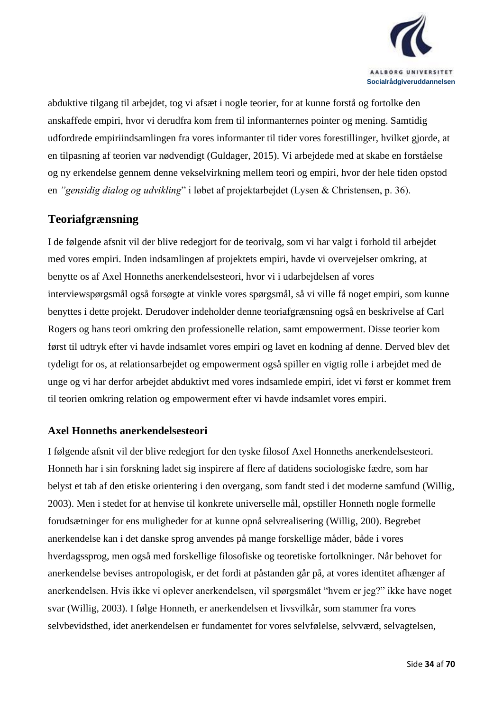

abduktive tilgang til arbejdet, tog vi afsæt i nogle teorier, for at kunne forstå og fortolke den anskaffede empiri, hvor vi derudfra kom frem til informanternes pointer og mening. Samtidig udfordrede empiriindsamlingen fra vores informanter til tider vores forestillinger, hvilket gjorde, at en tilpasning af teorien var nødvendigt (Guldager, 2015). Vi arbejdede med at skabe en forståelse og ny erkendelse gennem denne vekselvirkning mellem teori og empiri, hvor der hele tiden opstod en *"gensidig dialog og udvikling*" i løbet af projektarbejdet (Lysen & Christensen, p. 36).

### <span id="page-33-0"></span>**Teoriafgrænsning**

I de følgende afsnit vil der blive redegjort for de teorivalg, som vi har valgt i forhold til arbejdet med vores empiri. Inden indsamlingen af projektets empiri, havde vi overvejelser omkring, at benytte os af Axel Honneths anerkendelsesteori, hvor vi i udarbejdelsen af vores interviewspørgsmål også forsøgte at vinkle vores spørgsmål, så vi ville få noget empiri, som kunne benyttes i dette projekt. Derudover indeholder denne teoriafgrænsning også en beskrivelse af Carl Rogers og hans teori omkring den professionelle relation, samt empowerment. Disse teorier kom først til udtryk efter vi havde indsamlet vores empiri og lavet en kodning af denne. Derved blev det tydeligt for os, at relationsarbejdet og empowerment også spiller en vigtig rolle i arbejdet med de unge og vi har derfor arbejdet abduktivt med vores indsamlede empiri, idet vi først er kommet frem til teorien omkring relation og empowerment efter vi havde indsamlet vores empiri.

#### <span id="page-33-1"></span>**Axel Honneths anerkendelsesteori**

I følgende afsnit vil der blive redegjort for den tyske filosof Axel Honneths anerkendelsesteori. Honneth har i sin forskning ladet sig inspirere af flere af datidens sociologiske fædre, som har belyst et tab af den etiske orientering i den overgang, som fandt sted i det moderne samfund (Willig, 2003). Men i stedet for at henvise til konkrete universelle mål, opstiller Honneth nogle formelle forudsætninger for ens muligheder for at kunne opnå selvrealisering (Willig, 200). Begrebet anerkendelse kan i det danske sprog anvendes på mange forskellige måder, både i vores hverdagssprog, men også med forskellige filosofiske og teoretiske fortolkninger. Når behovet for anerkendelse bevises antropologisk, er det fordi at påstanden går på, at vores identitet afhænger af anerkendelsen. Hvis ikke vi oplever anerkendelsen, vil spørgsmålet "hvem er jeg?" ikke have noget svar (Willig, 2003). I følge Honneth, er anerkendelsen et livsvilkår, som stammer fra vores selvbevidsthed, idet anerkendelsen er fundamentet for vores selvfølelse, selvværd, selvagtelsen,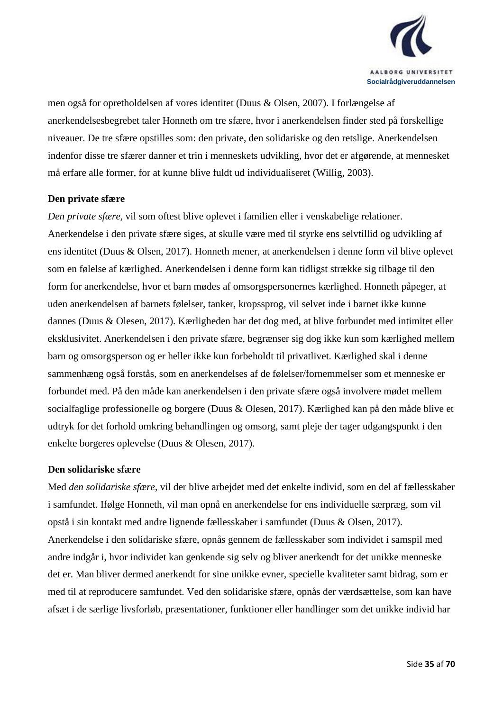

men også for opretholdelsen af vores identitet (Duus & Olsen, 2007). I forlængelse af anerkendelsesbegrebet taler Honneth om tre sfære, hvor i anerkendelsen finder sted på forskellige niveauer. De tre sfære opstilles som: den private, den solidariske og den retslige. Anerkendelsen indenfor disse tre sfærer danner et trin i menneskets udvikling, hvor det er afgørende, at mennesket må erfare alle former, for at kunne blive fuldt ud individualiseret (Willig, 2003).

#### **Den private sfære**

*Den private sfære*, vil som oftest blive oplevet i familien eller i venskabelige relationer. Anerkendelse i den private sfære siges, at skulle være med til styrke ens selvtillid og udvikling af ens identitet (Duus & Olsen, 2017). Honneth mener, at anerkendelsen i denne form vil blive oplevet som en følelse af kærlighed. Anerkendelsen i denne form kan tidligst strække sig tilbage til den form for anerkendelse, hvor et barn mødes af omsorgspersonernes kærlighed. Honneth påpeger, at uden anerkendelsen af barnets følelser, tanker, kropssprog, vil selvet inde i barnet ikke kunne dannes (Duus & Olesen, 2017). Kærligheden har det dog med, at blive forbundet med intimitet eller eksklusivitet. Anerkendelsen i den private sfære, begrænser sig dog ikke kun som kærlighed mellem barn og omsorgsperson og er heller ikke kun forbeholdt til privatlivet. Kærlighed skal i denne sammenhæng også forstås, som en anerkendelses af de følelser/fornemmelser som et menneske er forbundet med. På den måde kan anerkendelsen i den private sfære også involvere mødet mellem socialfaglige professionelle og borgere (Duus & Olesen, 2017). Kærlighed kan på den måde blive et udtryk for det forhold omkring behandlingen og omsorg, samt pleje der tager udgangspunkt i den enkelte borgeres oplevelse (Duus & Olesen, 2017).

#### **Den solidariske sfære**

Med *den solidariske sfære*, vil der blive arbejdet med det enkelte individ, som en del af fællesskaber i samfundet. Ifølge Honneth, vil man opnå en anerkendelse for ens individuelle særpræg, som vil opstå i sin kontakt med andre lignende fællesskaber i samfundet (Duus & Olsen, 2017). Anerkendelse i den solidariske sfære, opnås gennem de fællesskaber som individet i samspil med andre indgår i, hvor individet kan genkende sig selv og bliver anerkendt for det unikke menneske det er. Man bliver dermed anerkendt for sine unikke evner, specielle kvaliteter samt bidrag, som er med til at reproducere samfundet. Ved den solidariske sfære, opnås der værdsættelse, som kan have afsæt i de særlige livsforløb, præsentationer, funktioner eller handlinger som det unikke individ har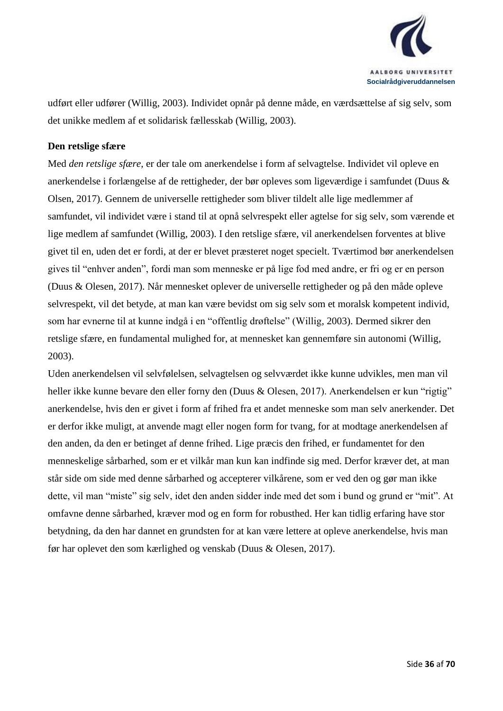

udført eller udfører (Willig, 2003). Individet opnår på denne måde, en værdsættelse af sig selv, som det unikke medlem af et solidarisk fællesskab (Willig, 2003).

#### **Den retslige sfære**

Med *den retslige sfære*, er der tale om anerkendelse i form af selvagtelse. Individet vil opleve en anerkendelse i forlængelse af de rettigheder, der bør opleves som ligeværdige i samfundet (Duus & Olsen, 2017). Gennem de universelle rettigheder som bliver tildelt alle lige medlemmer af samfundet, vil individet være i stand til at opnå selvrespekt eller agtelse for sig selv, som værende et lige medlem af samfundet (Willig, 2003). I den retslige sfære, vil anerkendelsen forventes at blive givet til en, uden det er fordi, at der er blevet præsteret noget specielt. Tværtimod bør anerkendelsen gives til "enhver anden", fordi man som menneske er på lige fod med andre, er fri og er en person (Duus & Olesen, 2017). Når mennesket oplever de universelle rettigheder og på den måde opleve selvrespekt, vil det betyde, at man kan være bevidst om sig selv som et moralsk kompetent individ, som har evnerne til at kunne indgå i en "offentlig drøftelse" (Willig, 2003). Dermed sikrer den retslige sfære, en fundamental mulighed for, at mennesket kan gennemføre sin autonomi (Willig, 2003).

Uden anerkendelsen vil selvfølelsen, selvagtelsen og selvværdet ikke kunne udvikles, men man vil heller ikke kunne bevare den eller forny den (Duus & Olesen, 2017). Anerkendelsen er kun "rigtig" anerkendelse, hvis den er givet i form af frihed fra et andet menneske som man selv anerkender. Det er derfor ikke muligt, at anvende magt eller nogen form for tvang, for at modtage anerkendelsen af den anden, da den er betinget af denne frihed. Lige præcis den frihed, er fundamentet for den menneskelige sårbarhed, som er et vilkår man kun kan indfinde sig med. Derfor kræver det, at man står side om side med denne sårbarhed og accepterer vilkårene, som er ved den og gør man ikke dette, vil man "miste" sig selv, idet den anden sidder inde med det som i bund og grund er "mit". At omfavne denne sårbarhed, kræver mod og en form for robusthed. Her kan tidlig erfaring have stor betydning, da den har dannet en grundsten for at kan være lettere at opleve anerkendelse, hvis man før har oplevet den som kærlighed og venskab (Duus & Olesen, 2017).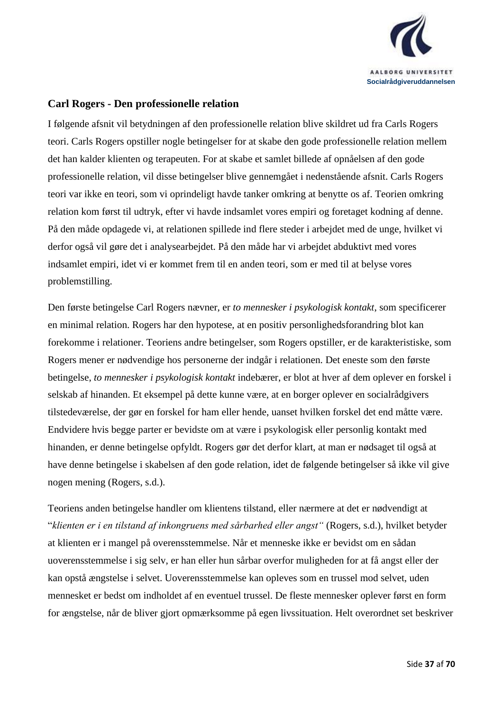

#### <span id="page-36-0"></span>**Carl Rogers - Den professionelle relation**

I følgende afsnit vil betydningen af den professionelle relation blive skildret ud fra Carls Rogers teori. Carls Rogers opstiller nogle betingelser for at skabe den gode professionelle relation mellem det han kalder klienten og terapeuten. For at skabe et samlet billede af opnåelsen af den gode professionelle relation, vil disse betingelser blive gennemgået i nedenstående afsnit. Carls Rogers teori var ikke en teori, som vi oprindeligt havde tanker omkring at benytte os af. Teorien omkring relation kom først til udtryk, efter vi havde indsamlet vores empiri og foretaget kodning af denne. På den måde opdagede vi, at relationen spillede ind flere steder i arbejdet med de unge, hvilket vi derfor også vil gøre det i analysearbejdet. På den måde har vi arbejdet abduktivt med vores indsamlet empiri, idet vi er kommet frem til en anden teori, som er med til at belyse vores problemstilling.

Den første betingelse Carl Rogers nævner, er *to mennesker i psykologisk kontakt*, som specificerer en minimal relation. Rogers har den hypotese, at en positiv personlighedsforandring blot kan forekomme i relationer. Teoriens andre betingelser, som Rogers opstiller, er de karakteristiske, som Rogers mener er nødvendige hos personerne der indgår i relationen. Det eneste som den første betingelse, *to mennesker i psykologisk kontakt* indebærer, er blot at hver af dem oplever en forskel i selskab af hinanden. Et eksempel på dette kunne være, at en borger oplever en socialrådgivers tilstedeværelse, der gør en forskel for ham eller hende, uanset hvilken forskel det end måtte være. Endvidere hvis begge parter er bevidste om at være i psykologisk eller personlig kontakt med hinanden, er denne betingelse opfyldt. Rogers gør det derfor klart, at man er nødsaget til også at have denne betingelse i skabelsen af den gode relation, idet de følgende betingelser så ikke vil give nogen mening (Rogers, s.d.).

Teoriens anden betingelse handler om klientens tilstand, eller nærmere at det er nødvendigt at "*klienten er i en tilstand af inkongruens med sårbarhed eller angst"* (Rogers, s.d.), hvilket betyder at klienten er i mangel på overensstemmelse. Når et menneske ikke er bevidst om en sådan uoverensstemmelse i sig selv, er han eller hun sårbar overfor muligheden for at få angst eller der kan opstå ængstelse i selvet. Uoverensstemmelse kan opleves som en trussel mod selvet, uden mennesket er bedst om indholdet af en eventuel trussel. De fleste mennesker oplever først en form for ængstelse, når de bliver gjort opmærksomme på egen livssituation. Helt overordnet set beskriver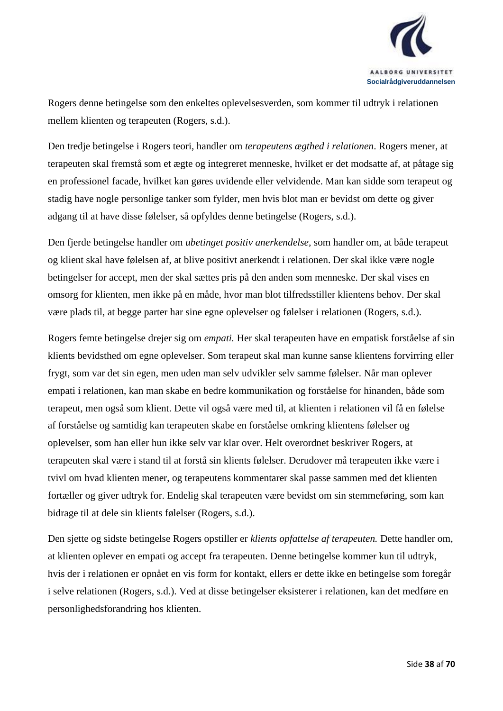

Rogers denne betingelse som den enkeltes oplevelsesverden, som kommer til udtryk i relationen mellem klienten og terapeuten (Rogers, s.d.).

Den tredje betingelse i Rogers teori, handler om *terapeutens ægthed i relationen*. Rogers mener, at terapeuten skal fremstå som et ægte og integreret menneske, hvilket er det modsatte af, at påtage sig en professionel facade, hvilket kan gøres uvidende eller velvidende. Man kan sidde som terapeut og stadig have nogle personlige tanker som fylder, men hvis blot man er bevidst om dette og giver adgang til at have disse følelser, så opfyldes denne betingelse (Rogers, s.d.).

Den fjerde betingelse handler om *ubetinget positiv anerkendelse,* som handler om, at både terapeut og klient skal have følelsen af, at blive positivt anerkendt i relationen. Der skal ikke være nogle betingelser for accept, men der skal sættes pris på den anden som menneske. Der skal vises en omsorg for klienten, men ikke på en måde, hvor man blot tilfredsstiller klientens behov. Der skal være plads til, at begge parter har sine egne oplevelser og følelser i relationen (Rogers, s.d.).

Rogers femte betingelse drejer sig om *empati.* Her skal terapeuten have en empatisk forståelse af sin klients bevidsthed om egne oplevelser. Som terapeut skal man kunne sanse klientens forvirring eller frygt, som var det sin egen, men uden man selv udvikler selv samme følelser. Når man oplever empati i relationen, kan man skabe en bedre kommunikation og forståelse for hinanden, både som terapeut, men også som klient. Dette vil også være med til, at klienten i relationen vil få en følelse af forståelse og samtidig kan terapeuten skabe en forståelse omkring klientens følelser og oplevelser, som han eller hun ikke selv var klar over. Helt overordnet beskriver Rogers, at terapeuten skal være i stand til at forstå sin klients følelser. Derudover må terapeuten ikke være i tvivl om hvad klienten mener, og terapeutens kommentarer skal passe sammen med det klienten fortæller og giver udtryk for. Endelig skal terapeuten være bevidst om sin stemmeføring, som kan bidrage til at dele sin klients følelser (Rogers, s.d.).

Den sjette og sidste betingelse Rogers opstiller er *klients opfattelse af terapeuten.* Dette handler om, at klienten oplever en empati og accept fra terapeuten. Denne betingelse kommer kun til udtryk, hvis der i relationen er opnået en vis form for kontakt, ellers er dette ikke en betingelse som foregår i selve relationen (Rogers, s.d.). Ved at disse betingelser eksisterer i relationen, kan det medføre en personlighedsforandring hos klienten.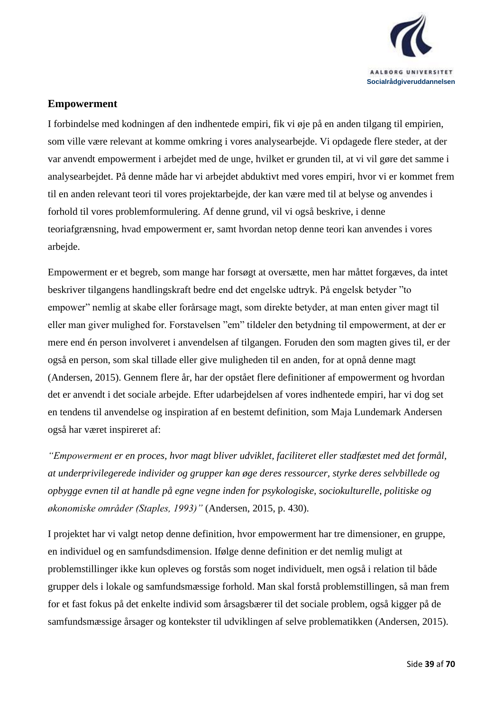

#### <span id="page-38-0"></span>**Empowerment**

I forbindelse med kodningen af den indhentede empiri, fik vi øje på en anden tilgang til empirien, som ville være relevant at komme omkring i vores analysearbejde. Vi opdagede flere steder, at der var anvendt empowerment i arbejdet med de unge, hvilket er grunden til, at vi vil gøre det samme i analysearbejdet. På denne måde har vi arbejdet abduktivt med vores empiri, hvor vi er kommet frem til en anden relevant teori til vores projektarbejde, der kan være med til at belyse og anvendes i forhold til vores problemformulering. Af denne grund, vil vi også beskrive, i denne teoriafgrænsning, hvad empowerment er, samt hvordan netop denne teori kan anvendes i vores arbejde.

Empowerment er et begreb, som mange har forsøgt at oversætte, men har måttet forgæves, da intet beskriver tilgangens handlingskraft bedre end det engelske udtryk. På engelsk betyder "to empower" nemlig at skabe eller forårsage magt, som direkte betyder, at man enten giver magt til eller man giver mulighed for. Forstavelsen "em" tildeler den betydning til empowerment, at der er mere end én person involveret i anvendelsen af tilgangen. Foruden den som magten gives til, er der også en person, som skal tillade eller give muligheden til en anden, for at opnå denne magt (Andersen, 2015). Gennem flere år, har der opstået flere definitioner af empowerment og hvordan det er anvendt i det sociale arbejde. Efter udarbejdelsen af vores indhentede empiri, har vi dog set en tendens til anvendelse og inspiration af en bestemt definition, som Maja Lundemark Andersen også har været inspireret af:

*"Empowerment er en proces, hvor magt bliver udviklet, faciliteret eller stadfæstet med det formål, at underprivilegerede individer og grupper kan øge deres ressourcer, styrke deres selvbillede og opbygge evnen til at handle på egne vegne inden for psykologiske, sociokulturelle, politiske og økonomiske områder (Staples, 1993)"* (Andersen, 2015, p. 430).

I projektet har vi valgt netop denne definition, hvor empowerment har tre dimensioner, en gruppe, en individuel og en samfundsdimension. Ifølge denne definition er det nemlig muligt at problemstillinger ikke kun opleves og forstås som noget individuelt, men også i relation til både grupper dels i lokale og samfundsmæssige forhold. Man skal forstå problemstillingen, så man frem for et fast fokus på det enkelte individ som årsagsbærer til det sociale problem, også kigger på de samfundsmæssige årsager og kontekster til udviklingen af selve problematikken (Andersen, 2015).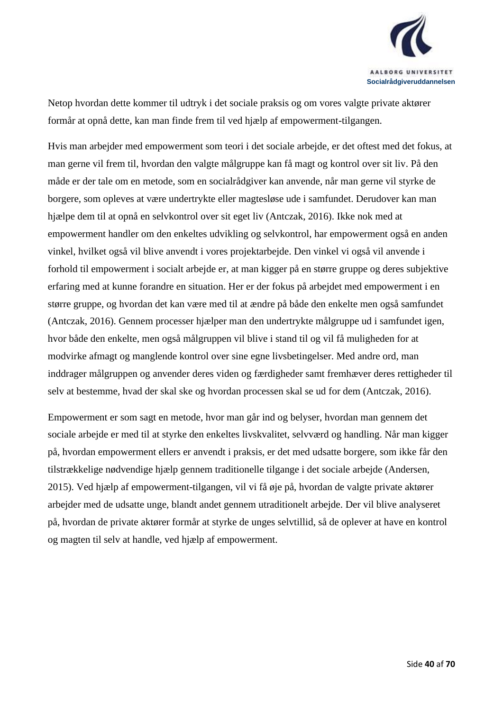

Netop hvordan dette kommer til udtryk i det sociale praksis og om vores valgte private aktører formår at opnå dette, kan man finde frem til ved hjælp af empowerment-tilgangen.

Hvis man arbejder med empowerment som teori i det sociale arbejde, er det oftest med det fokus, at man gerne vil frem til, hvordan den valgte målgruppe kan få magt og kontrol over sit liv. På den måde er der tale om en metode, som en socialrådgiver kan anvende, når man gerne vil styrke de borgere, som opleves at være undertrykte eller magtesløse ude i samfundet. Derudover kan man hjælpe dem til at opnå en selvkontrol over sit eget liv (Antczak, 2016). Ikke nok med at empowerment handler om den enkeltes udvikling og selvkontrol, har empowerment også en anden vinkel, hvilket også vil blive anvendt i vores projektarbejde. Den vinkel vi også vil anvende i forhold til empowerment i socialt arbejde er, at man kigger på en større gruppe og deres subjektive erfaring med at kunne forandre en situation. Her er der fokus på arbejdet med empowerment i en større gruppe, og hvordan det kan være med til at ændre på både den enkelte men også samfundet (Antczak, 2016). Gennem processer hjælper man den undertrykte målgruppe ud i samfundet igen, hvor både den enkelte, men også målgruppen vil blive i stand til og vil få muligheden for at modvirke afmagt og manglende kontrol over sine egne livsbetingelser. Med andre ord, man inddrager målgruppen og anvender deres viden og færdigheder samt fremhæver deres rettigheder til selv at bestemme, hvad der skal ske og hvordan processen skal se ud for dem (Antczak, 2016).

Empowerment er som sagt en metode, hvor man går ind og belyser, hvordan man gennem det sociale arbejde er med til at styrke den enkeltes livskvalitet, selvværd og handling. Når man kigger på, hvordan empowerment ellers er anvendt i praksis, er det med udsatte borgere, som ikke får den tilstrækkelige nødvendige hjælp gennem traditionelle tilgange i det sociale arbejde (Andersen, 2015). Ved hjælp af empowerment-tilgangen, vil vi få øje på, hvordan de valgte private aktører arbejder med de udsatte unge, blandt andet gennem utraditionelt arbejde. Der vil blive analyseret på, hvordan de private aktører formår at styrke de unges selvtillid, så de oplever at have en kontrol og magten til selv at handle, ved hjælp af empowerment.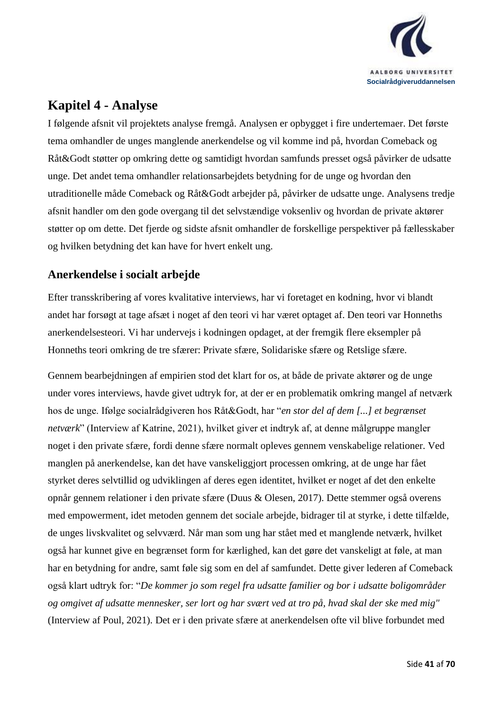

## <span id="page-40-0"></span>**Kapitel 4 - Analyse**

I følgende afsnit vil projektets analyse fremgå. Analysen er opbygget i fire undertemaer. Det første tema omhandler de unges manglende anerkendelse og vil komme ind på, hvordan Comeback og Råt&Godt støtter op omkring dette og samtidigt hvordan samfunds presset også påvirker de udsatte unge. Det andet tema omhandler relationsarbejdets betydning for de unge og hvordan den utraditionelle måde Comeback og Råt&Godt arbejder på, påvirker de udsatte unge. Analysens tredje afsnit handler om den gode overgang til det selvstændige voksenliv og hvordan de private aktører støtter op om dette. Det fjerde og sidste afsnit omhandler de forskellige perspektiver på fællesskaber og hvilken betydning det kan have for hvert enkelt ung.

### <span id="page-40-1"></span>**Anerkendelse i socialt arbejde**

Efter transskribering af vores kvalitative interviews, har vi foretaget en kodning, hvor vi blandt andet har forsøgt at tage afsæt i noget af den teori vi har været optaget af. Den teori var Honneths anerkendelsesteori. Vi har undervejs i kodningen opdaget, at der fremgik flere eksempler på Honneths teori omkring de tre sfærer: Private sfære, Solidariske sfære og Retslige sfære.

Gennem bearbejdningen af empirien stod det klart for os, at både de private aktører og de unge under vores interviews, havde givet udtryk for, at der er en problematik omkring mangel af netværk hos de unge. Ifølge socialrådgiveren hos Råt&Godt, har "*en stor del af dem [...] et begrænset netværk*" (Interview af Katrine, 2021), hvilket giver et indtryk af, at denne målgruppe mangler noget i den private sfære, fordi denne sfære normalt opleves gennem venskabelige relationer. Ved manglen på anerkendelse, kan det have vanskeliggjort processen omkring, at de unge har fået styrket deres selvtillid og udviklingen af deres egen identitet, hvilket er noget af det den enkelte opnår gennem relationer i den private sfære (Duus & Olesen, 2017). Dette stemmer også overens med empowerment, idet metoden gennem det sociale arbejde, bidrager til at styrke, i dette tilfælde, de unges livskvalitet og selvværd. Når man som ung har stået med et manglende netværk, hvilket også har kunnet give en begrænset form for kærlighed, kan det gøre det vanskeligt at føle, at man har en betydning for andre, samt føle sig som en del af samfundet. Dette giver lederen af Comeback også klart udtryk for: "*De kommer jo som regel fra udsatte familier og bor i udsatte boligområder og omgivet af udsatte mennesker, ser lort og har svært ved at tro på, hvad skal der ske med mig"* (Interview af Poul, 2021)*.* Det er i den private sfære at anerkendelsen ofte vil blive forbundet med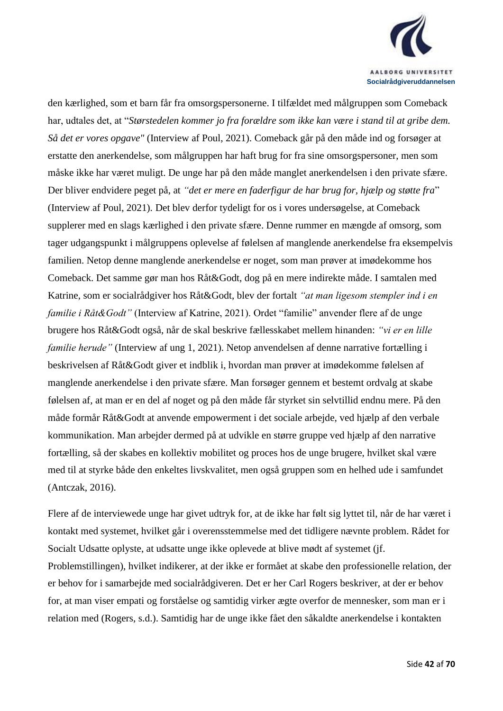

den kærlighed, som et barn får fra omsorgspersonerne. I tilfældet med målgruppen som Comeback har, udtales det, at "*Størstedelen kommer jo fra forældre som ikke kan være i stand til at gribe dem. Så det er vores opgave"* (Interview af Poul, 2021). Comeback går på den måde ind og forsøger at erstatte den anerkendelse, som målgruppen har haft brug for fra sine omsorgspersoner, men som måske ikke har været muligt. De unge har på den måde manglet anerkendelsen i den private sfære. Der bliver endvidere peget på, at *"det er mere en faderfigur de har brug for, hjælp og støtte fra*" (Interview af Poul, 2021)*.* Det blev derfor tydeligt for os i vores undersøgelse, at Comeback supplerer med en slags kærlighed i den private sfære. Denne rummer en mængde af omsorg, som tager udgangspunkt i målgruppens oplevelse af følelsen af manglende anerkendelse fra eksempelvis familien. Netop denne manglende anerkendelse er noget, som man prøver at imødekomme hos Comeback. Det samme gør man hos Råt&Godt, dog på en mere indirekte måde. I samtalen med Katrine, som er socialrådgiver hos Råt&Godt, blev der fortalt *"at man ligesom stempler ind i en familie i Råt&Godt"* (Interview af Katrine, 2021). Ordet "familie" anvender flere af de unge brugere hos Råt&Godt også, når de skal beskrive fællesskabet mellem hinanden: *"vi er en lille familie herude"* (Interview af ung 1, 2021). Netop anvendelsen af denne narrative fortælling i beskrivelsen af Råt&Godt giver et indblik i, hvordan man prøver at imødekomme følelsen af manglende anerkendelse i den private sfære. Man forsøger gennem et bestemt ordvalg at skabe følelsen af, at man er en del af noget og på den måde får styrket sin selvtillid endnu mere. På den måde formår Råt&Godt at anvende empowerment i det sociale arbejde, ved hjælp af den verbale kommunikation. Man arbejder dermed på at udvikle en større gruppe ved hjælp af den narrative fortælling, så der skabes en kollektiv mobilitet og proces hos de unge brugere, hvilket skal være med til at styrke både den enkeltes livskvalitet, men også gruppen som en helhed ude i samfundet (Antczak, 2016).

Flere af de interviewede unge har givet udtryk for, at de ikke har følt sig lyttet til, når de har været i kontakt med systemet, hvilket går i overensstemmelse med det tidligere nævnte problem. Rådet for Socialt Udsatte oplyste, at udsatte unge ikke oplevede at blive mødt af systemet (jf. Problemstillingen), hvilket indikerer, at der ikke er formået at skabe den professionelle relation, der er behov for i samarbejde med socialrådgiveren. Det er her Carl Rogers beskriver, at der er behov for, at man viser empati og forståelse og samtidig virker ægte overfor de mennesker, som man er i relation med (Rogers, s.d.). Samtidig har de unge ikke fået den såkaldte anerkendelse i kontakten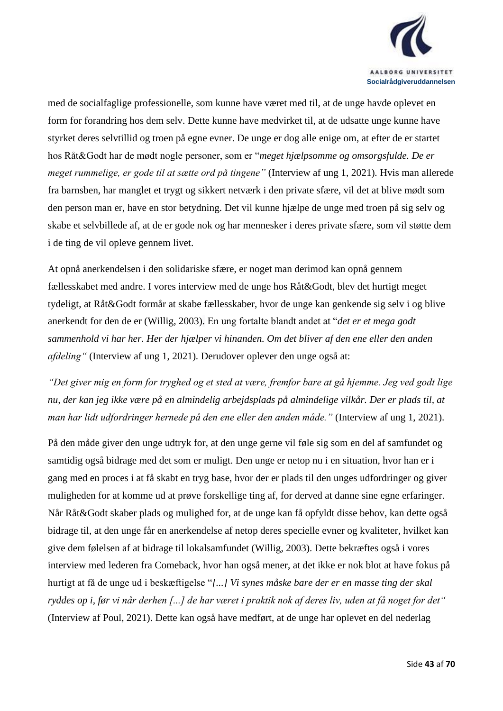

med de socialfaglige professionelle, som kunne have været med til, at de unge havde oplevet en form for forandring hos dem selv. Dette kunne have medvirket til, at de udsatte unge kunne have styrket deres selvtillid og troen på egne evner. De unge er dog alle enige om, at efter de er startet hos Råt&Godt har de mødt nogle personer, som er "*meget hjælpsomme og omsorgsfulde. De er meget rummelige, er gode til at sætte ord på tingene"* (Interview af ung 1, 2021)*.* Hvis man allerede fra barnsben, har manglet et trygt og sikkert netværk i den private sfære, vil det at blive mødt som den person man er, have en stor betydning. Det vil kunne hjælpe de unge med troen på sig selv og skabe et selvbillede af, at de er gode nok og har mennesker i deres private sfære, som vil støtte dem i de ting de vil opleve gennem livet.

At opnå anerkendelsen i den solidariske sfære, er noget man derimod kan opnå gennem fællesskabet med andre. I vores interview med de unge hos Råt&Godt, blev det hurtigt meget tydeligt, at Råt&Godt formår at skabe fællesskaber, hvor de unge kan genkende sig selv i og blive anerkendt for den de er (Willig, 2003). En ung fortalte blandt andet at "*det er et mega godt sammenhold vi har her. Her der hjælper vi hinanden. Om det bliver af den ene eller den anden afdeling"* (Interview af ung 1, 2021)*.* Derudover oplever den unge også at:

*"Det giver mig en form for tryghed og et sted at være, fremfor bare at gå hjemme. Jeg ved godt lige nu, der kan jeg ikke være på en almindelig arbejdsplads på almindelige vilkår. Der er plads til, at man har lidt udfordringer hernede på den ene eller den anden måde."* (Interview af ung 1, 2021).

På den måde giver den unge udtryk for, at den unge gerne vil føle sig som en del af samfundet og samtidig også bidrage med det som er muligt. Den unge er netop nu i en situation, hvor han er i gang med en proces i at få skabt en tryg base, hvor der er plads til den unges udfordringer og giver muligheden for at komme ud at prøve forskellige ting af, for derved at danne sine egne erfaringer. Når Råt&Godt skaber plads og mulighed for, at de unge kan få opfyldt disse behov, kan dette også bidrage til, at den unge får en anerkendelse af netop deres specielle evner og kvaliteter, hvilket kan give dem følelsen af at bidrage til lokalsamfundet (Willig, 2003). Dette bekræftes også i vores interview med lederen fra Comeback, hvor han også mener, at det ikke er nok blot at have fokus på hurtigt at få de unge ud i beskæftigelse "*[...] Vi synes måske bare der er en masse ting der skal ryddes op i, før vi når derhen [...] de har været i praktik nok af deres liv, uden at få noget for det"*  (Interview af Poul, 2021). Dette kan også have medført, at de unge har oplevet en del nederlag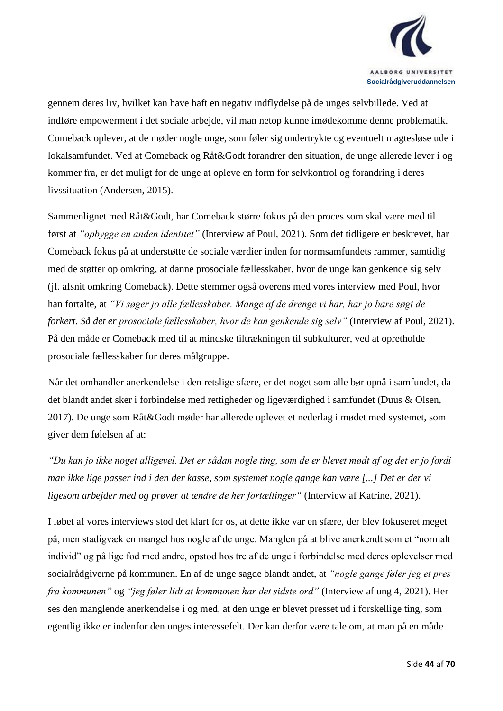

gennem deres liv, hvilket kan have haft en negativ indflydelse på de unges selvbillede. Ved at indføre empowerment i det sociale arbejde, vil man netop kunne imødekomme denne problematik. Comeback oplever, at de møder nogle unge, som føler sig undertrykte og eventuelt magtesløse ude i lokalsamfundet. Ved at Comeback og Råt&Godt forandrer den situation, de unge allerede lever i og kommer fra, er det muligt for de unge at opleve en form for selvkontrol og forandring i deres livssituation (Andersen, 2015).

Sammenlignet med Råt&Godt, har Comeback større fokus på den proces som skal være med til først at *"opbygge en anden identitet"* (Interview af Poul, 2021). Som det tidligere er beskrevet, har Comeback fokus på at understøtte de sociale værdier inden for normsamfundets rammer, samtidig med de støtter op omkring, at danne prosociale fællesskaber, hvor de unge kan genkende sig selv (jf. afsnit omkring Comeback). Dette stemmer også overens med vores interview med Poul, hvor han fortalte, at *"Vi søger jo alle fællesskaber. Mange af de drenge vi har, har jo bare søgt de forkert. Så det er prosociale fællesskaber, hvor de kan genkende sig selv"* (Interview af Poul, 2021). På den måde er Comeback med til at mindske tiltrækningen til subkulturer, ved at opretholde prosociale fællesskaber for deres målgruppe.

Når det omhandler anerkendelse i den retslige sfære, er det noget som alle bør opnå i samfundet, da det blandt andet sker i forbindelse med rettigheder og ligeværdighed i samfundet (Duus & Olsen, 2017). De unge som Råt&Godt møder har allerede oplevet et nederlag i mødet med systemet, som giver dem følelsen af at:

*"Du kan jo ikke noget alligevel. Det er sådan nogle ting, som de er blevet mødt af og det er jo fordi man ikke lige passer ind i den der kasse, som systemet nogle gange kan være [...] Det er der vi ligesom arbejder med og prøver at ændre de her fortællinger"* (Interview af Katrine, 2021).

I løbet af vores interviews stod det klart for os, at dette ikke var en sfære, der blev fokuseret meget på, men stadigvæk en mangel hos nogle af de unge. Manglen på at blive anerkendt som et "normalt individ" og på lige fod med andre, opstod hos tre af de unge i forbindelse med deres oplevelser med socialrådgiverne på kommunen. En af de unge sagde blandt andet, at *"nogle gange føler jeg et pres fra kommunen"* og *"jeg føler lidt at kommunen har det sidste ord"* (Interview af ung 4, 2021). Her ses den manglende anerkendelse i og med, at den unge er blevet presset ud i forskellige ting, som egentlig ikke er indenfor den unges interessefelt. Der kan derfor være tale om, at man på en måde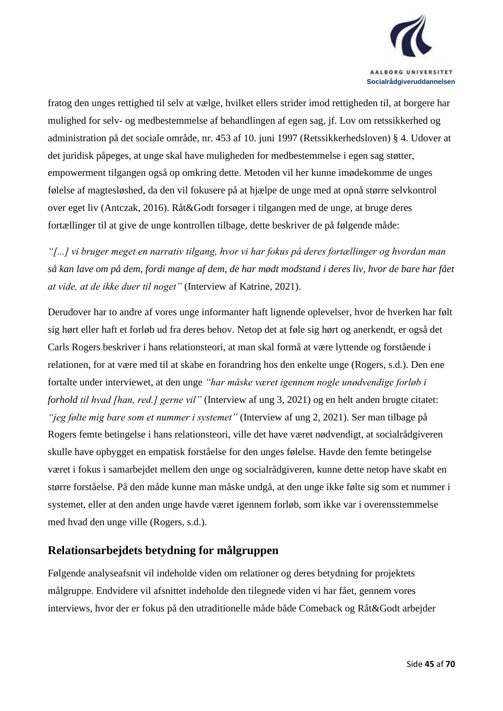

fratog den unges rettighed til selv at vælge, hvilket ellers strider imod rettigheden til, at borgere har mulighed for selv- og medbestemmelse af behandlingen af egen sag, jf. Lov om retssikkerhed og administration på det sociale område, nr. 453 af 10. juni 1997 (Retssikkerhedsloven) § 4. Udover at det juridisk påpeges, at unge skal have muligheden for medbestemmelse i egen sag støtter, empowerment tilgangen også op omkring dette. Metoden vil her kunne imødekomme de unges følelse af magtesløshed, da den vil fokusere på at hjælpe de unge med at opnå større selvkontrol over eget liv (Antczak, 2016). Råt&Godt forsøger i tilgangen med de unge, at bruge deres fortællinger til at give de unge kontrollen tilbage, dette beskriver de på følgende måde:

*"[...] vi bruger meget en narrativ tilgang, hvor vi har fokus på deres fortællinger og hvordan man så kan lave om på dem, fordi mange af dem, de har mødt modstand i deres liv, hvor de bare har fået at vide, at de ikke duer til noget"* (Interview af Katrine, 2021).

Derudover har to andre af vores unge informanter haft lignende oplevelser, hvor de hverken har følt sig hørt eller haft et forløb ud fra deres behov. Netop det at føle sig hørt og anerkendt, er også det Carls Rogers beskriver i hans relationsteori, at man skal formå at være lyttende og forstående i relationen, for at være med til at skabe en forandring hos den enkelte unge (Rogers, s.d.). Den ene fortalte under interviewet, at den unge *"har måske været igennem nogle unødvendige forløb i forhold til hvad [han, red.] gerne vil"* (Interview af ung 3, 2021) og en helt anden brugte citatet: *"jeg følte mig bare som et nummer i systemet"* (Interview af ung 2, 2021). Ser man tilbage på Rogers femte betingelse i hans relationsteori, ville det have været nødvendigt, at socialrådgiveren skulle have opbygget en empatisk forståelse for den unges følelse. Havde den femte betingelse været i fokus i samarbejdet mellem den unge og socialrådgiveren, kunne dette netop have skabt en større forståelse. På den måde kunne man måske undgå, at den unge ikke følte sig som et nummer i systemet, eller at den anden unge havde været igennem forløb, som ikke var i overensstemmelse med hvad den unge ville (Rogers, s.d.).

#### <span id="page-44-0"></span>**Relationsarbejdets betydning for målgruppen**

Følgende analyseafsnit vil indeholde viden om relationer og deres betydning for projektets målgruppe. Endvidere vil afsnittet indeholde den tilegnede viden vi har fået, gennem vores interviews, hvor der er fokus på den utraditionelle måde både Comeback og Råt&Godt arbejder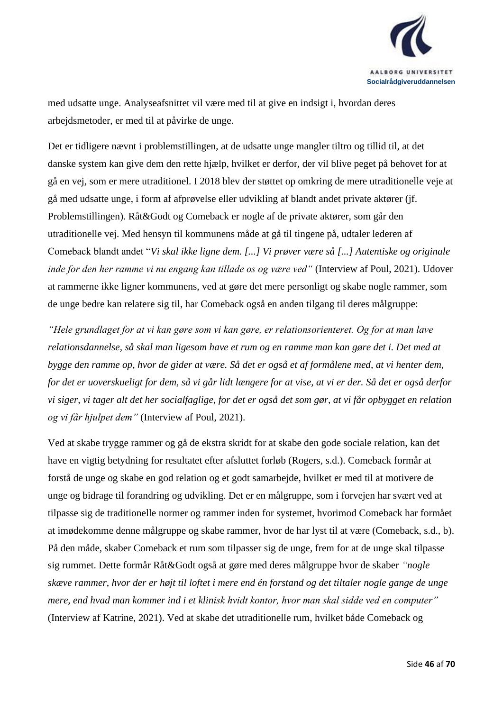

med udsatte unge. Analyseafsnittet vil være med til at give en indsigt i, hvordan deres arbejdsmetoder, er med til at påvirke de unge.

Det er tidligere nævnt i problemstillingen, at de udsatte unge mangler tiltro og tillid til, at det danske system kan give dem den rette hjælp, hvilket er derfor, der vil blive peget på behovet for at gå en vej, som er mere utraditionel. I 2018 blev der støttet op omkring de mere utraditionelle veje at gå med udsatte unge, i form af afprøvelse eller udvikling af blandt andet private aktører (jf. Problemstillingen). Råt&Godt og Comeback er nogle af de private aktører, som går den utraditionelle vej. Med hensyn til kommunens måde at gå til tingene på, udtaler lederen af Comeback blandt andet "*Vi skal ikke ligne dem. [...] Vi prøver være så [...] Autentiske og originale inde for den her ramme vi nu engang kan tillade os og være ved"* (Interview af Poul, 2021). Udover at rammerne ikke ligner kommunens, ved at gøre det mere personligt og skabe nogle rammer, som de unge bedre kan relatere sig til, har Comeback også en anden tilgang til deres målgruppe:

*"Hele grundlaget for at vi kan gøre som vi kan gøre, er relationsorienteret. Og for at man lave relationsdannelse, så skal man ligesom have et rum og en ramme man kan gøre det i. Det med at bygge den ramme op, hvor de gider at være. Så det er også et af formålene med, at vi henter dem, for det er uoverskueligt for dem, så vi går lidt længere for at vise, at vi er der. Så det er også derfor vi siger, vi tager alt det her socialfaglige, for det er også det som gør, at vi får opbygget en relation og vi får hjulpet dem"* (Interview af Poul, 2021).

Ved at skabe trygge rammer og gå de ekstra skridt for at skabe den gode sociale relation, kan det have en vigtig betydning for resultatet efter afsluttet forløb (Rogers, s.d.). Comeback formår at forstå de unge og skabe en god relation og et godt samarbejde, hvilket er med til at motivere de unge og bidrage til forandring og udvikling. Det er en målgruppe, som i forvejen har svært ved at tilpasse sig de traditionelle normer og rammer inden for systemet, hvorimod Comeback har formået at imødekomme denne målgruppe og skabe rammer, hvor de har lyst til at være (Comeback, s.d., b). På den måde, skaber Comeback et rum som tilpasser sig de unge, frem for at de unge skal tilpasse sig rummet. Dette formår Råt&Godt også at gøre med deres målgruppe hvor de skaber *"nogle skæve rammer, hvor der er højt til loftet i mere end én forstand og det tiltaler nogle gange de unge mere, end hvad man kommer ind i et klinisk hvidt kontor, hvor man skal sidde ved en computer"*  (Interview af Katrine, 2021). Ved at skabe det utraditionelle rum, hvilket både Comeback og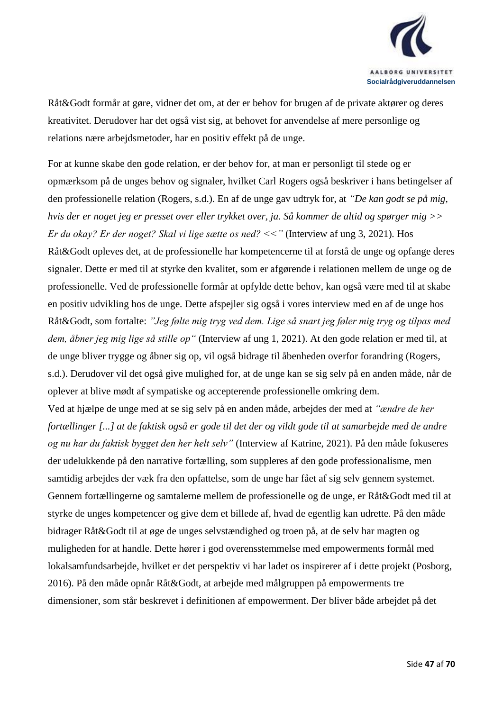

Råt&Godt formår at gøre, vidner det om, at der er behov for brugen af de private aktører og deres kreativitet. Derudover har det også vist sig, at behovet for anvendelse af mere personlige og relations nære arbejdsmetoder, har en positiv effekt på de unge.

For at kunne skabe den gode relation, er der behov for, at man er personligt til stede og er opmærksom på de unges behov og signaler, hvilket Carl Rogers også beskriver i hans betingelser af den professionelle relation (Rogers, s.d.). En af de unge gav udtryk for, at *"De kan godt se på mig, hvis der er noget jeg er presset over eller trykket over, ja. Så kommer de altid og spørger mig >> Er du okay? Er der noget? Skal vi lige sætte os ned? <<"* (Interview af ung 3, 2021)*.* Hos Råt&Godt opleves det, at de professionelle har kompetencerne til at forstå de unge og opfange deres signaler. Dette er med til at styrke den kvalitet, som er afgørende i relationen mellem de unge og de professionelle. Ved de professionelle formår at opfylde dette behov, kan også være med til at skabe en positiv udvikling hos de unge. Dette afspejler sig også i vores interview med en af de unge hos Råt&Godt, som fortalte: *"Jeg følte mig tryg ved dem. Lige så snart jeg føler mig tryg og tilpas med dem, åbner jeg mig lige så stille op"* (Interview af ung 1, 2021). At den gode relation er med til, at de unge bliver trygge og åbner sig op, vil også bidrage til åbenheden overfor forandring (Rogers, s.d.). Derudover vil det også give mulighed for, at de unge kan se sig selv på en anden måde, når de oplever at blive mødt af sympatiske og accepterende professionelle omkring dem.

Ved at hjælpe de unge med at se sig selv på en anden måde, arbejdes der med at *"ændre de her fortællinger [...] at de faktisk også er gode til det der og vildt gode til at samarbejde med de andre og nu har du faktisk bygget den her helt selv"* (Interview af Katrine, 2021). På den måde fokuseres der udelukkende på den narrative fortælling, som suppleres af den gode professionalisme, men samtidig arbejdes der væk fra den opfattelse, som de unge har fået af sig selv gennem systemet. Gennem fortællingerne og samtalerne mellem de professionelle og de unge, er Råt&Godt med til at styrke de unges kompetencer og give dem et billede af, hvad de egentlig kan udrette. På den måde bidrager Råt&Godt til at øge de unges selvstændighed og troen på, at de selv har magten og muligheden for at handle. Dette hører i god overensstemmelse med empowerments formål med lokalsamfundsarbejde, hvilket er det perspektiv vi har ladet os inspirerer af i dette projekt (Posborg, 2016). På den måde opnår Råt&Godt, at arbejde med målgruppen på empowerments tre dimensioner, som står beskrevet i definitionen af empowerment. Der bliver både arbejdet på det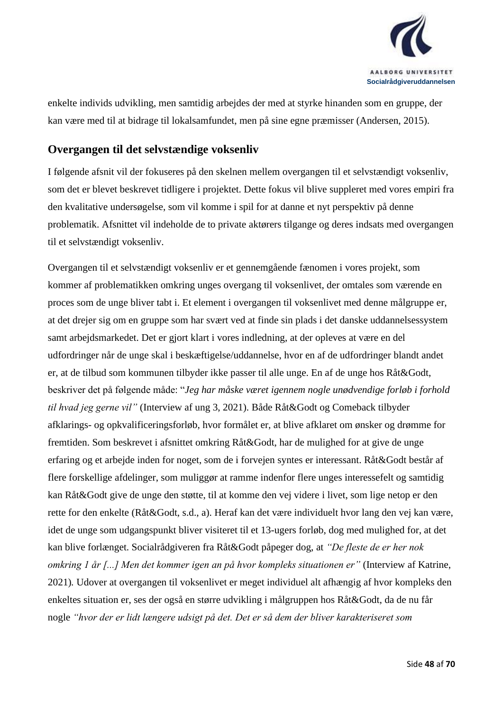

enkelte individs udvikling, men samtidig arbejdes der med at styrke hinanden som en gruppe, der kan være med til at bidrage til lokalsamfundet, men på sine egne præmisser (Andersen, 2015).

#### <span id="page-47-0"></span>**Overgangen til det selvstændige voksenliv**

I følgende afsnit vil der fokuseres på den skelnen mellem overgangen til et selvstændigt voksenliv, som det er blevet beskrevet tidligere i projektet. Dette fokus vil blive suppleret med vores empiri fra den kvalitative undersøgelse, som vil komme i spil for at danne et nyt perspektiv på denne problematik. Afsnittet vil indeholde de to private aktørers tilgange og deres indsats med overgangen til et selvstændigt voksenliv.

Overgangen til et selvstændigt voksenliv er et gennemgående fænomen i vores projekt, som kommer af problematikken omkring unges overgang til voksenlivet, der omtales som værende en proces som de unge bliver tabt i. Et element i overgangen til voksenlivet med denne målgruppe er, at det drejer sig om en gruppe som har svært ved at finde sin plads i det danske uddannelsessystem samt arbejdsmarkedet. Det er gjort klart i vores indledning, at der opleves at være en del udfordringer når de unge skal i beskæftigelse/uddannelse, hvor en af de udfordringer blandt andet er, at de tilbud som kommunen tilbyder ikke passer til alle unge. En af de unge hos Råt&Godt, beskriver det på følgende måde: "*Jeg har måske været igennem nogle unødvendige forløb i forhold til hvad jeg gerne vil"* (Interview af ung 3, 2021). Både Råt&Godt og Comeback tilbyder afklarings- og opkvalificeringsforløb, hvor formålet er, at blive afklaret om ønsker og drømme for fremtiden. Som beskrevet i afsnittet omkring Råt&Godt, har de mulighed for at give de unge erfaring og et arbejde inden for noget, som de i forvejen syntes er interessant. Råt&Godt består af flere forskellige afdelinger, som muliggør at ramme indenfor flere unges interessefelt og samtidig kan Råt&Godt give de unge den støtte, til at komme den vej videre i livet, som lige netop er den rette for den enkelte (Råt&Godt, s.d., a). Heraf kan det være individuelt hvor lang den vej kan være, idet de unge som udgangspunkt bliver visiteret til et 13-ugers forløb, dog med mulighed for, at det kan blive forlænget. Socialrådgiveren fra Råt&Godt påpeger dog, at *"De fleste de er her nok omkring 1 år [...] Men det kommer igen an på hvor kompleks situationen er"* (Interview af Katrine, 2021)*.* Udover at overgangen til voksenlivet er meget individuel alt afhængig af hvor kompleks den enkeltes situation er, ses der også en større udvikling i målgruppen hos Råt&Godt, da de nu får nogle *"hvor der er lidt længere udsigt på det. Det er så dem der bliver karakteriseret som*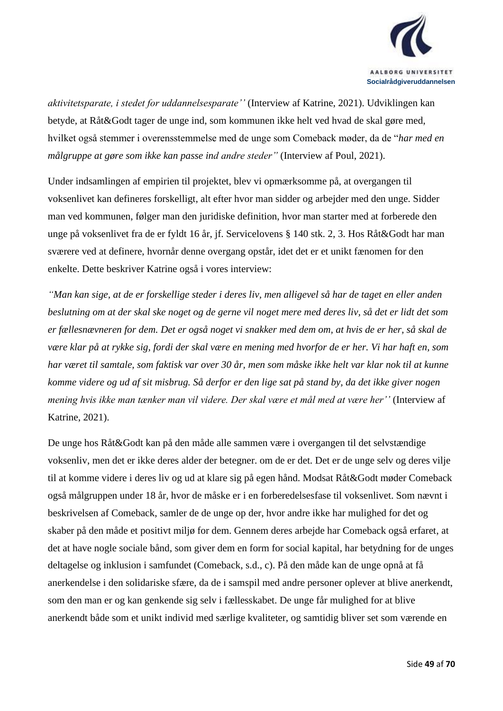

*aktivitetsparate, i stedet for uddannelsesparate''* (Interview af Katrine, 2021). Udviklingen kan betyde, at Råt&Godt tager de unge ind, som kommunen ikke helt ved hvad de skal gøre med, hvilket også stemmer i overensstemmelse med de unge som Comeback møder, da de "*har med en målgruppe at gøre som ikke kan passe ind andre steder"* (Interview af Poul, 2021).

Under indsamlingen af empirien til projektet, blev vi opmærksomme på, at overgangen til voksenlivet kan defineres forskelligt, alt efter hvor man sidder og arbejder med den unge. Sidder man ved kommunen, følger man den juridiske definition, hvor man starter med at forberede den unge på voksenlivet fra de er fyldt 16 år, jf. Servicelovens § 140 stk. 2, 3. Hos Råt&Godt har man sværere ved at definere, hvornår denne overgang opstår, idet det er et unikt fænomen for den enkelte. Dette beskriver Katrine også i vores interview:

*"Man kan sige, at de er forskellige steder i deres liv, men alligevel så har de taget en eller anden beslutning om at der skal ske noget og de gerne vil noget mere med deres liv, så det er lidt det som er fællesnævneren for dem. Det er også noget vi snakker med dem om, at hvis de er her, så skal de være klar på at rykke sig, fordi der skal være en mening med hvorfor de er her. Vi har haft en, som har været til samtale, som faktisk var over 30 år, men som måske ikke helt var klar nok til at kunne komme videre og ud af sit misbrug. Så derfor er den lige sat på stand by, da det ikke giver nogen mening hvis ikke man tænker man vil videre. Der skal være et mål med at være her''* (Interview af Katrine, 2021).

De unge hos Råt&Godt kan på den måde alle sammen være i overgangen til det selvstændige voksenliv, men det er ikke deres alder der betegner. om de er det. Det er de unge selv og deres vilje til at komme videre i deres liv og ud at klare sig på egen hånd. Modsat Råt&Godt møder Comeback også målgruppen under 18 år, hvor de måske er i en forberedelsesfase til voksenlivet. Som nævnt i beskrivelsen af Comeback, samler de de unge op der, hvor andre ikke har mulighed for det og skaber på den måde et positivt miljø for dem. Gennem deres arbejde har Comeback også erfaret, at det at have nogle sociale bånd, som giver dem en form for social kapital, har betydning for de unges deltagelse og inklusion i samfundet (Comeback, s.d., c). På den måde kan de unge opnå at få anerkendelse i den solidariske sfære, da de i samspil med andre personer oplever at blive anerkendt, som den man er og kan genkende sig selv i fællesskabet. De unge får mulighed for at blive anerkendt både som et unikt individ med særlige kvaliteter, og samtidig bliver set som værende en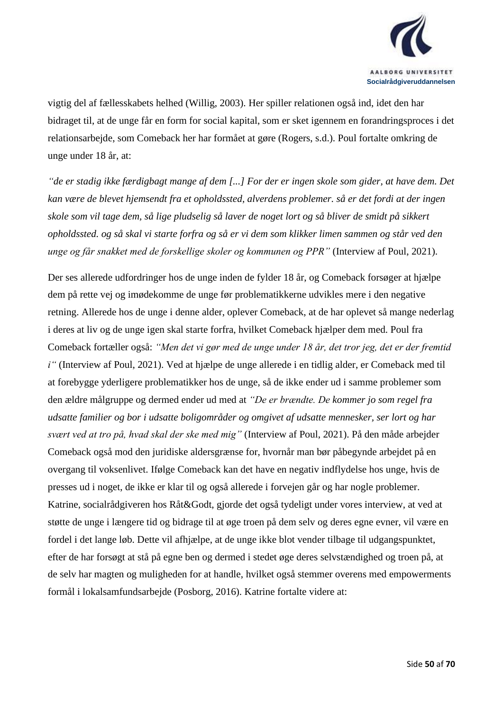

vigtig del af fællesskabets helhed (Willig, 2003). Her spiller relationen også ind, idet den har bidraget til, at de unge får en form for social kapital, som er sket igennem en forandringsproces i det relationsarbejde, som Comeback her har formået at gøre (Rogers, s.d.). Poul fortalte omkring de unge under 18 år, at:

*"de er stadig ikke færdigbagt mange af dem [...] For der er ingen skole som gider, at have dem. Det kan være de blevet hjemsendt fra et opholdssted, alverdens problemer. så er det fordi at der ingen skole som vil tage dem, så lige pludselig så laver de noget lort og så bliver de smidt på sikkert opholdssted. og så skal vi starte forfra og så er vi dem som klikker limen sammen og står ved den unge og får snakket med de forskellige skoler og kommunen og PPR"* (Interview af Poul, 2021).

Der ses allerede udfordringer hos de unge inden de fylder 18 år, og Comeback forsøger at hjælpe dem på rette vej og imødekomme de unge før problematikkerne udvikles mere i den negative retning. Allerede hos de unge i denne alder, oplever Comeback, at de har oplevet så mange nederlag i deres at liv og de unge igen skal starte forfra, hvilket Comeback hjælper dem med. Poul fra Comeback fortæller også: *"Men det vi gør med de unge under 18 år, det tror jeg, det er der fremtid i"* (Interview af Poul, 2021). Ved at hjælpe de unge allerede i en tidlig alder, er Comeback med til at forebygge yderligere problematikker hos de unge, så de ikke ender ud i samme problemer som den ældre målgruppe og dermed ender ud med at *"De er brændte. De kommer jo som regel fra udsatte familier og bor i udsatte boligområder og omgivet af udsatte mennesker, ser lort og har svært ved at tro på, hvad skal der ske med mig"* (Interview af Poul, 2021). På den måde arbejder Comeback også mod den juridiske aldersgrænse for, hvornår man bør påbegynde arbejdet på en overgang til voksenlivet. Ifølge Comeback kan det have en negativ indflydelse hos unge, hvis de presses ud i noget, de ikke er klar til og også allerede i forvejen går og har nogle problemer. Katrine, socialrådgiveren hos Råt&Godt, gjorde det også tydeligt under vores interview, at ved at støtte de unge i længere tid og bidrage til at øge troen på dem selv og deres egne evner, vil være en fordel i det lange løb. Dette vil afhjælpe, at de unge ikke blot vender tilbage til udgangspunktet, efter de har forsøgt at stå på egne ben og dermed i stedet øge deres selvstændighed og troen på, at de selv har magten og muligheden for at handle, hvilket også stemmer overens med empowerments formål i lokalsamfundsarbejde (Posborg, 2016). Katrine fortalte videre at: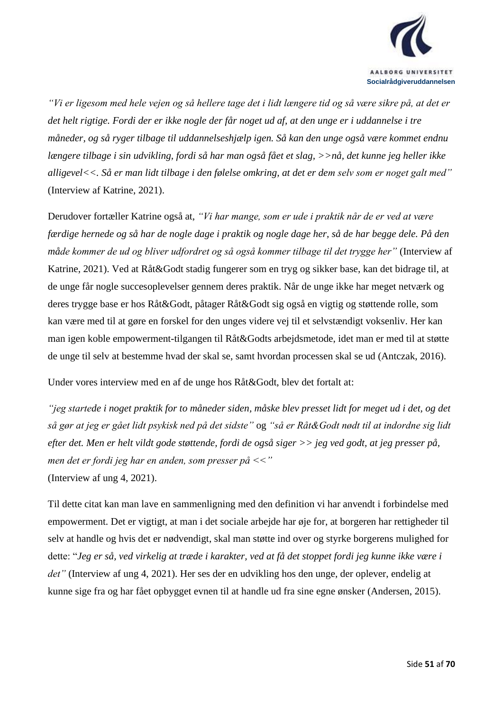

*"Vi er ligesom med hele vejen og så hellere tage det i lidt længere tid og så være sikre på, at det er det helt rigtige. Fordi der er ikke nogle der får noget ud af, at den unge er i uddannelse i tre måneder, og så ryger tilbage til uddannelseshjælp igen. Så kan den unge også være kommet endnu længere tilbage i sin udvikling, fordi så har man også fået et slag, >>nå, det kunne jeg heller ikke alligevel<<. Så er man lidt tilbage i den følelse omkring, at det er dem selv som er noget galt med"*  (Interview af Katrine, 2021).

Derudover fortæller Katrine også at, *"Vi har mange, som er ude i praktik når de er ved at være færdige hernede og så har de nogle dage i praktik og nogle dage her, så de har begge dele. På den måde kommer de ud og bliver udfordret og så også kommer tilbage til det trygge her"* (Interview af Katrine, 2021). Ved at Råt&Godt stadig fungerer som en tryg og sikker base, kan det bidrage til, at de unge får nogle succesoplevelser gennem deres praktik. Når de unge ikke har meget netværk og deres trygge base er hos Råt&Godt, påtager Råt&Godt sig også en vigtig og støttende rolle, som kan være med til at gøre en forskel for den unges videre vej til et selvstændigt voksenliv. Her kan man igen koble empowerment-tilgangen til Råt&Godts arbejdsmetode, idet man er med til at støtte de unge til selv at bestemme hvad der skal se, samt hvordan processen skal se ud (Antczak, 2016).

Under vores interview med en af de unge hos Råt&Godt, blev det fortalt at:

*"jeg startede i noget praktik for to måneder siden, måske blev presset lidt for meget ud i det, og det så gør at jeg er gået lidt psykisk ned på det sidste"* og *"så er Råt&Godt nødt til at indordne sig lidt efter det. Men er helt vildt gode støttende, fordi de også siger >> jeg ved godt, at jeg presser på, men det er fordi jeg har en anden, som presser på <<"*  (Interview af ung 4, 2021).

Til dette citat kan man lave en sammenligning med den definition vi har anvendt i forbindelse med empowerment. Det er vigtigt, at man i det sociale arbejde har øje for, at borgeren har rettigheder til selv at handle og hvis det er nødvendigt, skal man støtte ind over og styrke borgerens mulighed for dette: "*Jeg er så, ved virkelig at træde i karakter, ved at få det stoppet fordi jeg kunne ikke være i det"* (Interview af ung 4, 2021). Her ses der en udvikling hos den unge, der oplever, endelig at kunne sige fra og har fået opbygget evnen til at handle ud fra sine egne ønsker (Andersen, 2015).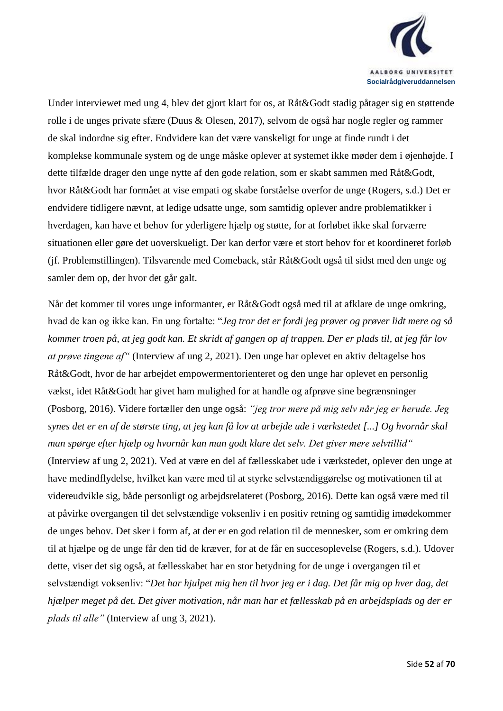

Under interviewet med ung 4, blev det gjort klart for os, at Råt&Godt stadig påtager sig en støttende rolle i de unges private sfære (Duus & Olesen, 2017), selvom de også har nogle regler og rammer de skal indordne sig efter. Endvidere kan det være vanskeligt for unge at finde rundt i det komplekse kommunale system og de unge måske oplever at systemet ikke møder dem i øjenhøjde. I dette tilfælde drager den unge nytte af den gode relation, som er skabt sammen med Råt&Godt, hvor Råt&Godt har formået at vise empati og skabe forståelse overfor de unge (Rogers, s.d.) Det er endvidere tidligere nævnt, at ledige udsatte unge, som samtidig oplever andre problematikker i hverdagen, kan have et behov for yderligere hjælp og støtte, for at forløbet ikke skal forværre situationen eller gøre det uoverskueligt. Der kan derfor være et stort behov for et koordineret forløb (jf. Problemstillingen). Tilsvarende med Comeback, står Råt&Godt også til sidst med den unge og samler dem op, der hvor det går galt.

Når det kommer til vores unge informanter, er Råt&Godt også med til at afklare de unge omkring, hvad de kan og ikke kan. En ung fortalte: "*Jeg tror det er fordi jeg prøver og prøver lidt mere og så kommer troen på, at jeg godt kan. Et skridt af gangen op af trappen. Der er plads til, at jeg får lov at prøve tingene af"* (Interview af ung 2, 2021). Den unge har oplevet en aktiv deltagelse hos Råt&Godt, hvor de har arbejdet empowermentorienteret og den unge har oplevet en personlig vækst, idet Råt&Godt har givet ham mulighed for at handle og afprøve sine begrænsninger (Posborg, 2016). Videre fortæller den unge også: *"jeg tror mere på mig selv når jeg er herude. Jeg synes det er en af de største ting, at jeg kan få lov at arbejde ude i værkstedet [...] Og hvornår skal man spørge efter hjælp og hvornår kan man godt klare det selv. Det giver mere selvtillid"*  (Interview af ung 2, 2021). Ved at være en del af fællesskabet ude i værkstedet, oplever den unge at have medindflydelse, hvilket kan være med til at styrke selvstændiggørelse og motivationen til at videreudvikle sig, både personligt og arbejdsrelateret (Posborg, 2016). Dette kan også være med til at påvirke overgangen til det selvstændige voksenliv i en positiv retning og samtidig imødekommer de unges behov. Det sker i form af, at der er en god relation til de mennesker, som er omkring dem til at hjælpe og de unge får den tid de kræver, for at de får en succesoplevelse (Rogers, s.d.). Udover dette, viser det sig også, at fællesskabet har en stor betydning for de unge i overgangen til et selvstændigt voksenliv: "*Det har hjulpet mig hen til hvor jeg er i dag. Det får mig op hver dag, det hjælper meget på det. Det giver motivation, når man har et fællesskab på en arbejdsplads og der er plads til alle"* (Interview af ung 3, 2021).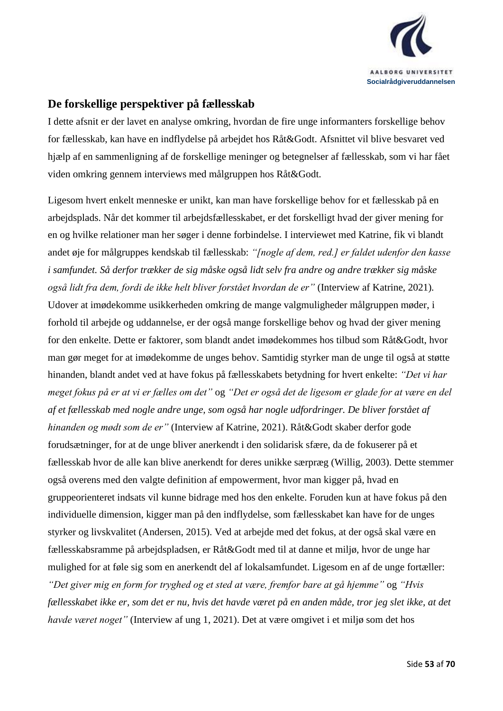

#### <span id="page-52-0"></span>**De forskellige perspektiver på fællesskab**

I dette afsnit er der lavet en analyse omkring, hvordan de fire unge informanters forskellige behov for fællesskab, kan have en indflydelse på arbejdet hos Råt&Godt. Afsnittet vil blive besvaret ved hjælp af en sammenligning af de forskellige meninger og betegnelser af fællesskab, som vi har fået viden omkring gennem interviews med målgruppen hos Råt&Godt.

Ligesom hvert enkelt menneske er unikt, kan man have forskellige behov for et fællesskab på en arbejdsplads. Når det kommer til arbejdsfællesskabet, er det forskelligt hvad der giver mening for en og hvilke relationer man her søger i denne forbindelse. I interviewet med Katrine, fik vi blandt andet øje for målgruppes kendskab til fællesskab: *"[nogle af dem, red.] er faldet udenfor den kasse i samfundet. Så derfor trækker de sig måske også lidt selv fra andre og andre trækker sig måske også lidt fra dem, fordi de ikke helt bliver forstået hvordan de er"* (Interview af Katrine, 2021)*.* Udover at imødekomme usikkerheden omkring de mange valgmuligheder målgruppen møder, i forhold til arbejde og uddannelse, er der også mange forskellige behov og hvad der giver mening for den enkelte. Dette er faktorer, som blandt andet imødekommes hos tilbud som Råt&Godt, hvor man gør meget for at imødekomme de unges behov. Samtidig styrker man de unge til også at støtte hinanden, blandt andet ved at have fokus på fællesskabets betydning for hvert enkelte: *"Det vi har meget fokus på er at vi er fælles om det"* og *"Det er også det de ligesom er glade for at være en del af et fællesskab med nogle andre unge, som også har nogle udfordringer. De bliver forstået af hinanden og mødt som de er"* (Interview af Katrine, 2021). Råt&Godt skaber derfor gode forudsætninger, for at de unge bliver anerkendt i den solidarisk sfære, da de fokuserer på et fællesskab hvor de alle kan blive anerkendt for deres unikke særpræg (Willig, 2003). Dette stemmer også overens med den valgte definition af empowerment, hvor man kigger på, hvad en gruppeorienteret indsats vil kunne bidrage med hos den enkelte. Foruden kun at have fokus på den individuelle dimension, kigger man på den indflydelse, som fællesskabet kan have for de unges styrker og livskvalitet (Andersen, 2015). Ved at arbejde med det fokus, at der også skal være en fællesskabsramme på arbejdspladsen, er Råt&Godt med til at danne et miljø, hvor de unge har mulighed for at føle sig som en anerkendt del af lokalsamfundet. Ligesom en af de unge fortæller: *"Det giver mig en form for tryghed og et sted at være, fremfor bare at gå hjemme"* og *"Hvis fællesskabet ikke er, som det er nu, hvis det havde været på en anden måde, tror jeg slet ikke, at det havde været noget"* (Interview af ung 1, 2021). Det at være omgivet i et miljø som det hos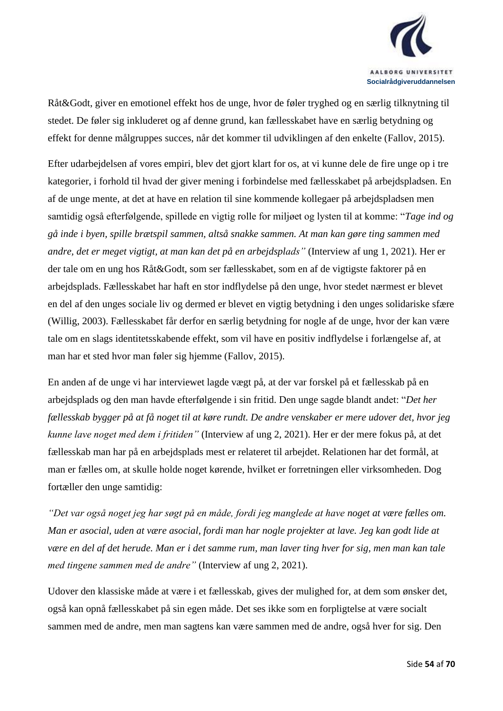

Råt&Godt, giver en emotionel effekt hos de unge, hvor de føler tryghed og en særlig tilknytning til stedet. De føler sig inkluderet og af denne grund, kan fællesskabet have en særlig betydning og effekt for denne målgruppes succes, når det kommer til udviklingen af den enkelte (Fallov, 2015).

Efter udarbejdelsen af vores empiri, blev det gjort klart for os, at vi kunne dele de fire unge op i tre kategorier, i forhold til hvad der giver mening i forbindelse med fællesskabet på arbejdspladsen. En af de unge mente, at det at have en relation til sine kommende kollegaer på arbejdspladsen men samtidig også efterfølgende, spillede en vigtig rolle for miljøet og lysten til at komme: "*Tage ind og gå inde i byen, spille brætspil sammen, altså snakke sammen. At man kan gøre ting sammen med andre, det er meget vigtigt, at man kan det på en arbejdsplads"* (Interview af ung 1, 2021). Her er der tale om en ung hos Råt&Godt, som ser fællesskabet, som en af de vigtigste faktorer på en arbejdsplads. Fællesskabet har haft en stor indflydelse på den unge, hvor stedet nærmest er blevet en del af den unges sociale liv og dermed er blevet en vigtig betydning i den unges solidariske sfære (Willig, 2003). Fællesskabet får derfor en særlig betydning for nogle af de unge, hvor der kan være tale om en slags identitetsskabende effekt, som vil have en positiv indflydelse i forlængelse af, at man har et sted hvor man føler sig hjemme (Fallov, 2015).

En anden af de unge vi har interviewet lagde vægt på, at der var forskel på et fællesskab på en arbejdsplads og den man havde efterfølgende i sin fritid. Den unge sagde blandt andet: "*Det her fællesskab bygger på at få noget til at køre rundt. De andre venskaber er mere udover det, hvor jeg kunne lave noget med dem i fritiden"* (Interview af ung 2, 2021). Her er der mere fokus på, at det fællesskab man har på en arbejdsplads mest er relateret til arbejdet. Relationen har det formål, at man er fælles om, at skulle holde noget kørende, hvilket er forretningen eller virksomheden. Dog fortæller den unge samtidig:

*"Det var også noget jeg har søgt på en måde, fordi jeg manglede at have noget at være fælles om. Man er asocial, uden at være asocial, fordi man har nogle projekter at lave. Jeg kan godt lide at være en del af det herude. Man er i det samme rum, man laver ting hver for sig, men man kan tale med tingene sammen med de andre"* (Interview af ung 2, 2021).

Udover den klassiske måde at være i et fællesskab, gives der mulighed for, at dem som ønsker det, også kan opnå fællesskabet på sin egen måde. Det ses ikke som en forpligtelse at være socialt sammen med de andre, men man sagtens kan være sammen med de andre, også hver for sig. Den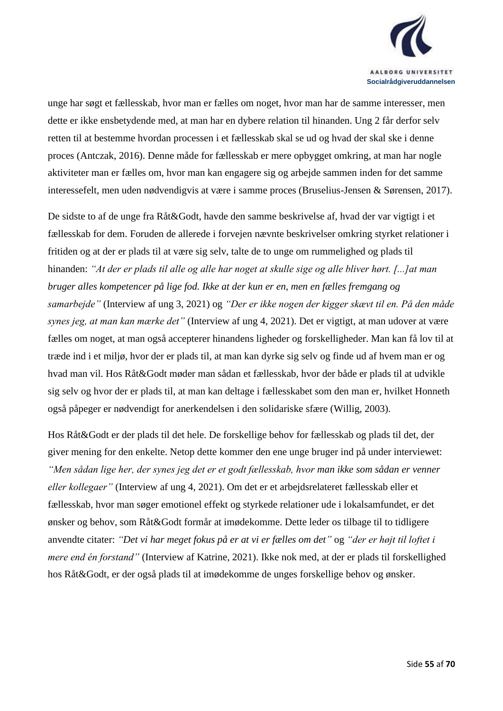

unge har søgt et fællesskab, hvor man er fælles om noget, hvor man har de samme interesser, men dette er ikke ensbetydende med, at man har en dybere relation til hinanden. Ung 2 får derfor selv retten til at bestemme hvordan processen i et fællesskab skal se ud og hvad der skal ske i denne proces (Antczak, 2016). Denne måde for fællesskab er mere opbygget omkring, at man har nogle aktiviteter man er fælles om, hvor man kan engagere sig og arbejde sammen inden for det samme interessefelt, men uden nødvendigvis at være i samme proces (Bruselius-Jensen & Sørensen, 2017).

De sidste to af de unge fra Råt&Godt, havde den samme beskrivelse af, hvad der var vigtigt i et fællesskab for dem. Foruden de allerede i forvejen nævnte beskrivelser omkring styrket relationer i fritiden og at der er plads til at være sig selv, talte de to unge om rummelighed og plads til hinanden: *"At der er plads til alle og alle har noget at skulle sige og alle bliver hørt. [...]at man bruger alles kompetencer på lige fod. Ikke at der kun er en, men en fælles fremgang og samarbejde"* (Interview af ung 3, 2021) og *"Der er ikke nogen der kigger skævt til en. På den måde synes jeg, at man kan mærke det"* (Interview af ung 4, 2021). Det er vigtigt, at man udover at være fælles om noget, at man også accepterer hinandens ligheder og forskelligheder. Man kan få lov til at træde ind i et miljø, hvor der er plads til, at man kan dyrke sig selv og finde ud af hvem man er og hvad man vil. Hos Råt&Godt møder man sådan et fællesskab, hvor der både er plads til at udvikle sig selv og hvor der er plads til, at man kan deltage i fællesskabet som den man er, hvilket Honneth også påpeger er nødvendigt for anerkendelsen i den solidariske sfære (Willig, 2003).

Hos Råt&Godt er der plads til det hele. De forskellige behov for fællesskab og plads til det, der giver mening for den enkelte. Netop dette kommer den ene unge bruger ind på under interviewet: *"Men sådan lige her, der synes jeg det er et godt fællesskab, hvor man ikke som sådan er venner eller kollegaer"* (Interview af ung 4, 2021). Om det er et arbejdsrelateret fællesskab eller et fællesskab, hvor man søger emotionel effekt og styrkede relationer ude i lokalsamfundet, er det ønsker og behov, som Råt&Godt formår at imødekomme. Dette leder os tilbage til to tidligere anvendte citater: *"Det vi har meget fokus på er at vi er fælles om det"* og *"der er højt til loftet i mere end én forstand"* (Interview af Katrine, 2021). Ikke nok med, at der er plads til forskellighed hos Råt&Godt, er der også plads til at imødekomme de unges forskellige behov og ønsker.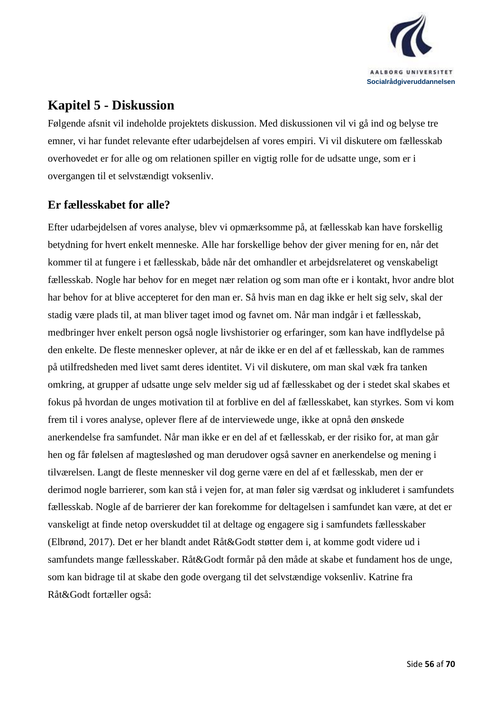

## <span id="page-55-0"></span>**Kapitel 5 - Diskussion**

Følgende afsnit vil indeholde projektets diskussion. Med diskussionen vil vi gå ind og belyse tre emner, vi har fundet relevante efter udarbejdelsen af vores empiri. Vi vil diskutere om fællesskab overhovedet er for alle og om relationen spiller en vigtig rolle for de udsatte unge, som er i overgangen til et selvstændigt voksenliv.

### <span id="page-55-1"></span>**Er fællesskabet for alle?**

Efter udarbejdelsen af vores analyse, blev vi opmærksomme på, at fællesskab kan have forskellig betydning for hvert enkelt menneske. Alle har forskellige behov der giver mening for en, når det kommer til at fungere i et fællesskab, både når det omhandler et arbejdsrelateret og venskabeligt fællesskab. Nogle har behov for en meget nær relation og som man ofte er i kontakt, hvor andre blot har behov for at blive accepteret for den man er. Så hvis man en dag ikke er helt sig selv, skal der stadig være plads til, at man bliver taget imod og favnet om. Når man indgår i et fællesskab, medbringer hver enkelt person også nogle livshistorier og erfaringer, som kan have indflydelse på den enkelte. De fleste mennesker oplever, at når de ikke er en del af et fællesskab, kan de rammes på utilfredsheden med livet samt deres identitet. Vi vil diskutere, om man skal væk fra tanken omkring, at grupper af udsatte unge selv melder sig ud af fællesskabet og der i stedet skal skabes et fokus på hvordan de unges motivation til at forblive en del af fællesskabet, kan styrkes. Som vi kom frem til i vores analyse, oplever flere af de interviewede unge, ikke at opnå den ønskede anerkendelse fra samfundet. Når man ikke er en del af et fællesskab, er der risiko for, at man går hen og får følelsen af magtesløshed og man derudover også savner en anerkendelse og mening i tilværelsen. Langt de fleste mennesker vil dog gerne være en del af et fællesskab, men der er derimod nogle barrierer, som kan stå i vejen for, at man føler sig værdsat og inkluderet i samfundets fællesskab. Nogle af de barrierer der kan forekomme for deltagelsen i samfundet kan være, at det er vanskeligt at finde netop overskuddet til at deltage og engagere sig i samfundets fællesskaber (Elbrønd, 2017). Det er her blandt andet Råt&Godt støtter dem i, at komme godt videre ud i samfundets mange fællesskaber. Råt&Godt formår på den måde at skabe et fundament hos de unge, som kan bidrage til at skabe den gode overgang til det selvstændige voksenliv. Katrine fra Råt&Godt fortæller også: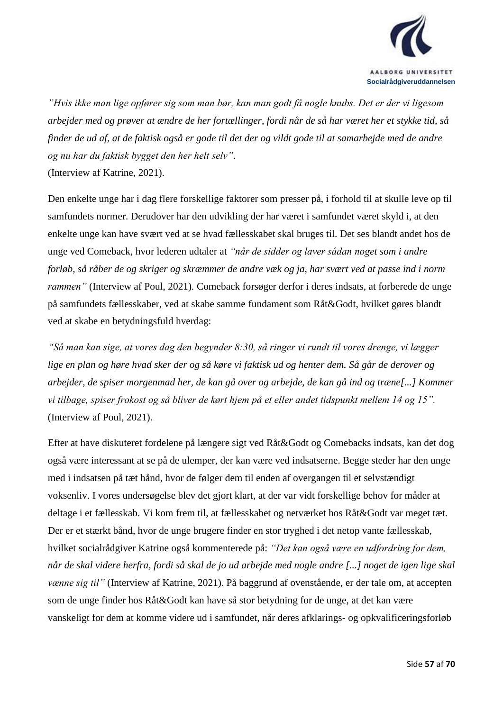

*"Hvis ikke man lige opfører sig som man bør, kan man godt få nogle knubs. Det er der vi ligesom arbejder med og prøver at ændre de her fortællinger, fordi når de så har været her et stykke tid, så finder de ud af, at de faktisk også er gode til det der og vildt gode til at samarbejde med de andre og nu har du faktisk bygget den her helt selv"*.

(Interview af Katrine, 2021).

Den enkelte unge har i dag flere forskellige faktorer som presser på, i forhold til at skulle leve op til samfundets normer. Derudover har den udvikling der har været i samfundet været skyld i, at den enkelte unge kan have svært ved at se hvad fællesskabet skal bruges til. Det ses blandt andet hos de unge ved Comeback, hvor lederen udtaler at *"når de sidder og laver sådan noget som i andre forløb, så råber de og skriger og skræmmer de andre væk og ja, har svært ved at passe ind i norm rammen"* (Interview af Poul, 2021)*.* Comeback forsøger derfor i deres indsats, at forberede de unge på samfundets fællesskaber, ved at skabe samme fundament som Råt&Godt, hvilket gøres blandt ved at skabe en betydningsfuld hverdag:

*"Så man kan sige, at vores dag den begynder 8:30, så ringer vi rundt til vores drenge, vi lægger lige en plan og høre hvad sker der og så køre vi faktisk ud og henter dem. Så går de derover og arbejder, de spiser morgenmad her, de kan gå over og arbejde, de kan gå ind og træne[...] Kommer vi tilbage, spiser frokost og så bliver de kørt hjem på et eller andet tidspunkt mellem 14 og 15".*  (Interview af Poul, 2021).

Efter at have diskuteret fordelene på længere sigt ved Råt&Godt og Comebacks indsats, kan det dog også være interessant at se på de ulemper, der kan være ved indsatserne. Begge steder har den unge med i indsatsen på tæt hånd, hvor de følger dem til enden af overgangen til et selvstændigt voksenliv. I vores undersøgelse blev det gjort klart, at der var vidt forskellige behov for måder at deltage i et fællesskab. Vi kom frem til, at fællesskabet og netværket hos Råt&Godt var meget tæt. Der er et stærkt bånd, hvor de unge brugere finder en stor tryghed i det netop vante fællesskab, hvilket socialrådgiver Katrine også kommenterede på: *"Det kan også være en udfordring for dem, når de skal videre herfra, fordi så skal de jo ud arbejde med nogle andre [...] noget de igen lige skal vænne sig til"* (Interview af Katrine, 2021). På baggrund af ovenstående, er der tale om, at accepten som de unge finder hos Råt&Godt kan have så stor betydning for de unge, at det kan være vanskeligt for dem at komme videre ud i samfundet, når deres afklarings- og opkvalificeringsforløb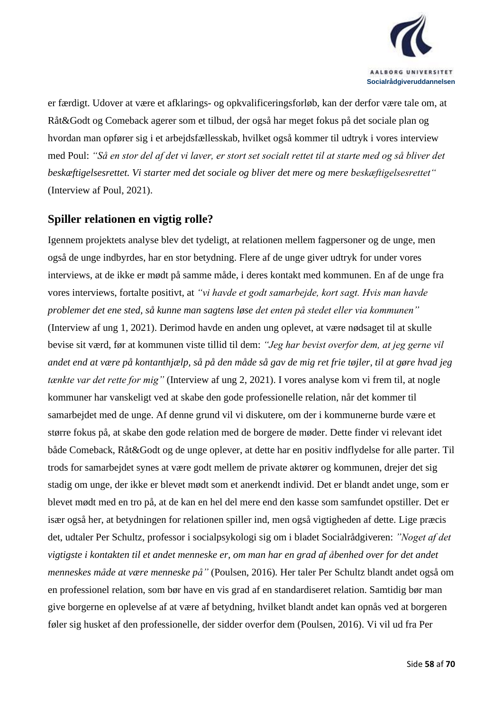

er færdigt. Udover at være et afklarings- og opkvalificeringsforløb, kan der derfor være tale om, at Råt&Godt og Comeback agerer som et tilbud, der også har meget fokus på det sociale plan og hvordan man opfører sig i et arbejdsfællesskab, hvilket også kommer til udtryk i vores interview med Poul: *"Så en stor del af det vi laver, er stort set socialt rettet til at starte med og så bliver det beskæftigelsesrettet. Vi starter med det sociale og bliver det mere og mere beskæftigelsesrettet"* (Interview af Poul, 2021).

#### <span id="page-57-0"></span>**Spiller relationen en vigtig rolle?**

Igennem projektets analyse blev det tydeligt, at relationen mellem fagpersoner og de unge, men også de unge indbyrdes, har en stor betydning. Flere af de unge giver udtryk for under vores interviews, at de ikke er mødt på samme måde, i deres kontakt med kommunen. En af de unge fra vores interviews, fortalte positivt, at *"vi havde et godt samarbejde, kort sagt. Hvis man havde problemer det ene sted, så kunne man sagtens løse det enten på stedet eller via kommunen"* (Interview af ung 1, 2021). Derimod havde en anden ung oplevet, at være nødsaget til at skulle bevise sit værd, før at kommunen viste tillid til dem: *"Jeg har bevist overfor dem, at jeg gerne vil andet end at være på kontanthjælp, så på den måde så gav de mig ret frie tøjler, til at gøre hvad jeg tænkte var det rette for mig"* (Interview af ung 2, 2021). I vores analyse kom vi frem til, at nogle kommuner har vanskeligt ved at skabe den gode professionelle relation, når det kommer til samarbejdet med de unge. Af denne grund vil vi diskutere, om der i kommunerne burde være et større fokus på, at skabe den gode relation med de borgere de møder. Dette finder vi relevant idet både Comeback, Råt&Godt og de unge oplever, at dette har en positiv indflydelse for alle parter. Til trods for samarbejdet synes at være godt mellem de private aktører og kommunen, drejer det sig stadig om unge, der ikke er blevet mødt som et anerkendt individ. Det er blandt andet unge, som er blevet mødt med en tro på, at de kan en hel del mere end den kasse som samfundet opstiller. Det er især også her, at betydningen for relationen spiller ind, men også vigtigheden af dette. Lige præcis det, udtaler Per Schultz, professor i socialpsykologi sig om i bladet Socialrådgiveren: *"Noget af det vigtigste i kontakten til et andet menneske er, om man har en grad af åbenhed over for det andet menneskes måde at være menneske på"* (Poulsen, 2016)*.* Her taler Per Schultz blandt andet også om en professionel relation, som bør have en vis grad af en standardiseret relation. Samtidig bør man give borgerne en oplevelse af at være af betydning, hvilket blandt andet kan opnås ved at borgeren føler sig husket af den professionelle, der sidder overfor dem (Poulsen, 2016). Vi vil ud fra Per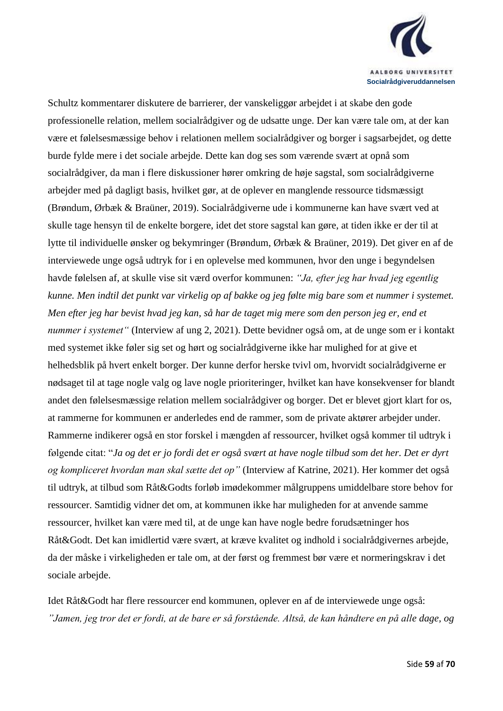

Schultz kommentarer diskutere de barrierer, der vanskeliggør arbejdet i at skabe den gode professionelle relation, mellem socialrådgiver og de udsatte unge. Der kan være tale om, at der kan være et følelsesmæssige behov i relationen mellem socialrådgiver og borger i sagsarbejdet, og dette burde fylde mere i det sociale arbejde. Dette kan dog ses som værende svært at opnå som socialrådgiver, da man i flere diskussioner hører omkring de høje sagstal, som socialrådgiverne arbejder med på dagligt basis, hvilket gør, at de oplever en manglende ressource tidsmæssigt (Brøndum, Ørbæk & Braüner, 2019). Socialrådgiverne ude i kommunerne kan have svært ved at skulle tage hensyn til de enkelte borgere, idet det store sagstal kan gøre, at tiden ikke er der til at lytte til individuelle ønsker og bekymringer (Brøndum, Ørbæk & Braüner, 2019). Det giver en af de interviewede unge også udtryk for i en oplevelse med kommunen, hvor den unge i begyndelsen havde følelsen af, at skulle vise sit værd overfor kommunen: *"Ja, efter jeg har hvad jeg egentlig kunne. Men indtil det punkt var virkelig op af bakke og jeg følte mig bare som et nummer i systemet. Men efter jeg har bevist hvad jeg kan, så har de taget mig mere som den person jeg er, end et nummer i systemet"* (Interview af ung 2, 2021). Dette bevidner også om, at de unge som er i kontakt med systemet ikke føler sig set og hørt og socialrådgiverne ikke har mulighed for at give et helhedsblik på hvert enkelt borger. Der kunne derfor herske tvivl om, hvorvidt socialrådgiverne er nødsaget til at tage nogle valg og lave nogle prioriteringer, hvilket kan have konsekvenser for blandt andet den følelsesmæssige relation mellem socialrådgiver og borger. Det er blevet gjort klart for os, at rammerne for kommunen er anderledes end de rammer, som de private aktører arbejder under. Rammerne indikerer også en stor forskel i mængden af ressourcer, hvilket også kommer til udtryk i følgende citat: "*Ja og det er jo fordi det er også svært at have nogle tilbud som det her. Det er dyrt og kompliceret hvordan man skal sætte det op"* (Interview af Katrine, 2021). Her kommer det også til udtryk, at tilbud som Råt&Godts forløb imødekommer målgruppens umiddelbare store behov for ressourcer. Samtidig vidner det om, at kommunen ikke har muligheden for at anvende samme ressourcer, hvilket kan være med til, at de unge kan have nogle bedre forudsætninger hos Råt&Godt. Det kan imidlertid være svært, at kræve kvalitet og indhold i socialrådgivernes arbejde, da der måske i virkeligheden er tale om, at der først og fremmest bør være et normeringskrav i det sociale arbejde.

Idet Råt&Godt har flere ressourcer end kommunen, oplever en af de interviewede unge også: *"Jamen, jeg tror det er fordi, at de bare er så forstående. Altså, de kan håndtere en på alle dage, og*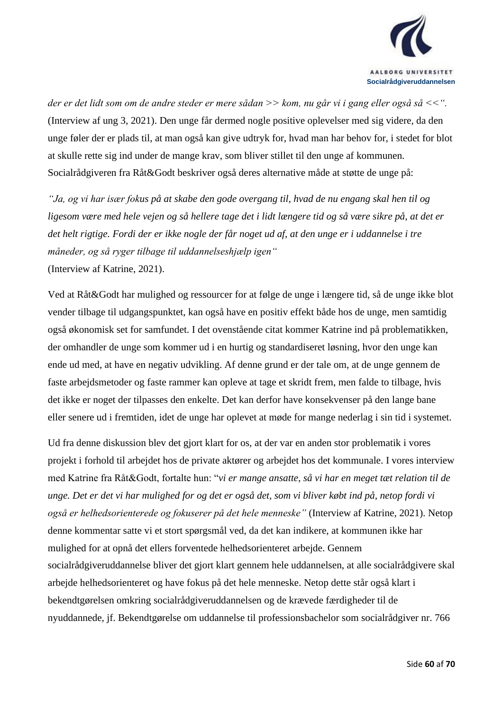

*der er det lidt som om de andre steder er mere sådan >> kom, nu går vi i gang eller også så <<".*  (Interview af ung 3, 2021). Den unge får dermed nogle positive oplevelser med sig videre, da den unge føler der er plads til, at man også kan give udtryk for, hvad man har behov for, i stedet for blot at skulle rette sig ind under de mange krav, som bliver stillet til den unge af kommunen. Socialrådgiveren fra Råt&Godt beskriver også deres alternative måde at støtte de unge på:

*"Ja, og vi har især fokus på at skabe den gode overgang til, hvad de nu engang skal hen til og ligesom være med hele vejen og så hellere tage det i lidt længere tid og så være sikre på, at det er det helt rigtige. Fordi der er ikke nogle der får noget ud af, at den unge er i uddannelse i tre måneder, og så ryger tilbage til uddannelseshjælp igen"*  (Interview af Katrine, 2021).

Ved at Råt&Godt har mulighed og ressourcer for at følge de unge i længere tid, så de unge ikke blot vender tilbage til udgangspunktet, kan også have en positiv effekt både hos de unge, men samtidig også økonomisk set for samfundet. I det ovenstående citat kommer Katrine ind på problematikken, der omhandler de unge som kommer ud i en hurtig og standardiseret løsning, hvor den unge kan ende ud med, at have en negativ udvikling. Af denne grund er der tale om, at de unge gennem de faste arbejdsmetoder og faste rammer kan opleve at tage et skridt frem, men falde to tilbage, hvis det ikke er noget der tilpasses den enkelte. Det kan derfor have konsekvenser på den lange bane eller senere ud i fremtiden, idet de unge har oplevet at møde for mange nederlag i sin tid i systemet.

Ud fra denne diskussion blev det gjort klart for os, at der var en anden stor problematik i vores projekt i forhold til arbejdet hos de private aktører og arbejdet hos det kommunale. I vores interview med Katrine fra Råt&Godt, fortalte hun: "*vi er mange ansatte, så vi har en meget tæt relation til de unge. Det er det vi har mulighed for og det er også det, som vi bliver købt ind på, netop fordi vi også er helhedsorienterede og fokuserer på det hele menneske"* (Interview af Katrine, 2021). Netop denne kommentar satte vi et stort spørgsmål ved, da det kan indikere, at kommunen ikke har mulighed for at opnå det ellers forventede helhedsorienteret arbejde. Gennem socialrådgiveruddannelse bliver det gjort klart gennem hele uddannelsen, at alle socialrådgivere skal arbejde helhedsorienteret og have fokus på det hele menneske. Netop dette står også klart i bekendtgørelsen omkring socialrådgiveruddannelsen og de krævede færdigheder til de nyuddannede, jf. Bekendtgørelse om uddannelse til professionsbachelor som socialrådgiver nr. 766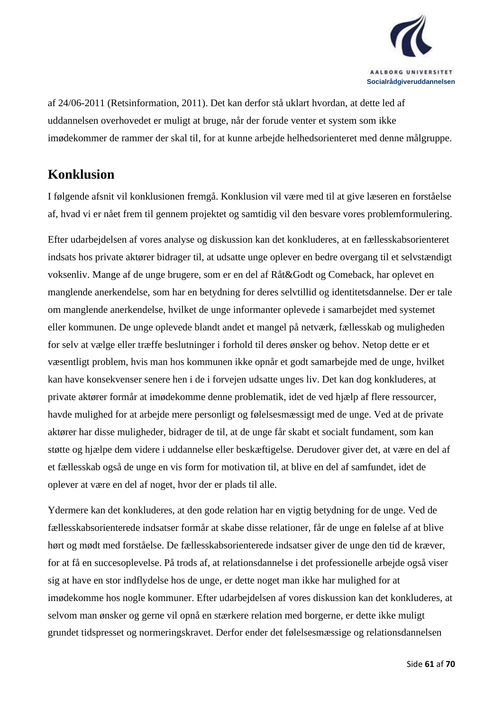

af 24/06-2011 (Retsinformation, 2011). Det kan derfor stå uklart hvordan, at dette led af uddannelsen overhovedet er muligt at bruge, når der forude venter et system som ikke imødekommer de rammer der skal til, for at kunne arbejde helhedsorienteret med denne målgruppe.

## <span id="page-60-0"></span>**Konklusion**

I følgende afsnit vil konklusionen fremgå. Konklusion vil være med til at give læseren en forståelse af, hvad vi er nået frem til gennem projektet og samtidig vil den besvare vores problemformulering.

Efter udarbejdelsen af vores analyse og diskussion kan det konkluderes, at en fællesskabsorienteret indsats hos private aktører bidrager til, at udsatte unge oplever en bedre overgang til et selvstændigt voksenliv. Mange af de unge brugere, som er en del af Råt&Godt og Comeback, har oplevet en manglende anerkendelse, som har en betydning for deres selvtillid og identitetsdannelse. Der er tale om manglende anerkendelse, hvilket de unge informanter oplevede i samarbejdet med systemet eller kommunen. De unge oplevede blandt andet et mangel på netværk, fællesskab og muligheden for selv at vælge eller træffe beslutninger i forhold til deres ønsker og behov. Netop dette er et væsentligt problem, hvis man hos kommunen ikke opnår et godt samarbejde med de unge, hvilket kan have konsekvenser senere hen i de i forvejen udsatte unges liv. Det kan dog konkluderes, at private aktører formår at imødekomme denne problematik, idet de ved hjælp af flere ressourcer, havde mulighed for at arbejde mere personligt og følelsesmæssigt med de unge. Ved at de private aktører har disse muligheder, bidrager de til, at de unge får skabt et socialt fundament, som kan støtte og hjælpe dem videre i uddannelse eller beskæftigelse. Derudover giver det, at være en del af et fællesskab også de unge en vis form for motivation til, at blive en del af samfundet, idet de oplever at være en del af noget, hvor der er plads til alle.

Ydermere kan det konkluderes, at den gode relation har en vigtig betydning for de unge. Ved de fællesskabsorienterede indsatser formår at skabe disse relationer, får de unge en følelse af at blive hørt og mødt med forståelse. De fællesskabsorienterede indsatser giver de unge den tid de kræver, for at få en succesoplevelse. På trods af, at relationsdannelse i det professionelle arbejde også viser sig at have en stor indflydelse hos de unge, er dette noget man ikke har mulighed for at imødekomme hos nogle kommuner. Efter udarbejdelsen af vores diskussion kan det konkluderes, at selvom man ønsker og gerne vil opnå en stærkere relation med borgerne, er dette ikke muligt grundet tidspresset og normeringskravet. Derfor ender det følelsesmæssige og relationsdannelsen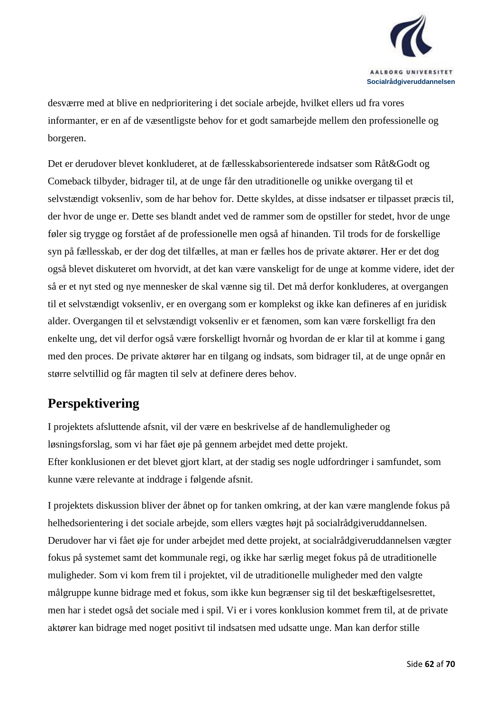

desværre med at blive en nedprioritering i det sociale arbejde, hvilket ellers ud fra vores informanter, er en af de væsentligste behov for et godt samarbejde mellem den professionelle og borgeren.

Det er derudover blevet konkluderet, at de fællesskabsorienterede indsatser som Råt&Godt og Comeback tilbyder, bidrager til, at de unge får den utraditionelle og unikke overgang til et selvstændigt voksenliv, som de har behov for. Dette skyldes, at disse indsatser er tilpasset præcis til, der hvor de unge er. Dette ses blandt andet ved de rammer som de opstiller for stedet, hvor de unge føler sig trygge og forstået af de professionelle men også af hinanden. Til trods for de forskellige syn på fællesskab, er der dog det tilfælles, at man er fælles hos de private aktører. Her er det dog også blevet diskuteret om hvorvidt, at det kan være vanskeligt for de unge at komme videre, idet der så er et nyt sted og nye mennesker de skal vænne sig til. Det må derfor konkluderes, at overgangen til et selvstændigt voksenliv, er en overgang som er komplekst og ikke kan defineres af en juridisk alder. Overgangen til et selvstændigt voksenliv er et fænomen, som kan være forskelligt fra den enkelte ung, det vil derfor også være forskelligt hvornår og hvordan de er klar til at komme i gang med den proces. De private aktører har en tilgang og indsats, som bidrager til, at de unge opnår en større selvtillid og får magten til selv at definere deres behov.

## <span id="page-61-0"></span>**Perspektivering**

I projektets afsluttende afsnit, vil der være en beskrivelse af de handlemuligheder og løsningsforslag, som vi har fået øje på gennem arbejdet med dette projekt. Efter konklusionen er det blevet gjort klart, at der stadig ses nogle udfordringer i samfundet, som kunne være relevante at inddrage i følgende afsnit.

I projektets diskussion bliver der åbnet op for tanken omkring, at der kan være manglende fokus på helhedsorientering i det sociale arbejde, som ellers vægtes højt på socialrådgiveruddannelsen. Derudover har vi fået øje for under arbejdet med dette projekt, at socialrådgiveruddannelsen vægter fokus på systemet samt det kommunale regi, og ikke har særlig meget fokus på de utraditionelle muligheder. Som vi kom frem til i projektet, vil de utraditionelle muligheder med den valgte målgruppe kunne bidrage med et fokus, som ikke kun begrænser sig til det beskæftigelsesrettet, men har i stedet også det sociale med i spil. Vi er i vores konklusion kommet frem til, at de private aktører kan bidrage med noget positivt til indsatsen med udsatte unge. Man kan derfor stille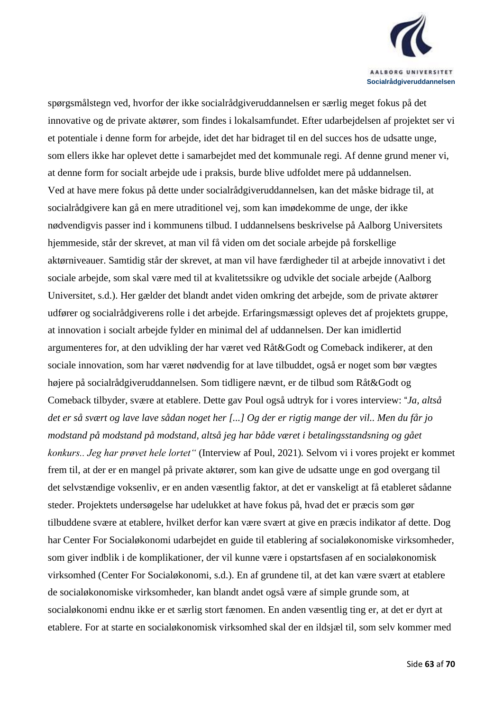

spørgsmålstegn ved, hvorfor der ikke socialrådgiveruddannelsen er særlig meget fokus på det innovative og de private aktører, som findes i lokalsamfundet. Efter udarbejdelsen af projektet ser vi et potentiale i denne form for arbejde, idet det har bidraget til en del succes hos de udsatte unge, som ellers ikke har oplevet dette i samarbejdet med det kommunale regi. Af denne grund mener vi, at denne form for socialt arbejde ude i praksis, burde blive udfoldet mere på uddannelsen. Ved at have mere fokus på dette under socialrådgiveruddannelsen, kan det måske bidrage til, at socialrådgivere kan gå en mere utraditionel vej, som kan imødekomme de unge, der ikke nødvendigvis passer ind i kommunens tilbud. I uddannelsens beskrivelse på Aalborg Universitets hjemmeside, står der skrevet, at man vil få viden om det sociale arbejde på forskellige aktørniveauer. Samtidig står der skrevet, at man vil have færdigheder til at arbejde innovativt i det sociale arbejde, som skal være med til at kvalitetssikre og udvikle det sociale arbejde (Aalborg Universitet, s.d.). Her gælder det blandt andet viden omkring det arbejde, som de private aktører udfører og socialrådgiverens rolle i det arbejde. Erfaringsmæssigt opleves det af projektets gruppe, at innovation i socialt arbejde fylder en minimal del af uddannelsen. Der kan imidlertid argumenteres for, at den udvikling der har været ved Råt&Godt og Comeback indikerer, at den sociale innovation, som har været nødvendig for at lave tilbuddet, også er noget som bør vægtes højere på socialrådgiveruddannelsen. Som tidligere nævnt, er de tilbud som Råt&Godt og Comeback tilbyder, svære at etablere. Dette gav Poul også udtryk for i vores interview: "*Ja, altså det er så svært og lave lave sådan noget her [...] Og der er rigtig mange der vil.. Men du får jo modstand på modstand på modstand, altså jeg har både været i betalingsstandsning og gået konkurs.. Jeg har prøvet hele lortet"* (Interview af Poul, 2021)*.* Selvom vi i vores projekt er kommet frem til, at der er en mangel på private aktører, som kan give de udsatte unge en god overgang til det selvstændige voksenliv, er en anden væsentlig faktor, at det er vanskeligt at få etableret sådanne steder. Projektets undersøgelse har udelukket at have fokus på, hvad det er præcis som gør tilbuddene svære at etablere, hvilket derfor kan være svært at give en præcis indikator af dette. Dog har Center For Socialøkonomi udarbejdet en guide til etablering af socialøkonomiske virksomheder, som giver indblik i de komplikationer, der vil kunne være i opstartsfasen af en socialøkonomisk virksomhed (Center For Socialøkonomi, s.d.). En af grundene til, at det kan være svært at etablere de socialøkonomiske virksomheder, kan blandt andet også være af simple grunde som, at socialøkonomi endnu ikke er et særlig stort fænomen. En anden væsentlig ting er, at det er dyrt at etablere. For at starte en socialøkonomisk virksomhed skal der en ildsjæl til, som selv kommer med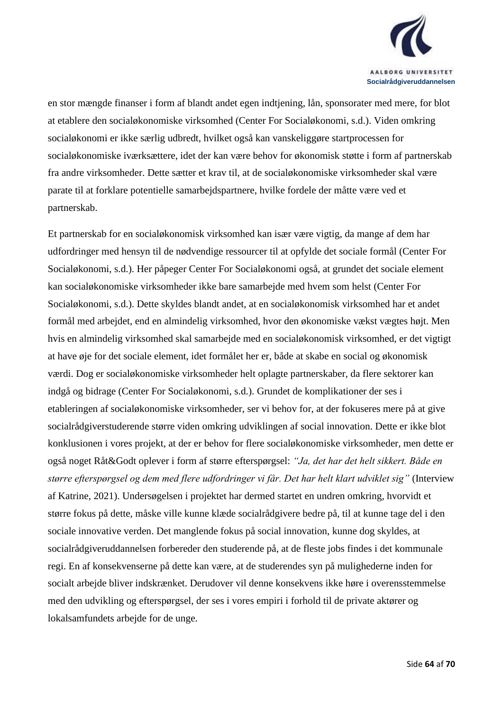

en stor mængde finanser i form af blandt andet egen indtjening, lån, sponsorater med mere, for blot at etablere den socialøkonomiske virksomhed (Center For Socialøkonomi, s.d.). Viden omkring socialøkonomi er ikke særlig udbredt, hvilket også kan vanskeliggøre startprocessen for socialøkonomiske iværksættere, idet der kan være behov for økonomisk støtte i form af partnerskab fra andre virksomheder. Dette sætter et krav til, at de socialøkonomiske virksomheder skal være parate til at forklare potentielle samarbejdspartnere, hvilke fordele der måtte være ved et partnerskab.

Et partnerskab for en socialøkonomisk virksomhed kan især være vigtig, da mange af dem har udfordringer med hensyn til de nødvendige ressourcer til at opfylde det sociale formål (Center For Socialøkonomi, s.d.). Her påpeger Center For Socialøkonomi også, at grundet det sociale element kan socialøkonomiske virksomheder ikke bare samarbejde med hvem som helst (Center For Socialøkonomi, s.d.). Dette skyldes blandt andet, at en socialøkonomisk virksomhed har et andet formål med arbejdet, end en almindelig virksomhed, hvor den økonomiske vækst vægtes højt. Men hvis en almindelig virksomhed skal samarbejde med en socialøkonomisk virksomhed, er det vigtigt at have øje for det sociale element, idet formålet her er, både at skabe en social og økonomisk værdi. Dog er socialøkonomiske virksomheder helt oplagte partnerskaber, da flere sektorer kan indgå og bidrage (Center For Socialøkonomi, s.d.). Grundet de komplikationer der ses i etableringen af socialøkonomiske virksomheder, ser vi behov for, at der fokuseres mere på at give socialrådgiverstuderende større viden omkring udviklingen af social innovation. Dette er ikke blot konklusionen i vores projekt, at der er behov for flere socialøkonomiske virksomheder, men dette er også noget Råt&Godt oplever i form af større efterspørgsel: *"Ja, det har det helt sikkert. Både en større efterspørgsel og dem med flere udfordringer vi får. Det har helt klart udviklet sig"* (Interview af Katrine, 2021). Undersøgelsen i projektet har dermed startet en undren omkring, hvorvidt et større fokus på dette, måske ville kunne klæde socialrådgivere bedre på, til at kunne tage del i den sociale innovative verden. Det manglende fokus på social innovation, kunne dog skyldes, at socialrådgiveruddannelsen forbereder den studerende på, at de fleste jobs findes i det kommunale regi. En af konsekvenserne på dette kan være, at de studerendes syn på mulighederne inden for socialt arbejde bliver indskrænket. Derudover vil denne konsekvens ikke høre i overensstemmelse med den udvikling og efterspørgsel, der ses i vores empiri i forhold til de private aktører og lokalsamfundets arbejde for de unge.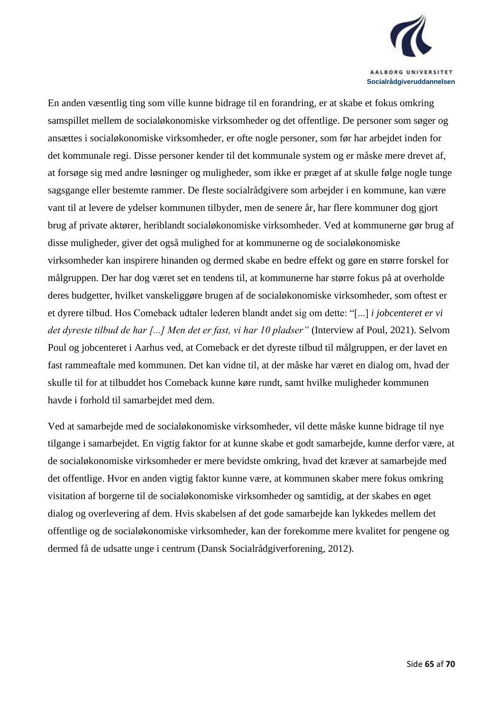

En anden væsentlig ting som ville kunne bidrage til en forandring, er at skabe et fokus omkring samspillet mellem de socialøkonomiske virksomheder og det offentlige. De personer som søger og ansættes i socialøkonomiske virksomheder, er ofte nogle personer, som før har arbejdet inden for det kommunale regi. Disse personer kender til det kommunale system og er måske mere drevet af, at forsøge sig med andre løsninger og muligheder, som ikke er præget af at skulle følge nogle tunge sagsgange eller bestemte rammer. De fleste socialrådgivere som arbejder i en kommune, kan være vant til at levere de ydelser kommunen tilbyder, men de senere år, har flere kommuner dog gjort brug af private aktører, heriblandt socialøkonomiske virksomheder. Ved at kommunerne gør brug af disse muligheder, giver det også mulighed for at kommunerne og de socialøkonomiske virksomheder kan inspirere hinanden og dermed skabe en bedre effekt og gøre en større forskel for målgruppen. Der har dog været set en tendens til, at kommunerne har større fokus på at overholde deres budgetter, hvilket vanskeliggøre brugen af de socialøkonomiske virksomheder, som oftest er et dyrere tilbud. Hos Comeback udtaler lederen blandt andet sig om dette: "[...] *i jobcenteret er vi det dyreste tilbud de har [...] Men det er fast, vi har 10 pladser"* (Interview af Poul, 2021). Selvom Poul og jobcenteret i Aarhus ved, at Comeback er det dyreste tilbud til målgruppen, er der lavet en fast rammeaftale med kommunen. Det kan vidne til, at der måske har været en dialog om, hvad der skulle til for at tilbuddet hos Comeback kunne køre rundt, samt hvilke muligheder kommunen havde i forhold til samarbejdet med dem.

Ved at samarbejde med de socialøkonomiske virksomheder, vil dette måske kunne bidrage til nye tilgange i samarbejdet. En vigtig faktor for at kunne skabe et godt samarbejde, kunne derfor være, at de socialøkonomiske virksomheder er mere bevidste omkring, hvad det kræver at samarbejde med det offentlige. Hvor en anden vigtig faktor kunne være, at kommunen skaber mere fokus omkring visitation af borgerne til de socialøkonomiske virksomheder og samtidig, at der skabes en øget dialog og overlevering af dem. Hvis skabelsen af det gode samarbejde kan lykkedes mellem det offentlige og de socialøkonomiske virksomheder, kan der forekomme mere kvalitet for pengene og dermed få de udsatte unge i centrum (Dansk Socialrådgiverforening, 2012).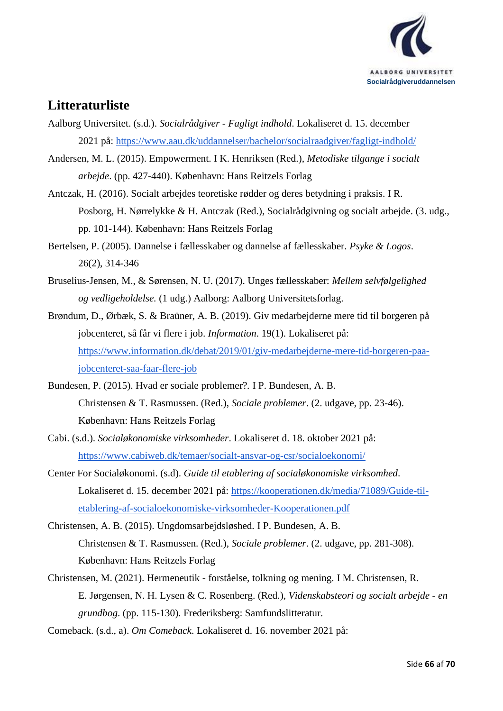

## <span id="page-65-0"></span>**Litteraturliste**

- Aalborg Universitet. (s.d.). *Socialrådgiver - Fagligt indhold*. Lokaliseret d. 15. december 2021 på:<https://www.aau.dk/uddannelser/bachelor/socialraadgiver/fagligt-indhold/>
- Andersen, M. L. (2015). Empowerment. I K. Henriksen (Red.), *Metodiske tilgange i socialt arbejde*. (pp. 427-440). København: Hans Reitzels Forlag
- Antczak, H. (2016). Socialt arbejdes teoretiske rødder og deres betydning i praksis. I R. Posborg, H. Nørrelykke & H. Antczak (Red.), Socialrådgivning og socialt arbejde. (3. udg., pp. 101-144). København: Hans Reitzels Forlag
- Bertelsen, P. (2005). Dannelse i fællesskaber og dannelse af fællesskaber. *Psyke & Logos*. 26(2), 314-346
- Bruselius-Jensen, M., & Sørensen, N. U. (2017). Unges fællesskaber: *Mellem selvfølgelighed og vedligeholdelse.* (1 udg.) Aalborg: Aalborg Universitetsforlag.
- Brøndum, D., Ørbæk, S. & Braüner, A. B. (2019). Giv medarbejderne mere tid til borgeren på jobcenteret, så får vi flere i job. *Information*. 19(1). Lokaliseret på: [https://www.information.dk/debat/2019/01/giv-medarbejderne-mere-tid-borgeren-paa](https://www.information.dk/debat/2019/01/giv-medarbejderne-mere-tid-borgeren-paa-jobcenteret-saa-faar-flere-job)[jobcenteret-saa-faar-flere-job](https://www.information.dk/debat/2019/01/giv-medarbejderne-mere-tid-borgeren-paa-jobcenteret-saa-faar-flere-job)
- Bundesen, P. (2015). Hvad er sociale problemer?*.* I P. Bundesen, A. B. Christensen & T. Rasmussen. (Red.), *Sociale problemer*. (2. udgave, pp. 23-46). København: Hans Reitzels Forlag
- Cabi. (s.d.). *Socialøkonomiske virksomheder*. Lokaliseret d. 18. oktober 2021 på: <https://www.cabiweb.dk/temaer/socialt-ansvar-og-csr/socialoekonomi/>
- Center For Socialøkonomi. (s.d). *Guide til etablering af socialøkonomiske virksomhed*. Lokaliseret d. 15. december 2021 på: [https://kooperationen.dk/media/71089/Guide-til](https://kooperationen.dk/media/71089/Guide-til-etablering-af-socialoekonomiske-virksomheder-Kooperationen.pdf)[etablering-af-socialoekonomiske-virksomheder-Kooperationen.pdf](https://kooperationen.dk/media/71089/Guide-til-etablering-af-socialoekonomiske-virksomheder-Kooperationen.pdf)
- Christensen, A. B. (2015). Ungdomsarbejdsløshed*.* I P. Bundesen, A. B. Christensen & T. Rasmussen. (Red.), *Sociale problemer*. (2. udgave, pp. 281-308). København: Hans Reitzels Forlag
- Christensen, M. (2021). Hermeneutik forståelse, tolkning og mening*.* I M. Christensen, R. E. Jørgensen, N. H. Lysen & C. Rosenberg. (Red.), *Videnskabsteori og socialt arbejde - en grundbog*. (pp. 115-130). Frederiksberg: Samfundslitteratur.
- Comeback. (s.d., a). *Om Comeback*. Lokaliseret d. 16. november 2021 på: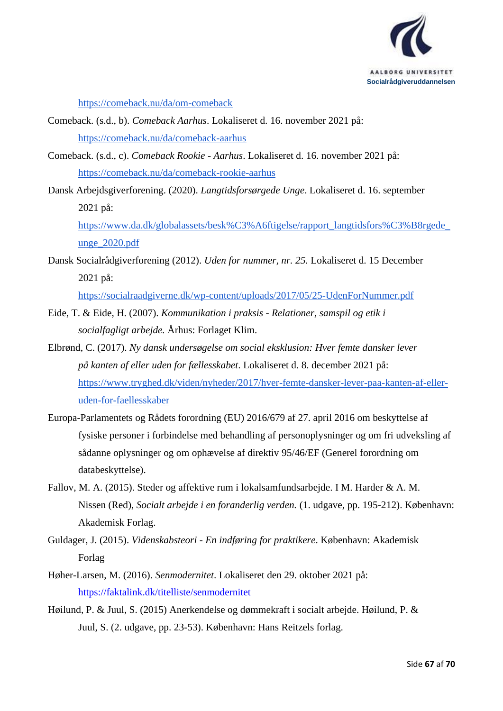

<https://comeback.nu/da/om-comeback>

[unge\\_2020.pdf](https://www.da.dk/globalassets/besk%C3%A6ftigelse/rapport_langtidsfors%C3%B8rgede_unge_2020.pdf)

- Comeback. (s.d., b). *Comeback Aarhus*. Lokaliseret d. 16. november 2021 på: <https://comeback.nu/da/comeback-aarhus>
- Comeback. (s.d., c). *Comeback Rookie - Aarhus*. Lokaliseret d. 16. november 2021 på: <https://comeback.nu/da/comeback-rookie-aarhus>
- Dansk Arbejdsgiverforening. (2020). *Langtidsforsørgede Unge*. Lokaliseret d. 16. september 2021 på: [https://www.da.dk/globalassets/besk%C3%A6ftigelse/rapport\\_langtidsfors%C3%B8rgede\\_](https://www.da.dk/globalassets/besk%C3%A6ftigelse/rapport_langtidsfors%C3%B8rgede_unge_2020.pdf)

Dansk Socialrådgiverforening (2012). *Uden for nummer, nr. 25.* Lokaliseret d. 15 December 2021 på:

<https://socialraadgiverne.dk/wp-content/uploads/2017/05/25-UdenForNummer.pdf>

- Eide, T. & Eide, H. (2007). *Kommunikation i praksis - Relationer, samspil og etik i socialfagligt arbejde.* Århus: Forlaget Klim.
- Elbrønd, C. (2017). *Ny dansk undersøgelse om social eksklusion: Hver femte dansker lever på kanten af eller uden for fællesskabet*. Lokaliseret d. 8. december 2021 på: [https://www.tryghed.dk/viden/nyheder/2017/hver-femte-dansker-lever-paa-kanten-af-eller](https://www.tryghed.dk/viden/nyheder/2017/hver-femte-dansker-lever-paa-kanten-af-eller-uden-for-faellesskaber)[uden-for-faellesskaber](https://www.tryghed.dk/viden/nyheder/2017/hver-femte-dansker-lever-paa-kanten-af-eller-uden-for-faellesskaber)
- Europa-Parlamentets og Rådets forordning (EU) 2016/679 af 27. april 2016 om beskyttelse af fysiske personer i forbindelse med behandling af personoplysninger og om fri udveksling af sådanne oplysninger og om ophævelse af direktiv 95/46/EF (Generel forordning om databeskyttelse).
- Fallov, M. A. (2015). Steder og affektive rum i lokalsamfundsarbejde. I M. Harder & A. M. Nissen (Red), *Socialt arbejde i en foranderlig verden.* (1. udgave, pp. 195-212). København: Akademisk Forlag.
- Guldager, J. (2015). *Videnskabsteori - En indføring for praktikere*. København: Akademisk Forlag
- Høher-Larsen, M. (2016). *Senmodernitet*. Lokaliseret den 29. oktober 2021 på: <https://faktalink.dk/titelliste/senmodernitet>
- Høilund, P. & Juul, S. (2015) Anerkendelse og dømmekraft i socialt arbejde. Høilund, P. & Juul, S. (2. udgave, pp. 23-53). København: Hans Reitzels forlag.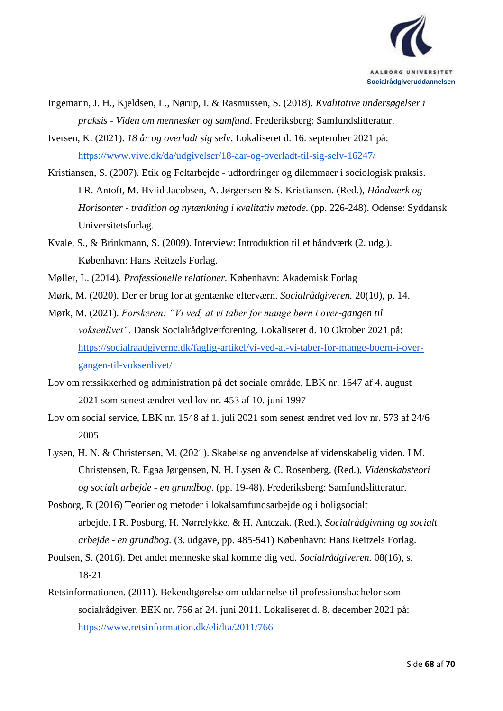

- Ingemann, J. H., Kjeldsen, L., Nørup, I. & Rasmussen, S. (2018). *Kvalitative undersøgelser i praksis - Viden om mennesker og samfund*. Frederiksberg: Samfundslitteratur.
- Iversen, K. (2021). *18 år og overladt sig selv.* Lokaliseret d. 16. september 2021 på: <https://www.vive.dk/da/udgivelser/18-aar-og-overladt-til-sig-selv-16247/>
- Kristiansen, S. (2007). Etik og Feltarbejde udfordringer og dilemmaer i sociologisk praksis. I R. Antoft, M. Hviid Jacobsen, A. Jørgensen & S. Kristiansen. (Red.), *Håndværk og Horisonter - tradition og nytænkning i kvalitativ metode.* (pp. 226-248). Odense: Syddansk Universitetsforlag.
- Kvale, S., & Brinkmann, S. (2009). Interview: Introduktion til et håndværk (2. udg.). København: Hans Reitzels Forlag.
- Møller, L. (2014). *Professionelle relationer.* København: Akademisk Forlag
- Mørk, M. (2020). Der er brug for at gentænke efterværn. *Socialrådgiveren.* 20(10), p. 14.
- Mørk, M. (2021). *Forskeren: "Vi ved, at vi taber for mange børn i over-gangen til voksenlivet".* Dansk Socialrådgiverforening. Lokaliseret d. 10 Oktober 2021 på: [https://socialraadgiverne.dk/faglig-artikel/vi-ved-at-vi-taber-for-mange-boern-i-over](https://socialraadgiverne.dk/faglig-artikel/vi-ved-at-vi-taber-for-mange-boern-i-over-gangen-til-voksenlivet/)[gangen-til-voksenlivet/](https://socialraadgiverne.dk/faglig-artikel/vi-ved-at-vi-taber-for-mange-boern-i-over-gangen-til-voksenlivet/)
- Lov om retssikkerhed og administration på det sociale område, LBK nr. 1647 af 4. august 2021 som senest ændret ved lov nr. 453 af 10. juni 1997
- Lov om social service, LBK nr. 1548 af 1. juli 2021 som senest ændret ved lov nr. 573 af 24/6 2005.
- Lysen, H. N. & Christensen, M. (2021). Skabelse og anvendelse af videnskabelig viden. I M. Christensen, R. Egaa Jørgensen, N. H. Lysen & C. Rosenberg. (Red.), *Videnskabsteori og socialt arbejde - en grundbog*. (pp. 19-48). Frederiksberg: Samfundslitteratur.
- Posborg, R (2016) Teorier og metoder i lokalsamfundsarbejde og i boligsocialt arbejde. I R. Posborg, H. Nørrelykke, & H. Antczak. (Red.), *Socialrådgivning og socialt arbejde - en grundbog.* (3. udgave, pp. 485-541) København: Hans Reitzels Forlag.
- Poulsen, S. (2016). Det andet menneske skal komme dig ved. *Socialrådgiveren.* 08(16), s. 18-21
- Retsinformationen. (2011). Bekendtgørelse om uddannelse til professionsbachelor som socialrådgiver. BEK nr. 766 af 24. juni 2011. Lokaliseret d. 8. december 2021 på: <https://www.retsinformation.dk/eli/lta/2011/766>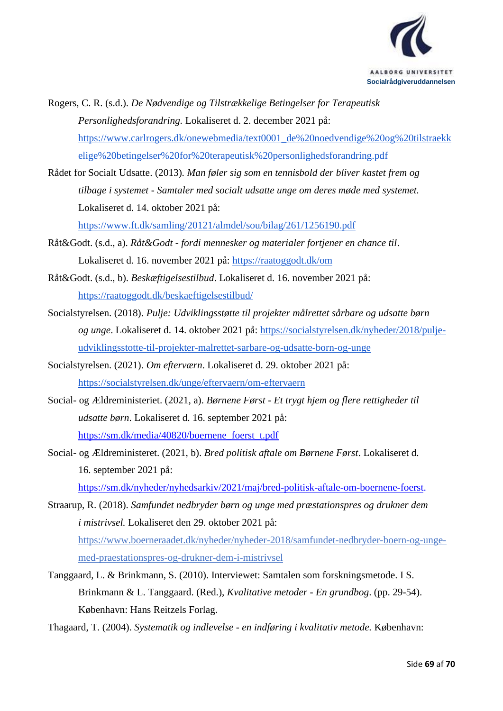

- Rogers, C. R. (s.d.). *De Nødvendige og Tilstrækkelige Betingelser for Terapeutisk Personlighedsforandring.* Lokaliseret d. 2. december 2021 på: [https://www.carlrogers.dk/onewebmedia/text0001\\_de%20noedvendige%20og%20tilstraekk](https://www.carlrogers.dk/onewebmedia/text0001_de%20noedvendige%20og%20tilstraekkelige%20betingelser%20for%20terapeutisk%20personlighedsforandring.pdf) [elige%20betingelser%20for%20terapeutisk%20personlighedsforandring.pdf](https://www.carlrogers.dk/onewebmedia/text0001_de%20noedvendige%20og%20tilstraekkelige%20betingelser%20for%20terapeutisk%20personlighedsforandring.pdf)
- Rådet for Socialt Udsatte. (2013)*. Man føler sig som en tennisbold der bliver kastet frem og tilbage i systemet - Samtaler med socialt udsatte unge om deres møde med systemet.*  Lokaliseret d. 14. oktober 2021 på: <https://www.ft.dk/samling/20121/almdel/sou/bilag/261/1256190.pdf>
- Råt&Godt. (s.d., a). *Råt&Godt - fordi mennesker og materialer fortjener en chance til*. Lokaliseret d. 16. november 2021 på:<https://raatoggodt.dk/om>
- Råt&Godt. (s.d., b). *Beskæftigelsestilbud*. Lokaliseret d. 16. november 2021 på: <https://raatoggodt.dk/beskaeftigelsestilbud/>
- Socialstyrelsen. (2018). *Pulje: Udviklingsstøtte til projekter målrettet sårbare og udsatte børn og unge*. Lokaliseret d. 14. oktober 2021 på: [https://socialstyrelsen.dk/nyheder/2018/pulje](https://socialstyrelsen.dk/nyheder/2018/pulje-udviklingsstotte-til-projekter-malrettet-sarbare-og-udsatte-born-og-unge)[udviklingsstotte-til-projekter-malrettet-sarbare-og-udsatte-born-og-unge](https://socialstyrelsen.dk/nyheder/2018/pulje-udviklingsstotte-til-projekter-malrettet-sarbare-og-udsatte-born-og-unge)
- Socialstyrelsen. (2021). *Om efterværn*. Lokaliseret d. 29. oktober 2021 på: <https://socialstyrelsen.dk/unge/eftervaern/om-eftervaern>
- Social- og Ældreministeriet. (2021, a). *Børnene Først - Et trygt hjem og flere rettigheder til udsatte børn*. Lokaliseret d. 16. september 2021 på: [https://sm.dk/media/40820/boernene\\_foerst\\_t.pdf](https://sm.dk/media/40820/boernene_foerst_t.pdf)
- Social- og Ældreministeret. (2021, b). *Bred politisk aftale om Børnene Først*. Lokaliseret d. 16. september 2021 på:

[https://sm.dk/nyheder/nyhedsarkiv/2021/maj/bred-politisk-aftale-om-boernene-foerst.](https://sm.dk/nyheder/nyhedsarkiv/2021/maj/bred-politisk-aftale-om-boernene-foerst)

Straarup, R. (2018). *Samfundet nedbryder børn og unge med præstationspres og drukner dem i mistrivsel.* Lokaliseret den 29. oktober 2021 på: [https://www.boerneraadet.dk/nyheder/nyheder-2018/samfundet-nedbryder-boern-og-unge](https://www.boerneraadet.dk/nyheder/nyheder-2018/samfundet-nedbryder-boern-og-unge-med-praestationspres-og-drukner-dem-i-mistrivsel)[med-praestationspres-og-drukner-dem-i-mistrivsel](https://www.boerneraadet.dk/nyheder/nyheder-2018/samfundet-nedbryder-boern-og-unge-med-praestationspres-og-drukner-dem-i-mistrivsel)

Tanggaard, L. & Brinkmann, S. (2010). Interviewet: Samtalen som forskningsmetode. I S. Brinkmann & L. Tanggaard. (Red.), *Kvalitative metoder - En grundbog*. (pp. 29-54). København: Hans Reitzels Forlag.

Thagaard, T. (2004). *Systematik og indlevelse - en indføring i kvalitativ metode.* København: